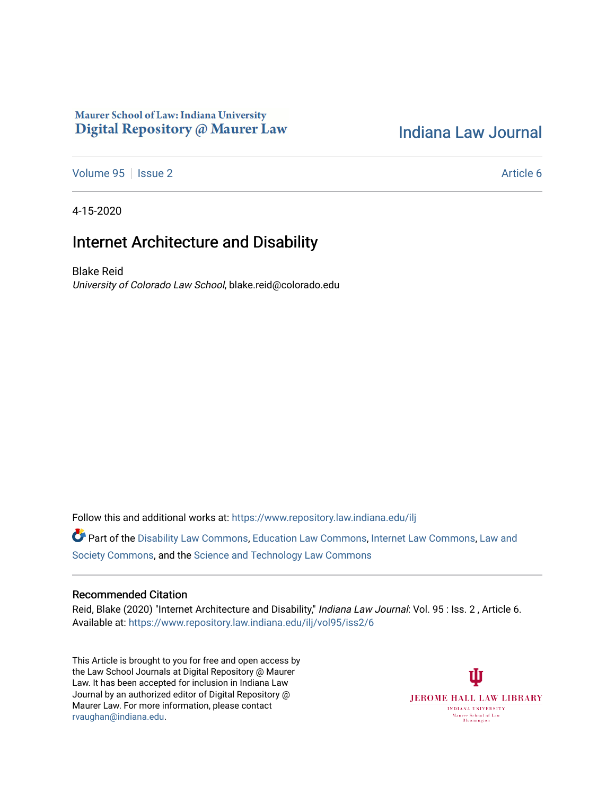## Maurer School of Law: Indiana University Digital Repository @ Maurer Law

## [Indiana Law Journal](https://www.repository.law.indiana.edu/ilj)

[Volume 95](https://www.repository.law.indiana.edu/ilj/vol95) | [Issue 2](https://www.repository.law.indiana.edu/ilj/vol95/iss2) Article 6

4-15-2020

# Internet Architecture and Disability

Blake Reid University of Colorado Law School, blake.reid@colorado.edu

Follow this and additional works at: [https://www.repository.law.indiana.edu/ilj](https://www.repository.law.indiana.edu/ilj?utm_source=www.repository.law.indiana.edu%2Filj%2Fvol95%2Fiss2%2F6&utm_medium=PDF&utm_campaign=PDFCoverPages) 

Part of the [Disability Law Commons](http://network.bepress.com/hgg/discipline/1074?utm_source=www.repository.law.indiana.edu%2Filj%2Fvol95%2Fiss2%2F6&utm_medium=PDF&utm_campaign=PDFCoverPages), [Education Law Commons](http://network.bepress.com/hgg/discipline/596?utm_source=www.repository.law.indiana.edu%2Filj%2Fvol95%2Fiss2%2F6&utm_medium=PDF&utm_campaign=PDFCoverPages), [Internet Law Commons](http://network.bepress.com/hgg/discipline/892?utm_source=www.repository.law.indiana.edu%2Filj%2Fvol95%2Fiss2%2F6&utm_medium=PDF&utm_campaign=PDFCoverPages), [Law and](http://network.bepress.com/hgg/discipline/853?utm_source=www.repository.law.indiana.edu%2Filj%2Fvol95%2Fiss2%2F6&utm_medium=PDF&utm_campaign=PDFCoverPages) [Society Commons](http://network.bepress.com/hgg/discipline/853?utm_source=www.repository.law.indiana.edu%2Filj%2Fvol95%2Fiss2%2F6&utm_medium=PDF&utm_campaign=PDFCoverPages), and the [Science and Technology Law Commons](http://network.bepress.com/hgg/discipline/875?utm_source=www.repository.law.indiana.edu%2Filj%2Fvol95%2Fiss2%2F6&utm_medium=PDF&utm_campaign=PDFCoverPages)

## Recommended Citation

Reid, Blake (2020) "Internet Architecture and Disability," Indiana Law Journal: Vol. 95 : Iss. 2, Article 6. Available at: [https://www.repository.law.indiana.edu/ilj/vol95/iss2/6](https://www.repository.law.indiana.edu/ilj/vol95/iss2/6?utm_source=www.repository.law.indiana.edu%2Filj%2Fvol95%2Fiss2%2F6&utm_medium=PDF&utm_campaign=PDFCoverPages) 

This Article is brought to you for free and open access by the Law School Journals at Digital Repository @ Maurer Law. It has been accepted for inclusion in Indiana Law Journal by an authorized editor of Digital Repository @ Maurer Law. For more information, please contact [rvaughan@indiana.edu.](mailto:rvaughan@indiana.edu)

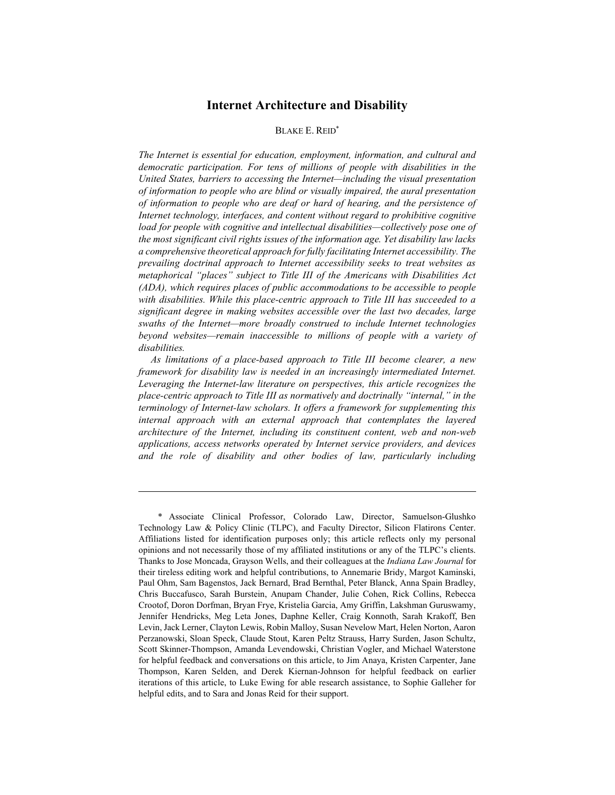## Internet Architecture and Disability

### BLAKE E. REID\*

The Internet is essential for education, employment, information, and cultural and democratic participation. For tens of millions of people with disabilities in the United States, barriers to accessing the Internet—including the visual presentation of information to people who are blind or visually impaired, the aural presentation of information to people who are deaf or hard of hearing, and the persistence of Internet technology, interfaces, and content without regard to prohibitive cognitive load for people with cognitive and intellectual disabilities—collectively pose one of the most significant civil rights issues of the information age. Yet disability law lacks a comprehensive theoretical approach for fully facilitating Internet accessibility. The prevailing doctrinal approach to Internet accessibility seeks to treat websites as metaphorical "places" subject to Title III of the Americans with Disabilities Act (ADA), which requires places of public accommodations to be accessible to people with disabilities. While this place-centric approach to Title III has succeeded to a significant degree in making websites accessible over the last two decades, large swaths of the Internet—more broadly construed to include Internet technologies beyond websites—remain inaccessible to millions of people with a variety of disabilities.

As limitations of a place-based approach to Title III become clearer, a new framework for disability law is needed in an increasingly intermediated Internet. Leveraging the Internet-law literature on perspectives, this article recognizes the place-centric approach to Title III as normatively and doctrinally "internal," in the terminology of Internet-law scholars. It offers a framework for supplementing this internal approach with an external approach that contemplates the layered architecture of the Internet, including its constituent content, web and non-web applications, access networks operated by Internet service providers, and devices and the role of disability and other bodies of law, particularly including

 <sup>\*</sup> Associate Clinical Professor, Colorado Law, Director, Samuelson-Glushko Technology Law & Policy Clinic (TLPC), and Faculty Director, Silicon Flatirons Center. Affiliations listed for identification purposes only; this article reflects only my personal opinions and not necessarily those of my affiliated institutions or any of the TLPC's clients. Thanks to Jose Moncada, Grayson Wells, and their colleagues at the Indiana Law Journal for their tireless editing work and helpful contributions, to Annemarie Bridy, Margot Kaminski, Paul Ohm, Sam Bagenstos, Jack Bernard, Brad Bernthal, Peter Blanck, Anna Spain Bradley, Chris Buccafusco, Sarah Burstein, Anupam Chander, Julie Cohen, Rick Collins, Rebecca Crootof, Doron Dorfman, Bryan Frye, Kristelia Garcia, Amy Griffin, Lakshman Guruswamy, Jennifer Hendricks, Meg Leta Jones, Daphne Keller, Craig Konnoth, Sarah Krakoff, Ben Levin, Jack Lerner, Clayton Lewis, Robin Malloy, Susan Nevelow Mart, Helen Norton, Aaron Perzanowski, Sloan Speck, Claude Stout, Karen Peltz Strauss, Harry Surden, Jason Schultz, Scott Skinner-Thompson, Amanda Levendowski, Christian Vogler, and Michael Waterstone for helpful feedback and conversations on this article, to Jim Anaya, Kristen Carpenter, Jane Thompson, Karen Selden, and Derek Kiernan-Johnson for helpful feedback on earlier iterations of this article, to Luke Ewing for able research assistance, to Sophie Galleher for helpful edits, and to Sara and Jonas Reid for their support.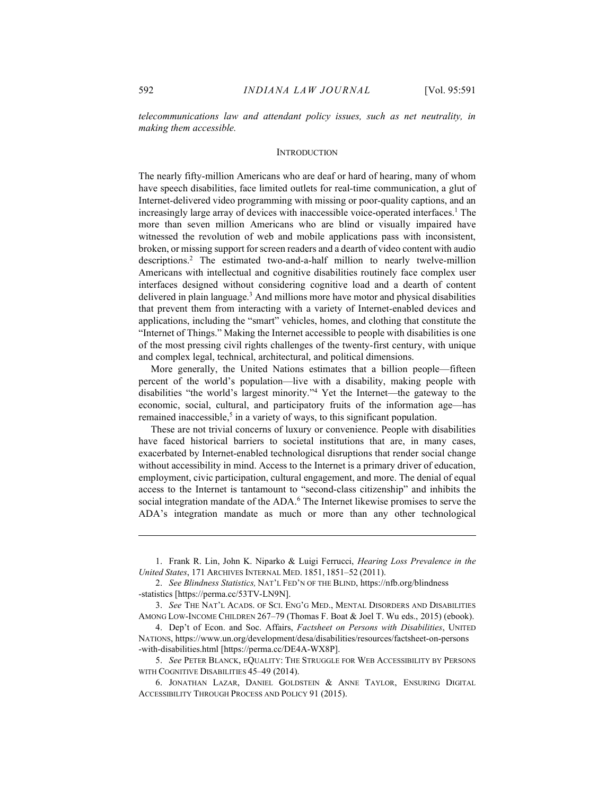telecommunications law and attendant policy issues, such as net neutrality, in making them accessible.

#### **INTRODUCTION**

The nearly fifty-million Americans who are deaf or hard of hearing, many of whom have speech disabilities, face limited outlets for real-time communication, a glut of Internet-delivered video programming with missing or poor-quality captions, and an increasingly large array of devices with inaccessible voice-operated interfaces.<sup>1</sup> The more than seven million Americans who are blind or visually impaired have witnessed the revolution of web and mobile applications pass with inconsistent, broken, or missing support for screen readers and a dearth of video content with audio descriptions.<sup>2</sup> The estimated two-and-a-half million to nearly twelve-million Americans with intellectual and cognitive disabilities routinely face complex user interfaces designed without considering cognitive load and a dearth of content delivered in plain language.<sup>3</sup> And millions more have motor and physical disabilities that prevent them from interacting with a variety of Internet-enabled devices and applications, including the "smart" vehicles, homes, and clothing that constitute the "Internet of Things." Making the Internet accessible to people with disabilities is one of the most pressing civil rights challenges of the twenty-first century, with unique and complex legal, technical, architectural, and political dimensions.

More generally, the United Nations estimates that a billion people—fifteen percent of the world's population—live with a disability, making people with disabilities "the world's largest minority."<sup>4</sup> Yet the Internet—the gateway to the economic, social, cultural, and participatory fruits of the information age—has remained inaccessible,<sup>5</sup> in a variety of ways, to this significant population.

These are not trivial concerns of luxury or convenience. People with disabilities have faced historical barriers to societal institutions that are, in many cases, exacerbated by Internet-enabled technological disruptions that render social change without accessibility in mind. Access to the Internet is a primary driver of education, employment, civic participation, cultural engagement, and more. The denial of equal access to the Internet is tantamount to "second-class citizenship" and inhibits the social integration mandate of the ADA.<sup>6</sup> The Internet likewise promises to serve the ADA's integration mandate as much or more than any other technological

 <sup>1.</sup> Frank R. Lin, John K. Niparko & Luigi Ferrucci, Hearing Loss Prevalence in the United States, 171 ARCHIVES INTERNAL MED. 1851, 1851–52 (2011).

<sup>2.</sup> See Blindness Statistics, NAT'L FED'N OF THE BLIND, https://nfb.org/blindness -statistics [https://perma.cc/53TV-LN9N].

<sup>3.</sup> See THE NAT'L ACADS. OF SCI. ENG'G MED., MENTAL DISORDERS AND DISABILITIES AMONG LOW-INCOME CHILDREN 267–79 (Thomas F. Boat & Joel T. Wu eds., 2015) (ebook).

<sup>4.</sup> Dep't of Econ. and Soc. Affairs, Factsheet on Persons with Disabilities, UNITED NATIONS, https://www.un.org/development/desa/disabilities/resources/factsheet-on-persons -with-disabilities.html [https://perma.cc/DE4A-WX8P].

 <sup>5.</sup> See PETER BLANCK, EQUALITY: THE STRUGGLE FOR WEB ACCESSIBILITY BY PERSONS WITH COGNITIVE DISABILITIES 45–49 (2014).

 <sup>6.</sup> JONATHAN LAZAR, DANIEL GOLDSTEIN & ANNE TAYLOR, ENSURING DIGITAL ACCESSIBILITY THROUGH PROCESS AND POLICY 91 (2015).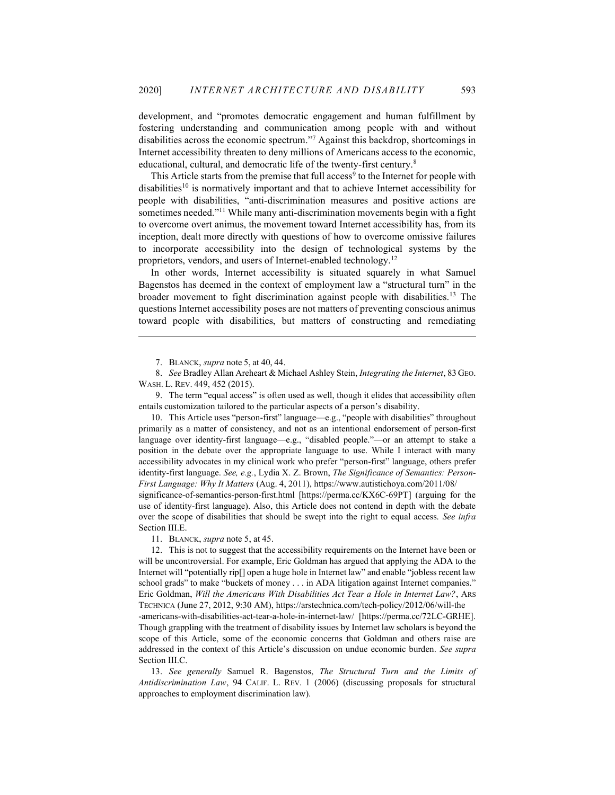development, and "promotes democratic engagement and human fulfillment by fostering understanding and communication among people with and without disabilities across the economic spectrum."<sup>7</sup> Against this backdrop, shortcomings in Internet accessibility threaten to deny millions of Americans access to the economic, educational, cultural, and democratic life of the twenty-first century.<sup>8</sup>

This Article starts from the premise that full access<sup>9</sup> to the Internet for people with disabilities<sup>10</sup> is normatively important and that to achieve Internet accessibility for people with disabilities, "anti-discrimination measures and positive actions are sometimes needed."<sup>11</sup> While many anti-discrimination movements begin with a fight to overcome overt animus, the movement toward Internet accessibility has, from its inception, dealt more directly with questions of how to overcome omissive failures to incorporate accessibility into the design of technological systems by the proprietors, vendors, and users of Internet-enabled technology.<sup>12</sup>

In other words, Internet accessibility is situated squarely in what Samuel Bagenstos has deemed in the context of employment law a "structural turn" in the broader movement to fight discrimination against people with disabilities.<sup>13</sup> The questions Internet accessibility poses are not matters of preventing conscious animus toward people with disabilities, but matters of constructing and remediating

 8. See Bradley Allan Areheart & Michael Ashley Stein, Integrating the Internet, 83 GEO. WASH. L. REV. 449, 452 (2015).

 9. The term "equal access" is often used as well, though it elides that accessibility often entails customization tailored to the particular aspects of a person's disability.

 10. This Article uses "person-first" language—e.g., "people with disabilities" throughout primarily as a matter of consistency, and not as an intentional endorsement of person-first language over identity-first language—e.g., "disabled people."—or an attempt to stake a position in the debate over the appropriate language to use. While I interact with many accessibility advocates in my clinical work who prefer "person-first" language, others prefer identity-first language. See, e.g., Lydia X. Z. Brown, The Significance of Semantics: Person-First Language: Why It Matters (Aug. 4, 2011), https://www.autistichoya.com/2011/08/

significance-of-semantics-person-first.html [https://perma.cc/KX6C-69PT] (arguing for the use of identity-first language). Also, this Article does not contend in depth with the debate over the scope of disabilities that should be swept into the right to equal access. See infra Section III.E.

11. BLANCK, supra note 5, at 45.

 12. This is not to suggest that the accessibility requirements on the Internet have been or will be uncontroversial. For example, Eric Goldman has argued that applying the ADA to the Internet will "potentially rip[] open a huge hole in Internet law" and enable "jobless recent law school grads" to make "buckets of money . . . in ADA litigation against Internet companies." Eric Goldman, Will the Americans With Disabilities Act Tear a Hole in Internet Law?, ARS TECHNICA (June 27, 2012, 9:30 AM), https://arstechnica.com/tech-policy/2012/06/will-the -americans-with-disabilities-act-tear-a-hole-in-internet-law/ [https://perma.cc/72LC-GRHE]. Though grappling with the treatment of disability issues by Internet law scholars is beyond the scope of this Article, some of the economic concerns that Goldman and others raise are addressed in the context of this Article's discussion on undue economic burden. See supra Section III.C.

 13. See generally Samuel R. Bagenstos, The Structural Turn and the Limits of Antidiscrimination Law, 94 CALIF. L. REV. 1 (2006) (discussing proposals for structural approaches to employment discrimination law).

 <sup>7.</sup> BLANCK, supra note 5, at 40, 44.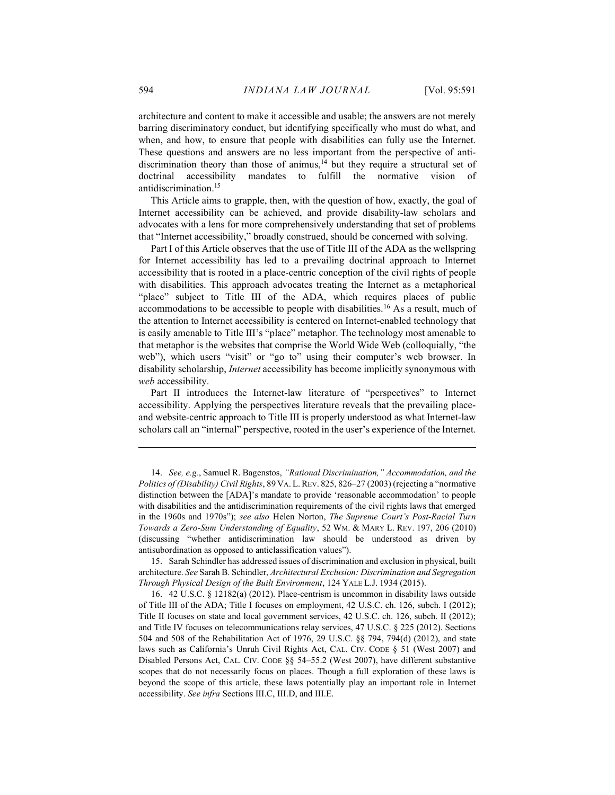architecture and content to make it accessible and usable; the answers are not merely barring discriminatory conduct, but identifying specifically who must do what, and when, and how, to ensure that people with disabilities can fully use the Internet. These questions and answers are no less important from the perspective of antidiscrimination theory than those of animus,<sup>14</sup> but they require a structural set of doctrinal accessibility mandates to fulfill the normative vision of antidiscrimination.<sup>15</sup>

This Article aims to grapple, then, with the question of how, exactly, the goal of Internet accessibility can be achieved, and provide disability-law scholars and advocates with a lens for more comprehensively understanding that set of problems that "Internet accessibility," broadly construed, should be concerned with solving.

Part I of this Article observes that the use of Title III of the ADA as the wellspring for Internet accessibility has led to a prevailing doctrinal approach to Internet accessibility that is rooted in a place-centric conception of the civil rights of people with disabilities. This approach advocates treating the Internet as a metaphorical "place" subject to Title III of the ADA, which requires places of public accommodations to be accessible to people with disabilities.<sup>16</sup> As a result, much of the attention to Internet accessibility is centered on Internet-enabled technology that is easily amenable to Title III's "place" metaphor. The technology most amenable to that metaphor is the websites that comprise the World Wide Web (colloquially, "the web"), which users "visit" or "go to" using their computer's web browser. In disability scholarship, Internet accessibility has become implicitly synonymous with web accessibility.

Part II introduces the Internet-law literature of "perspectives" to Internet accessibility. Applying the perspectives literature reveals that the prevailing placeand website-centric approach to Title III is properly understood as what Internet-law scholars call an "internal" perspective, rooted in the user's experience of the Internet.

 15. Sarah Schindler has addressed issues of discrimination and exclusion in physical, built architecture. See Sarah B. Schindler, Architectural Exclusion: Discrimination and Segregation Through Physical Design of the Built Environment, 124 YALE L.J. 1934 (2015).

 16. 42 U.S.C. § 12182(a) (2012). Place-centrism is uncommon in disability laws outside of Title III of the ADA; Title I focuses on employment, 42 U.S.C. ch. 126, subch. I (2012); Title II focuses on state and local government services, 42 U.S.C. ch. 126, subch. II (2012); and Title IV focuses on telecommunications relay services, 47 U.S.C. § 225 (2012). Sections 504 and 508 of the Rehabilitation Act of 1976, 29 U.S.C. §§ 794, 794(d) (2012), and state laws such as California's Unruh Civil Rights Act, CAL. CIV. CODE § 51 (West 2007) and Disabled Persons Act, CAL. CIV. CODE §§ 54–55.2 (West 2007), have different substantive scopes that do not necessarily focus on places. Though a full exploration of these laws is beyond the scope of this article, these laws potentially play an important role in Internet accessibility. See infra Sections III.C, III.D, and III.E.

 <sup>14.</sup> See, e.g., Samuel R. Bagenstos, "Rational Discrimination," Accommodation, and the Politics of (Disability) Civil Rights, 89 VA. L. REV. 825, 826-27 (2003) (rejecting a "normative distinction between the [ADA]'s mandate to provide 'reasonable accommodation' to people with disabilities and the antidiscrimination requirements of the civil rights laws that emerged in the 1960s and 1970s"); see also Helen Norton, The Supreme Court's Post-Racial Turn Towards a Zero-Sum Understanding of Equality, 52 WM. & MARY L. REV. 197, 206 (2010) (discussing "whether antidiscrimination law should be understood as driven by antisubordination as opposed to anticlassification values").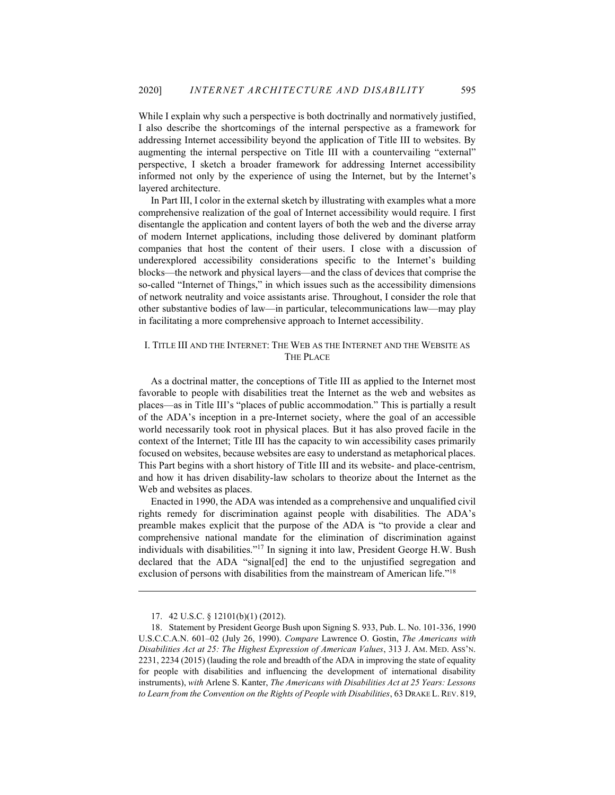While I explain why such a perspective is both doctrinally and normatively justified, I also describe the shortcomings of the internal perspective as a framework for addressing Internet accessibility beyond the application of Title III to websites. By augmenting the internal perspective on Title III with a countervailing "external" perspective, I sketch a broader framework for addressing Internet accessibility informed not only by the experience of using the Internet, but by the Internet's layered architecture.

In Part III, I color in the external sketch by illustrating with examples what a more comprehensive realization of the goal of Internet accessibility would require. I first disentangle the application and content layers of both the web and the diverse array of modern Internet applications, including those delivered by dominant platform companies that host the content of their users. I close with a discussion of underexplored accessibility considerations specific to the Internet's building blocks—the network and physical layers—and the class of devices that comprise the so-called "Internet of Things," in which issues such as the accessibility dimensions of network neutrality and voice assistants arise. Throughout, I consider the role that other substantive bodies of law—in particular, telecommunications law—may play in facilitating a more comprehensive approach to Internet accessibility.

## I. TITLE III AND THE INTERNET: THE WEB AS THE INTERNET AND THE WEBSITE AS THE PLACE

As a doctrinal matter, the conceptions of Title III as applied to the Internet most favorable to people with disabilities treat the Internet as the web and websites as places—as in Title III's "places of public accommodation." This is partially a result of the ADA's inception in a pre-Internet society, where the goal of an accessible world necessarily took root in physical places. But it has also proved facile in the context of the Internet; Title III has the capacity to win accessibility cases primarily focused on websites, because websites are easy to understand as metaphorical places. This Part begins with a short history of Title III and its website- and place-centrism, and how it has driven disability-law scholars to theorize about the Internet as the Web and websites as places.

Enacted in 1990, the ADA was intended as a comprehensive and unqualified civil rights remedy for discrimination against people with disabilities. The ADA's preamble makes explicit that the purpose of the ADA is "to provide a clear and comprehensive national mandate for the elimination of discrimination against individuals with disabilities."<sup>17</sup> In signing it into law, President George H.W. Bush declared that the ADA "signal[ed] the end to the unjustified segregation and exclusion of persons with disabilities from the mainstream of American life."<sup>18</sup>

 <sup>17. 42</sup> U.S.C. § 12101(b)(1) (2012).

 <sup>18.</sup> Statement by President George Bush upon Signing S. 933, Pub. L. No. 101-336, 1990 U.S.C.C.A.N. 601–02 (July 26, 1990). Compare Lawrence O. Gostin, The Americans with Disabilities Act at 25: The Highest Expression of American Values, 313 J. AM. MED. ASS'N. 2231, 2234 (2015) (lauding the role and breadth of the ADA in improving the state of equality for people with disabilities and influencing the development of international disability instruments), with Arlene S. Kanter, The Americans with Disabilities Act at 25 Years: Lessons to Learn from the Convention on the Rights of People with Disabilities, 63 DRAKE L. REV. 819,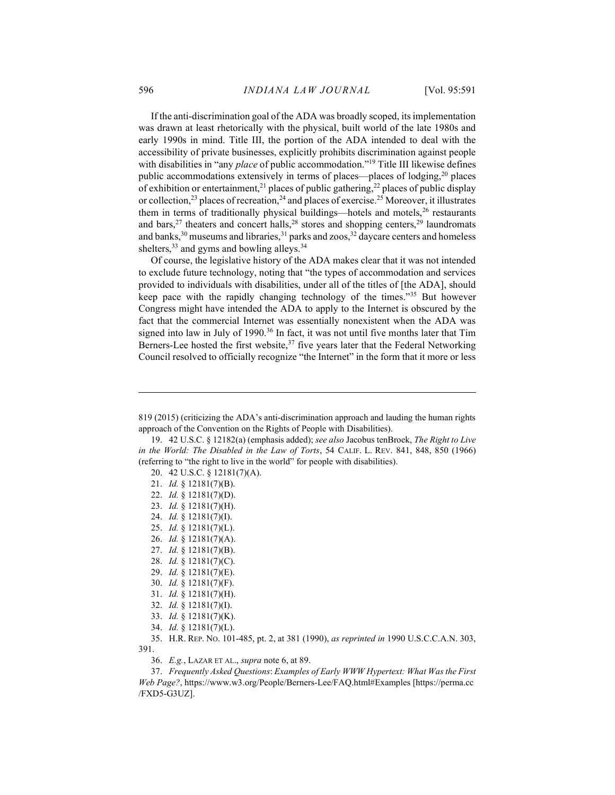If the anti-discrimination goal of the ADA was broadly scoped, its implementation was drawn at least rhetorically with the physical, built world of the late 1980s and early 1990s in mind. Title III, the portion of the ADA intended to deal with the accessibility of private businesses, explicitly prohibits discrimination against people with disabilities in "any *place* of public accommodation."<sup>19</sup> Title III likewise defines public accommodations extensively in terms of places—places of lodging,<sup>20</sup> places of exhibition or entertainment,<sup>21</sup> places of public gathering,<sup>22</sup> places of public display or collection,<sup>23</sup> places of recreation,<sup>24</sup> and places of exercise.<sup>25</sup> Moreover, it illustrates them in terms of traditionally physical buildings—hotels and motels,<sup>26</sup> restaurants and bars,  $27$  theaters and concert halls,  $28$  stores and shopping centers,  $29$  laundromats and banks, $30$  museums and libraries, $31$  parks and zoos, $32$  daycare centers and homeless shelters,<sup>33</sup> and gyms and bowling alleys.<sup>34</sup>

Of course, the legislative history of the ADA makes clear that it was not intended to exclude future technology, noting that "the types of accommodation and services provided to individuals with disabilities, under all of the titles of [the ADA], should keep pace with the rapidly changing technology of the times."<sup>35</sup> But however Congress might have intended the ADA to apply to the Internet is obscured by the fact that the commercial Internet was essentially nonexistent when the ADA was signed into law in July of 1990.<sup>36</sup> In fact, it was not until five months later that Tim Berners-Lee hosted the first website,<sup>37</sup> five years later that the Federal Networking Council resolved to officially recognize "the Internet" in the form that it more or less

- 21. Id. § 12181(7)(B).
- 22. Id. § 12181(7)(D).
- 23. Id. § 12181(7)(H).
- 24. Id. § 12181(7)(I).
- 25. Id. § 12181(7)(L).
- 26. Id. § 12181(7)(A).
- 27. Id. § 12181(7)(B).
- 28. Id. § 12181(7)(C).
- 29. Id. § 12181(7)(E).
- 30. Id. § 12181(7)(F).
- 31. Id. § 12181(7)(H).
- 32. Id. § 12181(7)(I).
- 33. Id. § 12181(7)(K).
- 
- 34. Id. § 12181(7)(L).

36. E.g., LAZAR ET AL., supra note 6, at 89.

 37. Frequently Asked Questions: Examples of Early WWW Hypertext: What Was the First Web Page?, https://www.w3.org/People/Berners-Lee/FAQ.html#Examples [https://perma.cc /FXD5-G3UZ].

<sup>819 (2015) (</sup>criticizing the ADA's anti-discrimination approach and lauding the human rights approach of the Convention on the Rights of People with Disabilities).

<sup>19. 42</sup> U.S.C. § 12182(a) (emphasis added); see also Jacobus tenBroek, The Right to Live in the World: The Disabled in the Law of Torts, 54 CALIF. L. REV. 841, 848, 850 (1966) (referring to "the right to live in the world" for people with disabilities).

 <sup>20. 42</sup> U.S.C. § 12181(7)(A).

 <sup>35.</sup> H.R. REP. NO. 101-485, pt. 2, at 381 (1990), as reprinted in 1990 U.S.C.C.A.N. 303, 391.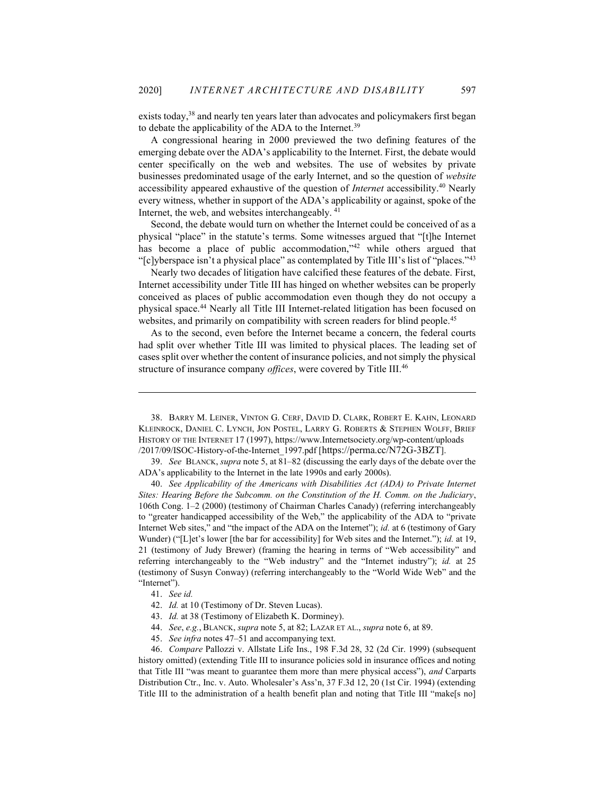exists today,<sup>38</sup> and nearly ten years later than advocates and policymakers first began to debate the applicability of the ADA to the Internet.<sup>39</sup>

A congressional hearing in 2000 previewed the two defining features of the emerging debate over the ADA's applicability to the Internet. First, the debate would center specifically on the web and websites. The use of websites by private businesses predominated usage of the early Internet, and so the question of website accessibility appeared exhaustive of the question of Internet accessibility.<sup>40</sup> Nearly every witness, whether in support of the ADA's applicability or against, spoke of the Internet, the web, and websites interchangeably. <sup>41</sup>

Second, the debate would turn on whether the Internet could be conceived of as a physical "place" in the statute's terms. Some witnesses argued that "[t]he Internet has become a place of public accommodation,"<sup>42</sup> while others argued that "[c]yberspace isn't a physical place" as contemplated by Title III's list of "places."<sup>43</sup>

Nearly two decades of litigation have calcified these features of the debate. First, Internet accessibility under Title III has hinged on whether websites can be properly conceived as places of public accommodation even though they do not occupy a physical space.<sup>44</sup> Nearly all Title III Internet-related litigation has been focused on websites, and primarily on compatibility with screen readers for blind people.<sup>45</sup>

As to the second, even before the Internet became a concern, the federal courts had split over whether Title III was limited to physical places. The leading set of cases split over whether the content of insurance policies, and not simply the physical structure of insurance company offices, were covered by Title III.<sup>46</sup>

 39. See BLANCK, supra note 5, at 81–82 (discussing the early days of the debate over the ADA's applicability to the Internet in the late 1990s and early 2000s).

 40. See Applicability of the Americans with Disabilities Act (ADA) to Private Internet Sites: Hearing Before the Subcomm. on the Constitution of the H. Comm. on the Judiciary, 106th Cong. 1–2 (2000) (testimony of Chairman Charles Canady) (referring interchangeably to "greater handicapped accessibility of the Web," the applicability of the ADA to "private Internet Web sites," and "the impact of the ADA on the Internet"); id. at 6 (testimony of Gary Wunder) ("[L]et's lower [the bar for accessibility] for Web sites and the Internet."); id. at 19, 21 (testimony of Judy Brewer) (framing the hearing in terms of "Web accessibility" and referring interchangeably to the "Web industry" and the "Internet industry"); id. at 25 (testimony of Susyn Conway) (referring interchangeably to the "World Wide Web" and the "Internet").

- 43. Id. at 38 (Testimony of Elizabeth K. Dorminey).
- 44. See, e.g., BLANCK, supra note 5, at 82; LAZAR ET AL., supra note 6, at 89.
- 45. See infra notes 47–51 and accompanying text.

 46. Compare Pallozzi v. Allstate Life Ins., 198 F.3d 28, 32 (2d Cir. 1999) (subsequent history omitted) (extending Title III to insurance policies sold in insurance offices and noting that Title III "was meant to guarantee them more than mere physical access"), and Carparts Distribution Ctr., Inc. v. Auto. Wholesaler's Ass'n, 37 F.3d 12, 20 (1st Cir. 1994) (extending Title III to the administration of a health benefit plan and noting that Title III "make[s no]

 <sup>38.</sup> BARRY M. LEINER, VINTON G. CERF, DAVID D. CLARK, ROBERT E. KAHN, LEONARD KLEINROCK, DANIEL C. LYNCH, JON POSTEL, LARRY G. ROBERTS & STEPHEN WOLFF, BRIEF HISTORY OF THE INTERNET 17 (1997), https://www.Internetsociety.org/wp-content/uploads /2017/09/ISOC-History-of-the-Internet\_1997.pdf [https://perma.cc/N72G-3BZT].

 <sup>41.</sup> See id.

 <sup>42.</sup> Id. at 10 (Testimony of Dr. Steven Lucas).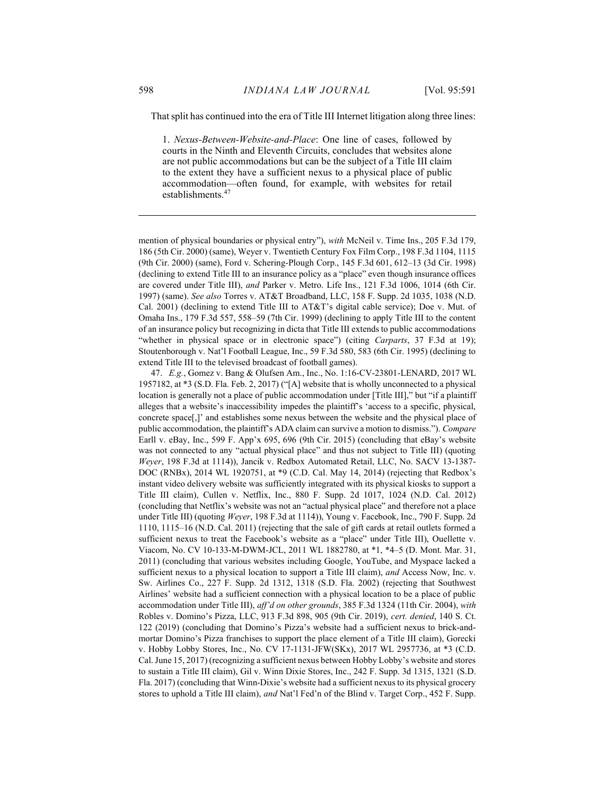That split has continued into the era of Title III Internet litigation along three lines:

1. Nexus-Between-Website-and-Place: One line of cases, followed by courts in the Ninth and Eleventh Circuits, concludes that websites alone are not public accommodations but can be the subject of a Title III claim to the extent they have a sufficient nexus to a physical place of public accommodation—often found, for example, with websites for retail establishments.<sup>47</sup>

mention of physical boundaries or physical entry"), with McNeil v. Time Ins., 205 F.3d 179, 186 (5th Cir. 2000) (same), Weyer v. Twentieth Century Fox Film Corp., 198 F.3d 1104, 1115 (9th Cir. 2000) (same), Ford v. Schering-Plough Corp., 145 F.3d 601, 612–13 (3d Cir. 1998) (declining to extend Title III to an insurance policy as a "place" even though insurance offices are covered under Title III), and Parker v. Metro. Life Ins., 121 F.3d 1006, 1014 (6th Cir. 1997) (same). See also Torres v. AT&T Broadband, LLC, 158 F. Supp. 2d 1035, 1038 (N.D. Cal. 2001) (declining to extend Title III to AT&T's digital cable service); Doe v. Mut. of Omaha Ins., 179 F.3d 557, 558–59 (7th Cir. 1999) (declining to apply Title III to the content of an insurance policy but recognizing in dicta that Title III extends to public accommodations "whether in physical space or in electronic space") (citing *Carparts*, 37 F.3d at 19); Stoutenborough v. Nat'l Football League, Inc., 59 F.3d 580, 583 (6th Cir. 1995) (declining to extend Title III to the televised broadcast of football games).

 47. E.g., Gomez v. Bang & Olufsen Am., Inc., No. 1:16-CV-23801-LENARD, 2017 WL 1957182, at \*3 (S.D. Fla. Feb. 2, 2017) ("[A] website that is wholly unconnected to a physical location is generally not a place of public accommodation under [Title III]," but "if a plaintiff alleges that a website's inaccessibility impedes the plaintiff's 'access to a specific, physical, concrete space[,]' and establishes some nexus between the website and the physical place of public accommodation, the plaintiff's ADA claim can survive a motion to dismiss."). Compare Earll v. eBay, Inc., 599 F. App'x 695, 696 (9th Cir. 2015) (concluding that eBay's website was not connected to any "actual physical place" and thus not subject to Title III) (quoting Weyer, 198 F.3d at 1114)), Jancik v. Redbox Automated Retail, LLC, No. SACV 13-1387- DOC (RNBx), 2014 WL 1920751, at \*9 (C.D. Cal. May 14, 2014) (rejecting that Redbox's instant video delivery website was sufficiently integrated with its physical kiosks to support a Title III claim), Cullen v. Netflix, Inc., 880 F. Supp. 2d 1017, 1024 (N.D. Cal. 2012) (concluding that Netflix's website was not an "actual physical place" and therefore not a place under Title III) (quoting Weyer, 198 F.3d at 1114)), Young v. Facebook, Inc., 790 F. Supp. 2d 1110, 1115–16 (N.D. Cal. 2011) (rejecting that the sale of gift cards at retail outlets formed a sufficient nexus to treat the Facebook's website as a "place" under Title III), Ouellette v. Viacom, No. CV 10-133-M-DWM-JCL, 2011 WL 1882780, at \*1, \*4–5 (D. Mont. Mar. 31, 2011) (concluding that various websites including Google, YouTube, and Myspace lacked a sufficient nexus to a physical location to support a Title III claim), and Access Now, Inc. v. Sw. Airlines Co., 227 F. Supp. 2d 1312, 1318 (S.D. Fla. 2002) (rejecting that Southwest Airlines' website had a sufficient connection with a physical location to be a place of public accommodation under Title III), aff'd on other grounds, 385 F.3d 1324 (11th Cir. 2004), with Robles v. Domino's Pizza, LLC, 913 F.3d 898, 905 (9th Cir. 2019), cert. denied, 140 S. Ct. 122 (2019) (concluding that Domino's Pizza's website had a sufficient nexus to brick-andmortar Domino's Pizza franchises to support the place element of a Title III claim), Gorecki v. Hobby Lobby Stores, Inc., No. CV 17-1131-JFW(SKx), 2017 WL 2957736, at \*3 (C.D. Cal. June 15, 2017) (recognizing a sufficient nexus between Hobby Lobby's website and stores to sustain a Title III claim), Gil v. Winn Dixie Stores, Inc., 242 F. Supp. 3d 1315, 1321 (S.D. Fla. 2017) (concluding that Winn-Dixie's website had a sufficient nexus to its physical grocery stores to uphold a Title III claim), and Nat'l Fed'n of the Blind v. Target Corp., 452 F. Supp.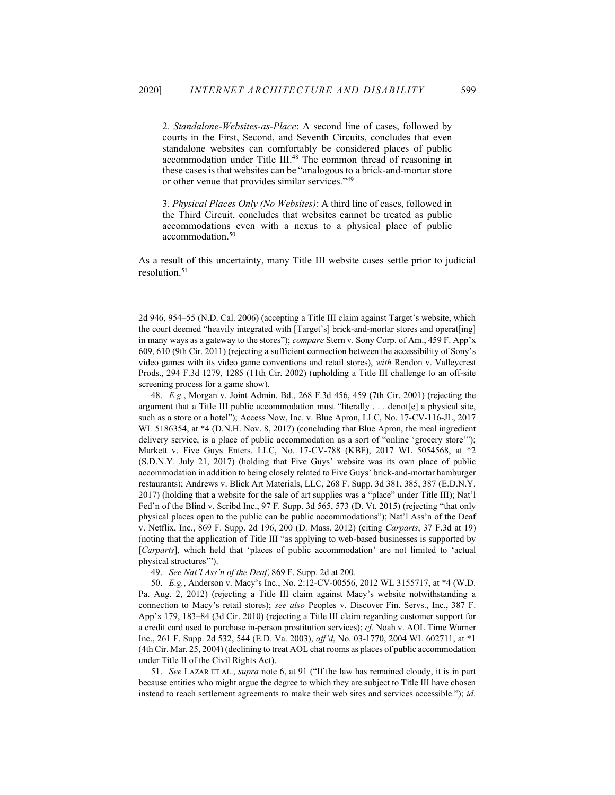2. Standalone-Websites-as-Place: A second line of cases, followed by courts in the First, Second, and Seventh Circuits, concludes that even standalone websites can comfortably be considered places of public accommodation under Title III.<sup>48</sup> The common thread of reasoning in these cases is that websites can be "analogous to a brick-and-mortar store or other venue that provides similar services."<sup>49</sup>

3. Physical Places Only (No Websites): A third line of cases, followed in the Third Circuit, concludes that websites cannot be treated as public accommodations even with a nexus to a physical place of public accommodation.<sup>50</sup>

As a result of this uncertainty, many Title III website cases settle prior to judicial resolution.<sup>51</sup>

2d 946, 954–55 (N.D. Cal. 2006) (accepting a Title III claim against Target's website, which the court deemed "heavily integrated with [Target's] brick-and-mortar stores and operat[ing] in many ways as a gateway to the stores"); compare Stern v. Sony Corp. of Am., 459 F. App'x 609, 610 (9th Cir. 2011) (rejecting a sufficient connection between the accessibility of Sony's video games with its video game conventions and retail stores), with Rendon v. Valleycrest Prods., 294 F.3d 1279, 1285 (11th Cir. 2002) (upholding a Title III challenge to an off-site screening process for a game show).

 48. E.g., Morgan v. Joint Admin. Bd., 268 F.3d 456, 459 (7th Cir. 2001) (rejecting the argument that a Title III public accommodation must "literally . . . denot[e] a physical site, such as a store or a hotel"); Access Now, Inc. v. Blue Apron, LLC, No. 17-CV-116-JL, 2017 WL 5186354, at \*4 (D.N.H. Nov. 8, 2017) (concluding that Blue Apron, the meal ingredient delivery service, is a place of public accommodation as a sort of "online 'grocery store'"); Markett v. Five Guys Enters. LLC, No. 17-CV-788 (KBF), 2017 WL 5054568, at \*2 (S.D.N.Y. July 21, 2017) (holding that Five Guys' website was its own place of public accommodation in addition to being closely related to Five Guys' brick-and-mortar hamburger restaurants); Andrews v. Blick Art Materials, LLC, 268 F. Supp. 3d 381, 385, 387 (E.D.N.Y. 2017) (holding that a website for the sale of art supplies was a "place" under Title III); Nat'l Fed'n of the Blind v. Scribd Inc., 97 F. Supp. 3d 565, 573 (D. Vt. 2015) (rejecting "that only physical places open to the public can be public accommodations"); Nat'l Ass'n of the Deaf v. Netflix, Inc., 869 F. Supp. 2d 196, 200 (D. Mass. 2012) (citing Carparts, 37 F.3d at 19) (noting that the application of Title III "as applying to web-based businesses is supported by [Carparts], which held that 'places of public accommodation' are not limited to 'actual physical structures'").

49. See Nat'l Ass'n of the Deaf, 869 F. Supp. 2d at 200.

 50. E.g., Anderson v. Macy's Inc., No. 2:12-CV-00556, 2012 WL 3155717, at \*4 (W.D. Pa. Aug. 2, 2012) (rejecting a Title III claim against Macy's website notwithstanding a connection to Macy's retail stores); see also Peoples v. Discover Fin. Servs., Inc., 387 F. App'x 179, 183–84 (3d Cir. 2010) (rejecting a Title III claim regarding customer support for a credit card used to purchase in-person prostitution services); cf. Noah v. AOL Time Warner Inc., 261 F. Supp. 2d 532, 544 (E.D. Va. 2003), aff'd, No. 03-1770, 2004 WL 602711, at \*1 (4th Cir. Mar. 25, 2004) (declining to treat AOL chat rooms as places of public accommodation under Title II of the Civil Rights Act).

 51. See LAZAR ET AL., supra note 6, at 91 ("If the law has remained cloudy, it is in part because entities who might argue the degree to which they are subject to Title III have chosen instead to reach settlement agreements to make their web sites and services accessible."); id.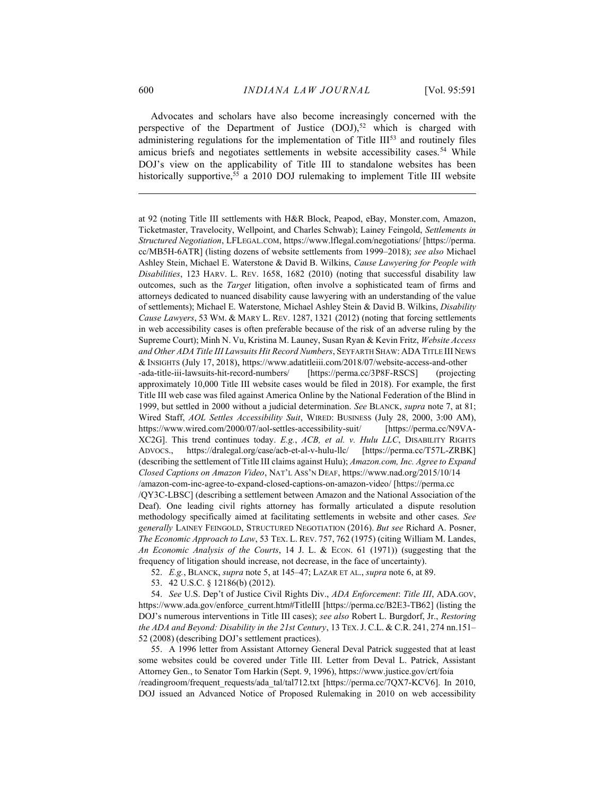Advocates and scholars have also become increasingly concerned with the perspective of the Department of Justice  $(DOJ)$ ,<sup>52</sup> which is charged with administering regulations for the implementation of Title III<sup>53</sup> and routinely files amicus briefs and negotiates settlements in website accessibility cases.<sup>54</sup> While DOJ's view on the applicability of Title III to standalone websites has been historically supportive,<sup>55</sup> a 2010 DOJ rulemaking to implement Title III website

53. 42 U.S.C. § 12186(b) (2012).

 54. See U.S. Dep't of Justice Civil Rights Div., ADA Enforcement: Title III, ADA.GOV, https://www.ada.gov/enforce\_current.htm#TitleIII [https://perma.cc/B2E3-TB62] (listing the DOJ's numerous interventions in Title III cases); see also Robert L. Burgdorf, Jr., Restoring the ADA and Beyond: Disability in the 21st Century, 13 TEX. J. C.L. & C.R. 241, 274 nn.151– 52 (2008) (describing DOJ's settlement practices).

 55. A 1996 letter from Assistant Attorney General Deval Patrick suggested that at least some websites could be covered under Title III. Letter from Deval L. Patrick, Assistant Attorney Gen., to Senator Tom Harkin (Sept. 9, 1996), https://www.justice.gov/crt/foia /readingroom/frequent\_requests/ada\_tal/tal712.txt [https://perma.cc/7QX7-KCV6]. In 2010, DOJ issued an Advanced Notice of Proposed Rulemaking in 2010 on web accessibility

at 92 (noting Title III settlements with H&R Block, Peapod, eBay, Monster.com, Amazon, Ticketmaster, Travelocity, Wellpoint, and Charles Schwab); Lainey Feingold, Settlements in Structured Negotiation, LFLEGAL.COM, https://www.lflegal.com/negotiations/ [https://perma. cc/MB5H-6ATR] (listing dozens of website settlements from 1999–2018); see also Michael Ashley Stein, Michael E. Waterstone & David B. Wilkins, Cause Lawyering for People with Disabilities, 123 HARV. L. REV. 1658, 1682 (2010) (noting that successful disability law outcomes, such as the Target litigation, often involve a sophisticated team of firms and attorneys dedicated to nuanced disability cause lawyering with an understanding of the value of settlements); Michael E. Waterstone, Michael Ashley Stein & David B. Wilkins, Disability Cause Lawyers, 53 WM. & MARY L. REV. 1287, 1321 (2012) (noting that forcing settlements in web accessibility cases is often preferable because of the risk of an adverse ruling by the Supreme Court); Minh N. Vu, Kristina M. Launey, Susan Ryan & Kevin Fritz, Website Access and Other ADA Title III Lawsuits Hit Record Numbers, SEYFARTH SHAW: ADA TITLE III NEWS & INSIGHTS (July 17, 2018), https://www.adatitleiii.com/2018/07/website-access-and-other -ada-title-iii-lawsuits-hit-record-numbers/ [https://perma.cc/3P8F-RSCS] (projecting approximately 10,000 Title III website cases would be filed in 2018). For example, the first Title III web case was filed against America Online by the National Federation of the Blind in 1999, but settled in 2000 without a judicial determination. See BLANCK, supra note 7, at 81; Wired Staff, AOL Settles Accessibility Suit, WIRED: BUSINESS (July 28, 2000, 3:00 AM), https://www.wired.com/2000/07/aol-settles-accessibility-suit/ [https://perma.cc/N9VA-XC2G]. This trend continues today. E.g., ACB, et al. v. Hulu LLC, DISABILITY RIGHTS ADVOCS., https://dralegal.org/case/acb-et-al-v-hulu-llc/ [https://perma.cc/T57L-ZRBK] (describing the settlement of Title III claims against Hulu); Amazon.com, Inc. Agree to Expand Closed Captions on Amazon Video, NAT'L ASS'N DEAF, https://www.nad.org/2015/10/14 /amazon-com-inc-agree-to-expand-closed-captions-on-amazon-video/ [https://perma.cc /QY3C-LBSC] (describing a settlement between Amazon and the National Association of the Deaf). One leading civil rights attorney has formally articulated a dispute resolution methodology specifically aimed at facilitating settlements in website and other cases. See generally LAINEY FEINGOLD, STRUCTURED NEGOTIATION (2016). But see Richard A. Posner, The Economic Approach to Law, 53 TEX. L. REV. 757, 762 (1975) (citing William M. Landes, An Economic Analysis of the Courts, 14 J. L. & Econ. 61 (1971)) (suggesting that the frequency of litigation should increase, not decrease, in the face of uncertainty).

 <sup>52.</sup> E.g., BLANCK, supra note 5, at 145–47; LAZAR ET AL., supra note 6, at 89.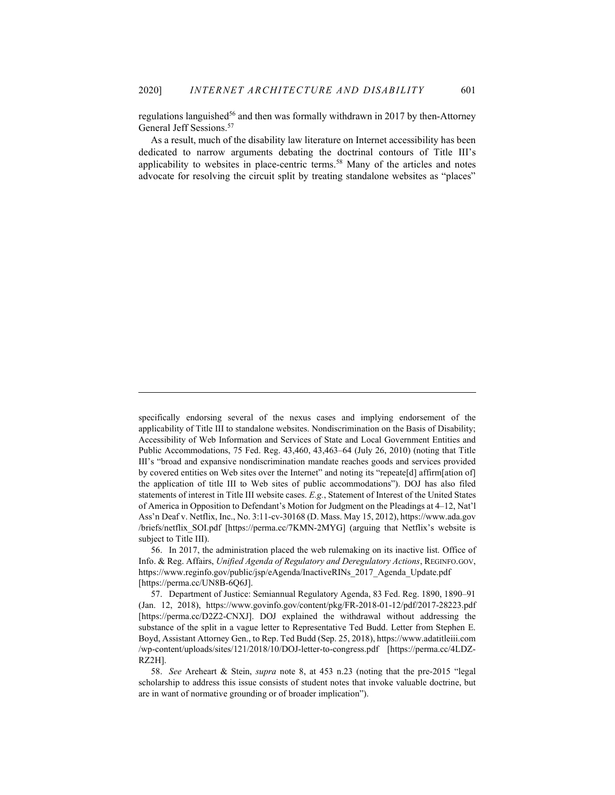regulations languished<sup>56</sup> and then was formally withdrawn in 2017 by then-Attorney General Jeff Sessions.<sup>57</sup>

As a result, much of the disability law literature on Internet accessibility has been dedicated to narrow arguments debating the doctrinal contours of Title III's applicability to websites in place-centric terms.<sup>58</sup> Many of the articles and notes advocate for resolving the circuit split by treating standalone websites as "places"

specifically endorsing several of the nexus cases and implying endorsement of the applicability of Title III to standalone websites. Nondiscrimination on the Basis of Disability; Accessibility of Web Information and Services of State and Local Government Entities and Public Accommodations, 75 Fed. Reg. 43,460, 43,463–64 (July 26, 2010) (noting that Title III's "broad and expansive nondiscrimination mandate reaches goods and services provided by covered entities on Web sites over the Internet" and noting its "repeate[d] affirm[ation of] the application of title III to Web sites of public accommodations"). DOJ has also filed statements of interest in Title III website cases. E.g., Statement of Interest of the United States of America in Opposition to Defendant's Motion for Judgment on the Pleadings at 4–12, Nat'l Ass'n Deaf v. Netflix, Inc., No. 3:11-cv-30168 (D. Mass. May 15, 2012), https://www.ada.gov /briefs/netflix\_SOI.pdf [https://perma.cc/7KMN-2MYG] (arguing that Netflix's website is subject to Title III).

 56. In 2017, the administration placed the web rulemaking on its inactive list. Office of Info. & Reg. Affairs, Unified Agenda of Regulatory and Deregulatory Actions, REGINFO.GOV, https://www.reginfo.gov/public/jsp/eAgenda/InactiveRINs\_2017\_Agenda\_Update.pdf [https://perma.cc/UN8B-6Q6J].

 57. Department of Justice: Semiannual Regulatory Agenda, 83 Fed. Reg. 1890, 1890–91 (Jan. 12, 2018), https://www.govinfo.gov/content/pkg/FR-2018-01-12/pdf/2017-28223.pdf [https://perma.cc/D2Z2-CNXJ]. DOJ explained the withdrawal without addressing the substance of the split in a vague letter to Representative Ted Budd. Letter from Stephen E. Boyd, Assistant Attorney Gen., to Rep. Ted Budd (Sep. 25, 2018), https://www.adatitleiii.com /wp-content/uploads/sites/121/2018/10/DOJ-letter-to-congress.pdf [https://perma.cc/4LDZ-RZ2H].

 58. See Areheart & Stein, supra note 8, at 453 n.23 (noting that the pre-2015 "legal scholarship to address this issue consists of student notes that invoke valuable doctrine, but are in want of normative grounding or of broader implication").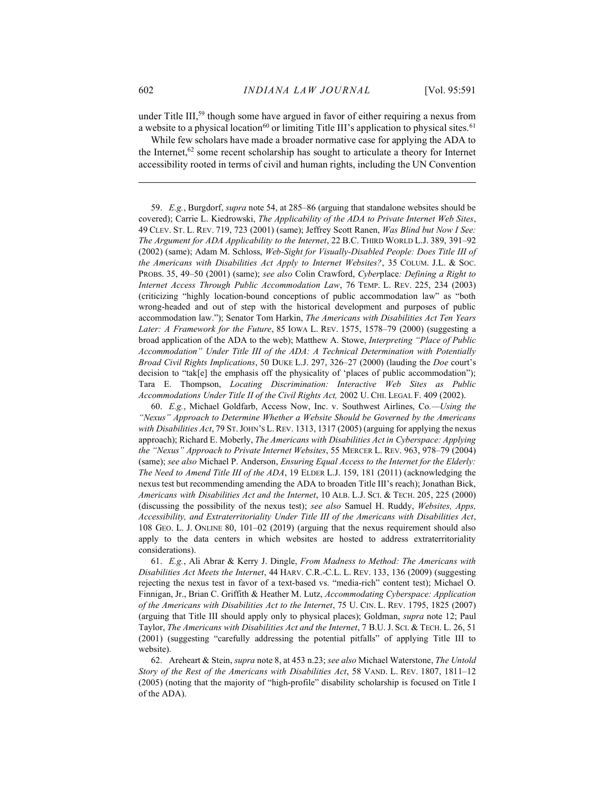under Title III,<sup>59</sup> though some have argued in favor of either requiring a nexus from a website to a physical location<sup>60</sup> or limiting Title III's application to physical sites.<sup>61</sup>

While few scholars have made a broader normative case for applying the ADA to the Internet,<sup>62</sup> some recent scholarship has sought to articulate a theory for Internet accessibility rooted in terms of civil and human rights, including the UN Convention

 59. E.g., Burgdorf, supra note 54, at 285–86 (arguing that standalone websites should be covered); Carrie L. Kiedrowski, The Applicability of the ADA to Private Internet Web Sites, 49 CLEV. ST. L. REV. 719, 723 (2001) (same); Jeffrey Scott Ranen, Was Blind but Now I See: The Argument for ADA Applicability to the Internet, 22 B.C. THIRD WORLD L.J. 389, 391–92 (2002) (same); Adam M. Schloss, Web-Sight for Visually-Disabled People: Does Title III of the Americans with Disabilities Act Apply to Internet Websites?, 35 COLUM. J.L. & SOC. PROBS. 35, 49–50 (2001) (same); see also Colin Crawford, Cyberplace: Defining a Right to Internet Access Through Public Accommodation Law, 76 TEMP. L. REV. 225, 234 (2003) (criticizing "highly location-bound conceptions of public accommodation law" as "both wrong-headed and out of step with the historical development and purposes of public accommodation law."); Senator Tom Harkin, The Americans with Disabilities Act Ten Years Later: A Framework for the Future, 85 IOWA L. REV. 1575, 1578–79 (2000) (suggesting a broad application of the ADA to the web); Matthew A. Stowe, Interpreting "Place of Public Accommodation" Under Title III of the ADA: A Technical Determination with Potentially Broad Civil Rights Implications, 50 DUKE L.J. 297, 326–27 (2000) (lauding the Doe court's decision to "tak[e] the emphasis off the physicality of 'places of public accommodation"); Tara E. Thompson, Locating Discrimination: Interactive Web Sites as Public Accommodations Under Title II of the Civil Rights Act, 2002 U. CHI. LEGAL F. 409 (2002).

 60. E.g., Michael Goldfarb, Access Now, Inc. v. Southwest Airlines, Co.—Using the "Nexus" Approach to Determine Whether a Website Should be Governed by the Americans with Disabilities Act, 79 ST. JOHN'S L. REV. 1313, 1317 (2005) (arguing for applying the nexus approach); Richard E. Moberly, The Americans with Disabilities Act in Cyberspace: Applying the "Nexus" Approach to Private Internet Websites, 55 MERCER L. REV. 963, 978–79 (2004) (same); see also Michael P. Anderson, Ensuring Equal Access to the Internet for the Elderly: The Need to Amend Title III of the ADA, 19 ELDER L.J. 159, 181 (2011) (acknowledging the nexus test but recommending amending the ADA to broaden Title III's reach); Jonathan Bick, Americans with Disabilities Act and the Internet, 10 ALB. L.J. SCI. & TECH. 205, 225 (2000) (discussing the possibility of the nexus test); see also Samuel H. Ruddy, Websites, Apps, Accessibility, and Extraterritoriality Under Title III of the Americans with Disabilities Act, 108 GEO. L. J. ONLINE 80, 101–02 (2019) (arguing that the nexus requirement should also apply to the data centers in which websites are hosted to address extraterritoriality considerations).

 61. E.g., Ali Abrar & Kerry J. Dingle, From Madness to Method: The Americans with Disabilities Act Meets the Internet, 44 HARV. C.R.-C.L. L. REV. 133, 136 (2009) (suggesting rejecting the nexus test in favor of a text-based vs. "media-rich" content test); Michael O. Finnigan, Jr., Brian C. Griffith & Heather M. Lutz, Accommodating Cyberspace: Application of the Americans with Disabilities Act to the Internet, 75 U. CIN. L. REV. 1795, 1825 (2007) (arguing that Title III should apply only to physical places); Goldman, supra note 12; Paul Taylor, The Americans with Disabilities Act and the Internet, 7 B.U. J. SCI. & TECH. L. 26, 51 (2001) (suggesting "carefully addressing the potential pitfalls" of applying Title III to website).

 62. Areheart & Stein, supra note 8, at 453 n.23; see also Michael Waterstone, The Untold Story of the Rest of the Americans with Disabilities Act, 58 VAND. L. REV. 1807, 1811–12 (2005) (noting that the majority of "high-profile" disability scholarship is focused on Title I of the ADA).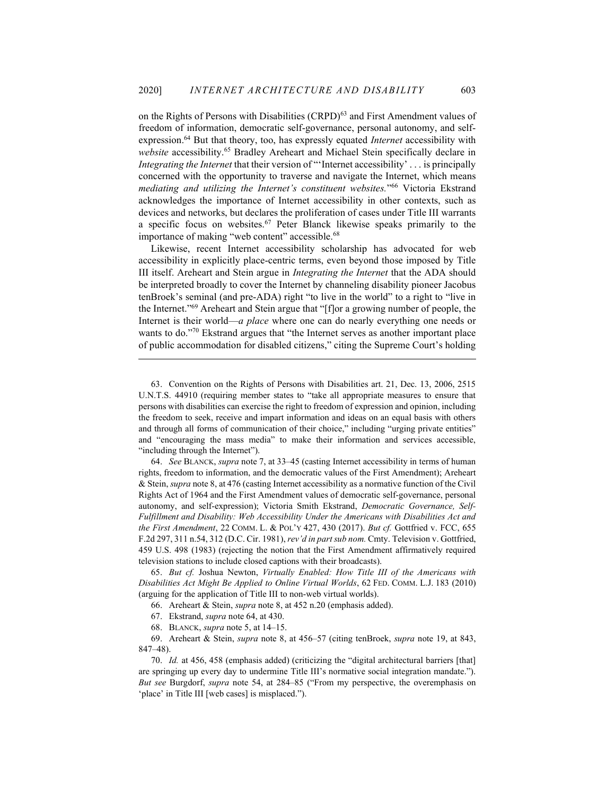on the Rights of Persons with Disabilities (CRPD)<sup>63</sup> and First Amendment values of freedom of information, democratic self-governance, personal autonomy, and selfexpression.<sup>64</sup> But that theory, too, has expressly equated Internet accessibility with website accessibility.<sup>65</sup> Bradley Areheart and Michael Stein specifically declare in Integrating the Internet that their version of "'Internet accessibility' . . . is principally concerned with the opportunity to traverse and navigate the Internet, which means mediating and utilizing the Internet's constituent websites."<sup>66</sup> Victoria Ekstrand acknowledges the importance of Internet accessibility in other contexts, such as devices and networks, but declares the proliferation of cases under Title III warrants a specific focus on websites.<sup>67</sup> Peter Blanck likewise speaks primarily to the importance of making "web content" accessible.<sup>68</sup>

Likewise, recent Internet accessibility scholarship has advocated for web accessibility in explicitly place-centric terms, even beyond those imposed by Title III itself. Areheart and Stein argue in Integrating the Internet that the ADA should be interpreted broadly to cover the Internet by channeling disability pioneer Jacobus tenBroek's seminal (and pre-ADA) right "to live in the world" to a right to "live in the Internet."<sup>69</sup> Areheart and Stein argue that "[f]or a growing number of people, the Internet is their world—a place where one can do nearly everything one needs or wants to do."70 Ekstrand argues that "the Internet serves as another important place of public accommodation for disabled citizens," citing the Supreme Court's holding

 64. See BLANCK, supra note 7, at 33–45 (casting Internet accessibility in terms of human rights, freedom to information, and the democratic values of the First Amendment); Areheart & Stein, supra note 8, at 476 (casting Internet accessibility as a normative function of the Civil Rights Act of 1964 and the First Amendment values of democratic self-governance, personal autonomy, and self-expression); Victoria Smith Ekstrand, Democratic Governance, Self-Fulfillment and Disability: Web Accessibility Under the Americans with Disabilities Act and the First Amendment, 22 COMM. L. & POL'Y 427, 430 (2017). But cf. Gottfried v. FCC, 655 F.2d 297, 311 n.54, 312 (D.C. Cir. 1981), rev'd in part sub nom. Cmty. Television v. Gottfried, 459 U.S. 498 (1983) (rejecting the notion that the First Amendment affirmatively required television stations to include closed captions with their broadcasts).

 65. But cf. Joshua Newton, Virtually Enabled: How Title III of the Americans with Disabilities Act Might Be Applied to Online Virtual Worlds, 62 FED. COMM. L.J. 183 (2010) (arguing for the application of Title III to non-web virtual worlds).

66. Areheart & Stein, supra note 8, at 452 n.20 (emphasis added).

 69. Areheart & Stein, supra note 8, at 456–57 (citing tenBroek, supra note 19, at 843, 847–48).

 <sup>63.</sup> Convention on the Rights of Persons with Disabilities art. 21, Dec. 13, 2006, 2515 U.N.T.S. 44910 (requiring member states to "take all appropriate measures to ensure that persons with disabilities can exercise the right to freedom of expression and opinion, including the freedom to seek, receive and impart information and ideas on an equal basis with others and through all forms of communication of their choice," including "urging private entities" and "encouraging the mass media" to make their information and services accessible, "including through the Internet").

 <sup>67.</sup> Ekstrand, supra note 64, at 430.

 <sup>68.</sup> BLANCK, supra note 5, at 14–15.

 <sup>70.</sup> Id. at 456, 458 (emphasis added) (criticizing the "digital architectural barriers [that] are springing up every day to undermine Title III's normative social integration mandate."). But see Burgdorf, supra note 54, at 284–85 ("From my perspective, the overemphasis on 'place' in Title III [web cases] is misplaced.").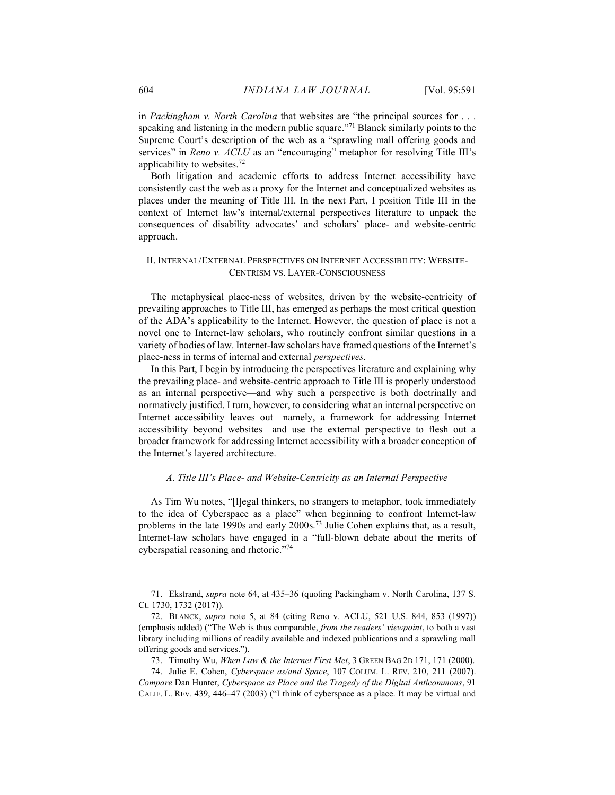in Packingham v. North Carolina that websites are "the principal sources for  $\dots$ speaking and listening in the modern public square."<sup>71</sup> Blanck similarly points to the Supreme Court's description of the web as a "sprawling mall offering goods and services" in Reno v. ACLU as an "encouraging" metaphor for resolving Title III's applicability to websites.<sup>72</sup>

Both litigation and academic efforts to address Internet accessibility have consistently cast the web as a proxy for the Internet and conceptualized websites as places under the meaning of Title III. In the next Part, I position Title III in the context of Internet law's internal/external perspectives literature to unpack the consequences of disability advocates' and scholars' place- and website-centric approach.

#### II. INTERNAL/EXTERNAL PERSPECTIVES ON INTERNET ACCESSIBILITY: WEBSITE-CENTRISM VS. LAYER-CONSCIOUSNESS

The metaphysical place-ness of websites, driven by the website-centricity of prevailing approaches to Title III, has emerged as perhaps the most critical question of the ADA's applicability to the Internet. However, the question of place is not a novel one to Internet-law scholars, who routinely confront similar questions in a variety of bodies of law. Internet-law scholars have framed questions of the Internet's place-ness in terms of internal and external perspectives.

In this Part, I begin by introducing the perspectives literature and explaining why the prevailing place- and website-centric approach to Title III is properly understood as an internal perspective—and why such a perspective is both doctrinally and normatively justified. I turn, however, to considering what an internal perspective on Internet accessibility leaves out—namely, a framework for addressing Internet accessibility beyond websites—and use the external perspective to flesh out a broader framework for addressing Internet accessibility with a broader conception of the Internet's layered architecture.

## A. Title III's Place- and Website-Centricity as an Internal Perspective

As Tim Wu notes, "[l]egal thinkers, no strangers to metaphor, took immediately to the idea of Cyberspace as a place" when beginning to confront Internet-law problems in the late 1990s and early 2000s.<sup>73</sup> Julie Cohen explains that, as a result, Internet-law scholars have engaged in a "full-blown debate about the merits of cyberspatial reasoning and rhetoric."74

 <sup>71.</sup> Ekstrand, supra note 64, at 435–36 (quoting Packingham v. North Carolina, 137 S. Ct. 1730, 1732 (2017)).

 <sup>72.</sup> BLANCK, supra note 5, at 84 (citing Reno v. ACLU, 521 U.S. 844, 853 (1997)) (emphasis added) ("The Web is thus comparable, from the readers' viewpoint, to both a vast library including millions of readily available and indexed publications and a sprawling mall offering goods and services.").

 <sup>73.</sup> Timothy Wu, When Law & the Internet First Met, 3 GREEN BAG 2D 171, 171 (2000).

 <sup>74.</sup> Julie E. Cohen, Cyberspace as/and Space, 107 COLUM. L. REV. 210, 211 (2007). Compare Dan Hunter, Cyberspace as Place and the Tragedy of the Digital Anticommons, 91 CALIF. L. REV. 439, 446–47 (2003) ("I think of cyberspace as a place. It may be virtual and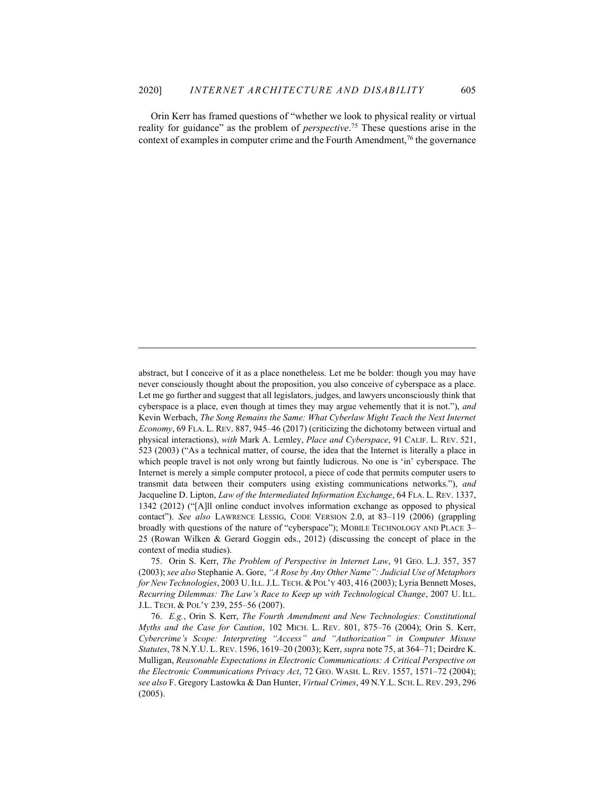Orin Kerr has framed questions of "whether we look to physical reality or virtual reality for guidance" as the problem of *perspective*.<sup>75</sup> These questions arise in the context of examples in computer crime and the Fourth Amendment,<sup>76</sup> the governance

 75. Orin S. Kerr, The Problem of Perspective in Internet Law, 91 GEO. L.J. 357, 357 (2003); see also Stephanie A. Gore, "A Rose by Any Other Name": Judicial Use of Metaphors for New Technologies, 2003 U.ILL. J.L. TECH. & POL'Y 403, 416 (2003); Lyria Bennett Moses, Recurring Dilemmas: The Law's Race to Keep up with Technological Change, 2007 U. ILL. J.L. TECH. & POL'Y 239, 255–56 (2007).

 76. E.g., Orin S. Kerr, The Fourth Amendment and New Technologies: Constitutional Myths and the Case for Caution, 102 MICH. L. REV. 801, 875–76 (2004); Orin S. Kerr, Cybercrime's Scope: Interpreting "Access" and "Authorization" in Computer Misuse Statutes, 78 N.Y.U. L. REV. 1596, 1619–20 (2003); Kerr, supra note 75, at 364–71; Deirdre K. Mulligan, Reasonable Expectations in Electronic Communications: A Critical Perspective on the Electronic Communications Privacy Act, 72 GEO. WASH. L. REV. 1557, 1571–72 (2004); see also F. Gregory Lastowka & Dan Hunter, Virtual Crimes, 49 N.Y.L. SCH. L. REV. 293, 296 (2005).

abstract, but I conceive of it as a place nonetheless. Let me be bolder: though you may have never consciously thought about the proposition, you also conceive of cyberspace as a place. Let me go further and suggest that all legislators, judges, and lawyers unconsciously think that cyberspace is a place, even though at times they may argue vehemently that it is not."), and Kevin Werbach, The Song Remains the Same: What Cyberlaw Might Teach the Next Internet Economy, 69 FLA. L. REV. 887, 945–46 (2017) (criticizing the dichotomy between virtual and physical interactions), with Mark A. Lemley, Place and Cyberspace, 91 CALIF. L. REV. 521, 523 (2003) ("As a technical matter, of course, the idea that the Internet is literally a place in which people travel is not only wrong but faintly ludicrous. No one is 'in' cyberspace. The Internet is merely a simple computer protocol, a piece of code that permits computer users to transmit data between their computers using existing communications networks."), and Jacqueline D. Lipton, Law of the Intermediated Information Exchange, 64 FLA. L. REV. 1337, 1342 (2012) ("[A]ll online conduct involves information exchange as opposed to physical contact"). See also LAWRENCE LESSIG, CODE VERSION 2.0, at 83–119 (2006) (grappling broadly with questions of the nature of "cyberspace"); MOBILE TECHNOLOGY AND PLACE 3– 25 (Rowan Wilken & Gerard Goggin eds., 2012) (discussing the concept of place in the context of media studies).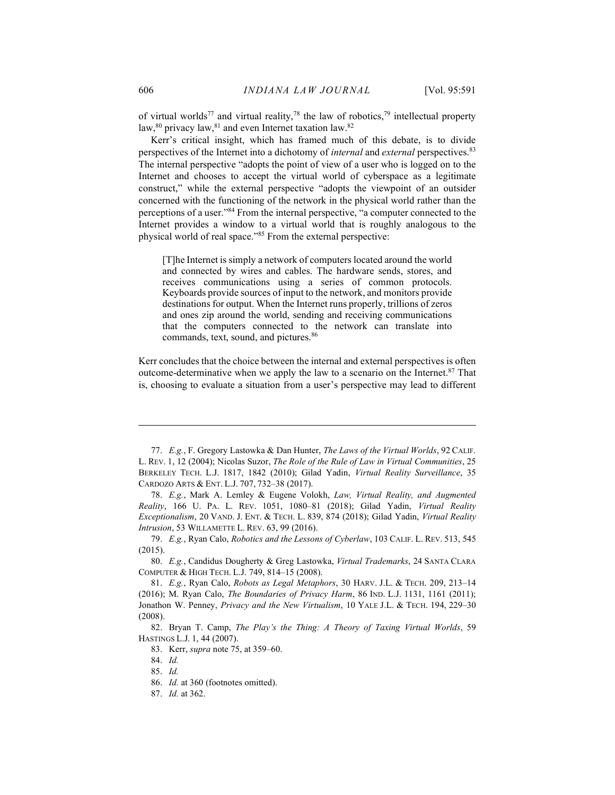of virtual worlds<sup>77</sup> and virtual reality,<sup>78</sup> the law of robotics,<sup>79</sup> intellectual property law, $80$  privacy law, $81$  and even Internet taxation law. $82$ 

Kerr's critical insight, which has framed much of this debate, is to divide perspectives of the Internet into a dichotomy of *internal* and *external* perspectives.<sup>83</sup> The internal perspective "adopts the point of view of a user who is logged on to the Internet and chooses to accept the virtual world of cyberspace as a legitimate construct," while the external perspective "adopts the viewpoint of an outsider concerned with the functioning of the network in the physical world rather than the perceptions of a user."<sup>84</sup> From the internal perspective, "a computer connected to the Internet provides a window to a virtual world that is roughly analogous to the physical world of real space."<sup>85</sup> From the external perspective:

[T]he Internet is simply a network of computers located around the world and connected by wires and cables. The hardware sends, stores, and receives communications using a series of common protocols. Keyboards provide sources of input to the network, and monitors provide destinations for output. When the Internet runs properly, trillions of zeros and ones zip around the world, sending and receiving communications that the computers connected to the network can translate into commands, text, sound, and pictures.<sup>86</sup>

Kerr concludes that the choice between the internal and external perspectives is often outcome-determinative when we apply the law to a scenario on the Internet.<sup>87</sup> That is, choosing to evaluate a situation from a user's perspective may lead to different

 <sup>77.</sup> E.g., F. Gregory Lastowka & Dan Hunter, The Laws of the Virtual Worlds, 92 CALIF. L. REV. 1, 12 (2004); Nicolas Suzor, The Role of the Rule of Law in Virtual Communities, 25 BERKELEY TECH. L.J. 1817, 1842 (2010); Gilad Yadin, Virtual Reality Surveillance, 35 CARDOZO ARTS & ENT. L.J. 707, 732–38 (2017).

 <sup>78.</sup> E.g., Mark A. Lemley & Eugene Volokh, Law, Virtual Reality, and Augmented Reality, 166 U. PA. L. REV. 1051, 1080–81 (2018); Gilad Yadin, Virtual Reality Exceptionalism, 20 VAND. J. ENT. & TECH. L. 839, 874 (2018); Gilad Yadin, Virtual Reality Intrusion, 53 WILLAMETTE L. REV. 63, 99 (2016).

 <sup>79.</sup> E.g., Ryan Calo, Robotics and the Lessons of Cyberlaw, 103 CALIF. L. REV. 513, 545 (2015).

 <sup>80.</sup> E.g., Candidus Dougherty & Greg Lastowka, Virtual Trademarks, 24 SANTA CLARA COMPUTER & HIGH TECH. L.J. 749, 814–15 (2008).

 <sup>81.</sup> E.g., Ryan Calo, Robots as Legal Metaphors, 30 HARV. J.L. & TECH. 209, 213–14 (2016); M. Ryan Calo, The Boundaries of Privacy Harm, 86 IND. L.J. 1131, 1161 (2011); Jonathon W. Penney, Privacy and the New Virtualism, 10 YALE J.L. & TECH. 194, 229–30 (2008).

 <sup>82.</sup> Bryan T. Camp, The Play's the Thing: A Theory of Taxing Virtual Worlds, 59 HASTINGS L.J. 1, 44 (2007).

 <sup>83.</sup> Kerr, supra note 75, at 359–60.

 <sup>84.</sup> Id.

 <sup>85.</sup> Id.

 <sup>86.</sup> Id. at 360 (footnotes omitted).

 <sup>87.</sup> Id. at 362.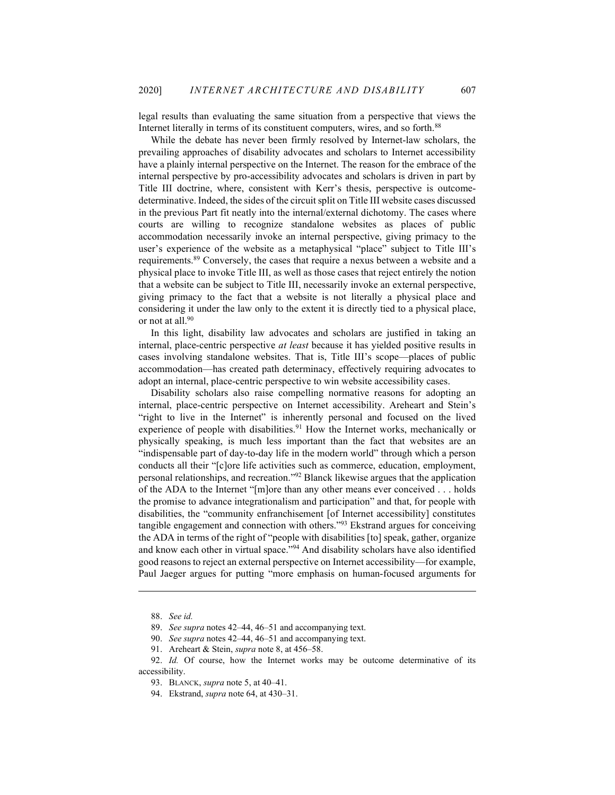legal results than evaluating the same situation from a perspective that views the Internet literally in terms of its constituent computers, wires, and so forth.<sup>88</sup>

While the debate has never been firmly resolved by Internet-law scholars, the prevailing approaches of disability advocates and scholars to Internet accessibility have a plainly internal perspective on the Internet. The reason for the embrace of the internal perspective by pro-accessibility advocates and scholars is driven in part by Title III doctrine, where, consistent with Kerr's thesis, perspective is outcomedeterminative. Indeed, the sides of the circuit split on Title III website cases discussed in the previous Part fit neatly into the internal/external dichotomy. The cases where courts are willing to recognize standalone websites as places of public accommodation necessarily invoke an internal perspective, giving primacy to the user's experience of the website as a metaphysical "place" subject to Title III's requirements.<sup>89</sup> Conversely, the cases that require a nexus between a website and a physical place to invoke Title III, as well as those cases that reject entirely the notion that a website can be subject to Title III, necessarily invoke an external perspective, giving primacy to the fact that a website is not literally a physical place and considering it under the law only to the extent it is directly tied to a physical place, or not at all.<sup>90</sup>

In this light, disability law advocates and scholars are justified in taking an internal, place-centric perspective at least because it has yielded positive results in cases involving standalone websites. That is, Title III's scope—places of public accommodation—has created path determinacy, effectively requiring advocates to adopt an internal, place-centric perspective to win website accessibility cases.

Disability scholars also raise compelling normative reasons for adopting an internal, place-centric perspective on Internet accessibility. Areheart and Stein's "right to live in the Internet" is inherently personal and focused on the lived experience of people with disabilities.<sup>91</sup> How the Internet works, mechanically or physically speaking, is much less important than the fact that websites are an "indispensable part of day-to-day life in the modern world" through which a person conducts all their "[c]ore life activities such as commerce, education, employment, personal relationships, and recreation."<sup>92</sup> Blanck likewise argues that the application of the ADA to the Internet "[m]ore than any other means ever conceived . . . holds the promise to advance integrationalism and participation" and that, for people with disabilities, the "community enfranchisement [of Internet accessibility] constitutes tangible engagement and connection with others."<sup>93</sup> Ekstrand argues for conceiving the ADA in terms of the right of "people with disabilities [to] speak, gather, organize and know each other in virtual space."<sup>94</sup> And disability scholars have also identified good reasons to reject an external perspective on Internet accessibility—for example, Paul Jaeger argues for putting "more emphasis on human-focused arguments for

 <sup>88.</sup> See id.

 <sup>89.</sup> See supra notes 42–44, 46–51 and accompanying text.

<sup>90.</sup> See supra notes 42–44, 46–51 and accompanying text.

<sup>91.</sup> Areheart & Stein, *supra* note 8, at 456–58.

<sup>92.</sup> Id. Of course, how the Internet works may be outcome determinative of its accessibility.

<sup>93.</sup> BLANCK, *supra* note 5, at 40–41.

<sup>94.</sup> Ekstrand, *supra* note 64, at 430–31.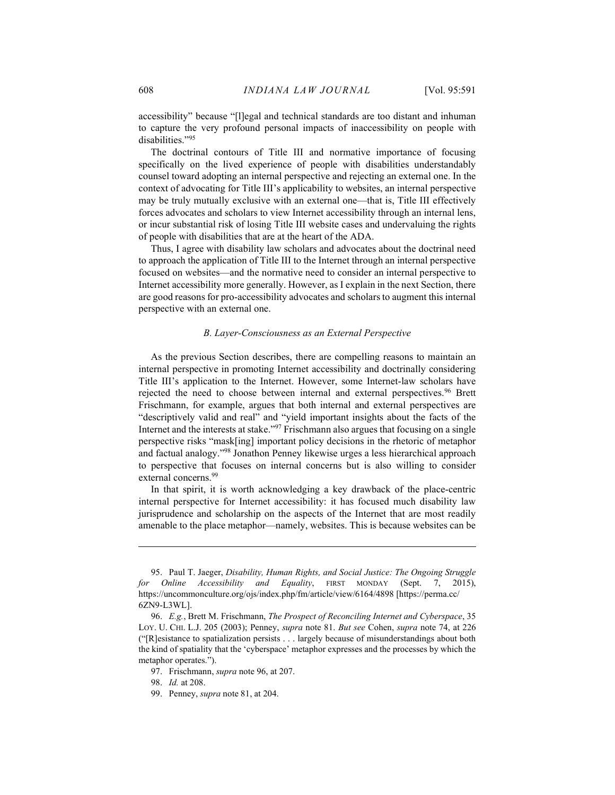accessibility" because "[l]egal and technical standards are too distant and inhuman to capture the very profound personal impacts of inaccessibility on people with disabilities."<sup>95</sup>

The doctrinal contours of Title III and normative importance of focusing specifically on the lived experience of people with disabilities understandably counsel toward adopting an internal perspective and rejecting an external one. In the context of advocating for Title III's applicability to websites, an internal perspective may be truly mutually exclusive with an external one—that is, Title III effectively forces advocates and scholars to view Internet accessibility through an internal lens, or incur substantial risk of losing Title III website cases and undervaluing the rights of people with disabilities that are at the heart of the ADA.

Thus, I agree with disability law scholars and advocates about the doctrinal need to approach the application of Title III to the Internet through an internal perspective focused on websites—and the normative need to consider an internal perspective to Internet accessibility more generally. However, as I explain in the next Section, there are good reasons for pro-accessibility advocates and scholars to augment this internal perspective with an external one.

#### B. Layer-Consciousness as an External Perspective

As the previous Section describes, there are compelling reasons to maintain an internal perspective in promoting Internet accessibility and doctrinally considering Title III's application to the Internet. However, some Internet-law scholars have rejected the need to choose between internal and external perspectives.<sup>96</sup> Brett Frischmann, for example, argues that both internal and external perspectives are "descriptively valid and real" and "yield important insights about the facts of the Internet and the interests at stake."<sup>97</sup> Frischmann also argues that focusing on a single perspective risks "mask[ing] important policy decisions in the rhetoric of metaphor and factual analogy."<sup>98</sup> Jonathon Penney likewise urges a less hierarchical approach to perspective that focuses on internal concerns but is also willing to consider external concerns.<sup>99</sup>

In that spirit, it is worth acknowledging a key drawback of the place-centric internal perspective for Internet accessibility: it has focused much disability law jurisprudence and scholarship on the aspects of the Internet that are most readily amenable to the place metaphor—namely, websites. This is because websites can be

 <sup>95.</sup> Paul T. Jaeger, Disability, Human Rights, and Social Justice: The Ongoing Struggle for Online Accessibility and Equality, FIRST MONDAY (Sept. 7, 2015), https://uncommonculture.org/ojs/index.php/fm/article/view/6164/4898 [https://perma.cc/ 6ZN9-L3WL].

 <sup>96.</sup> E.g., Brett M. Frischmann, The Prospect of Reconciling Internet and Cyberspace, 35 LOY. U. CHI. L.J. 205 (2003); Penney, supra note 81. But see Cohen, supra note 74, at 226 ("[R]esistance to spatialization persists . . . largely because of misunderstandings about both the kind of spatiality that the 'cyberspace' metaphor expresses and the processes by which the metaphor operates.").

<sup>97.</sup> Frischmann, *supra* note 96, at 207.

 <sup>98.</sup> Id. at 208.

 <sup>99.</sup> Penney, supra note 81, at 204.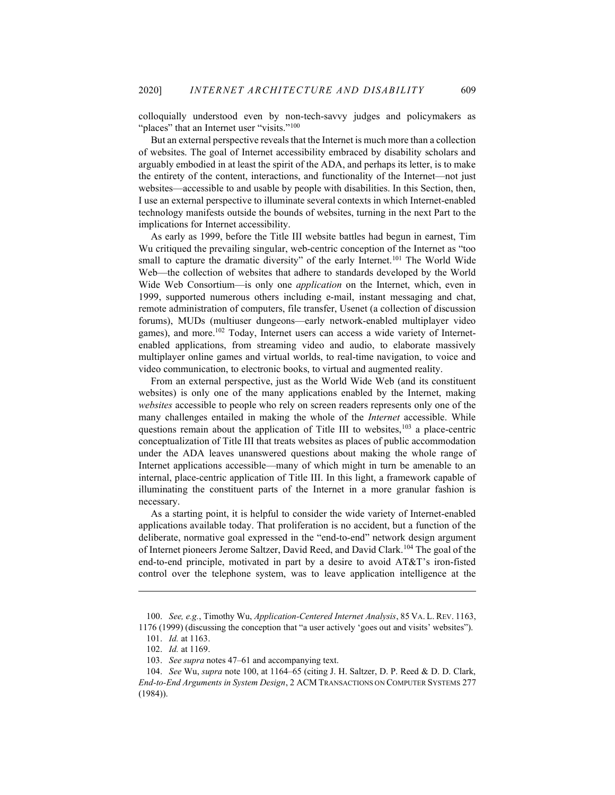colloquially understood even by non-tech-savvy judges and policymakers as "places" that an Internet user "visits."<sup>100</sup>

But an external perspective reveals that the Internet is much more than a collection of websites. The goal of Internet accessibility embraced by disability scholars and arguably embodied in at least the spirit of the ADA, and perhaps its letter, is to make the entirety of the content, interactions, and functionality of the Internet—not just websites—accessible to and usable by people with disabilities. In this Section, then, I use an external perspective to illuminate several contexts in which Internet-enabled technology manifests outside the bounds of websites, turning in the next Part to the implications for Internet accessibility.

As early as 1999, before the Title III website battles had begun in earnest, Tim Wu critiqued the prevailing singular, web-centric conception of the Internet as "too small to capture the dramatic diversity" of the early Internet.<sup>101</sup> The World Wide Web—the collection of websites that adhere to standards developed by the World Wide Web Consortium—is only one *application* on the Internet, which, even in 1999, supported numerous others including e-mail, instant messaging and chat, remote administration of computers, file transfer, Usenet (a collection of discussion forums), MUDs (multiuser dungeons—early network-enabled multiplayer video games), and more.<sup>102</sup> Today, Internet users can access a wide variety of Internetenabled applications, from streaming video and audio, to elaborate massively multiplayer online games and virtual worlds, to real-time navigation, to voice and video communication, to electronic books, to virtual and augmented reality.

From an external perspective, just as the World Wide Web (and its constituent websites) is only one of the many applications enabled by the Internet, making websites accessible to people who rely on screen readers represents only one of the many challenges entailed in making the whole of the *Internet* accessible. While questions remain about the application of Title III to websites, $103$  a place-centric conceptualization of Title III that treats websites as places of public accommodation under the ADA leaves unanswered questions about making the whole range of Internet applications accessible—many of which might in turn be amenable to an internal, place-centric application of Title III. In this light, a framework capable of illuminating the constituent parts of the Internet in a more granular fashion is necessary.

As a starting point, it is helpful to consider the wide variety of Internet-enabled applications available today. That proliferation is no accident, but a function of the deliberate, normative goal expressed in the "end-to-end" network design argument of Internet pioneers Jerome Saltzer, David Reed, and David Clark.<sup>104</sup> The goal of the end-to-end principle, motivated in part by a desire to avoid AT&T's iron-fisted control over the telephone system, was to leave application intelligence at the

<sup>100.</sup> See, e.g., Timothy Wu, Application-Centered Internet Analysis, 85 VA. L. REV. 1163, 1176 (1999) (discussing the conception that "a user actively 'goes out and visits' websites").

 <sup>101.</sup> Id. at 1163.

 <sup>102.</sup> Id. at 1169.

<sup>103.</sup> See supra notes 47–61 and accompanying text.

<sup>104.</sup> See Wu, supra note 100, at 1164–65 (citing J. H. Saltzer, D. P. Reed & D. D. Clark, End-to-End Arguments in System Design, 2 ACM TRANSACTIONS ON COMPUTER SYSTEMS 277 (1984)).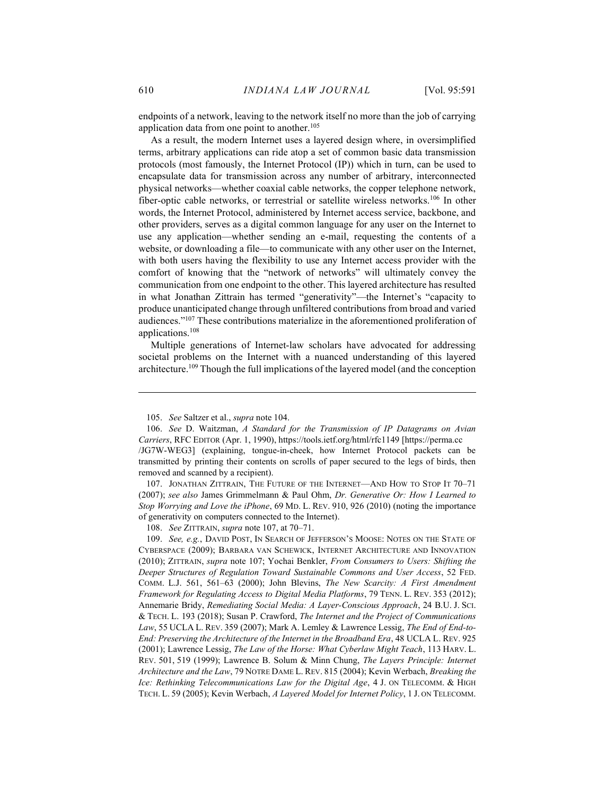endpoints of a network, leaving to the network itself no more than the job of carrying application data from one point to another.<sup>105</sup>

As a result, the modern Internet uses a layered design where, in oversimplified terms, arbitrary applications can ride atop a set of common basic data transmission protocols (most famously, the Internet Protocol (IP)) which in turn, can be used to encapsulate data for transmission across any number of arbitrary, interconnected physical networks—whether coaxial cable networks, the copper telephone network, fiber-optic cable networks, or terrestrial or satellite wireless networks.<sup>106</sup> In other words, the Internet Protocol, administered by Internet access service, backbone, and other providers, serves as a digital common language for any user on the Internet to use any application—whether sending an e-mail, requesting the contents of a website, or downloading a file—to communicate with any other user on the Internet, with both users having the flexibility to use any Internet access provider with the comfort of knowing that the "network of networks" will ultimately convey the communication from one endpoint to the other. This layered architecture has resulted in what Jonathan Zittrain has termed "generativity"—the Internet's "capacity to produce unanticipated change through unfiltered contributions from broad and varied audiences."<sup>107</sup> These contributions materialize in the aforementioned proliferation of applications.<sup>108</sup>

Multiple generations of Internet-law scholars have advocated for addressing societal problems on the Internet with a nuanced understanding of this layered architecture.<sup>109</sup> Though the full implications of the layered model (and the conception

 107. JONATHAN ZITTRAIN, THE FUTURE OF THE INTERNET—AND HOW TO STOP IT 70–71 (2007); see also James Grimmelmann & Paul Ohm, Dr. Generative Or: How I Learned to Stop Worrying and Love the iPhone, 69 MD. L. REV. 910, 926 (2010) (noting the importance of generativity on computers connected to the Internet).

108. See ZITTRAIN, supra note 107, at 70-71.

109. See, e.g., DAVID POST, IN SEARCH OF JEFFERSON'S MOOSE: NOTES ON THE STATE OF CYBERSPACE (2009); BARBARA VAN SCHEWICK, INTERNET ARCHITECTURE AND INNOVATION (2010); ZITTRAIN, supra note 107; Yochai Benkler, From Consumers to Users: Shifting the Deeper Structures of Regulation Toward Sustainable Commons and User Access, 52 FED. COMM. L.J. 561, 561–63 (2000); John Blevins, The New Scarcity: A First Amendment Framework for Regulating Access to Digital Media Platforms, 79 TENN. L. REV. 353 (2012); Annemarie Bridy, Remediating Social Media: A Layer-Conscious Approach, 24 B.U. J. SCI. & TECH. L. 193 (2018); Susan P. Crawford, The Internet and the Project of Communications Law, 55 UCLA L. REV. 359 (2007); Mark A. Lemley & Lawrence Lessig, The End of End-to-End: Preserving the Architecture of the Internet in the Broadband Era, 48 UCLA L. REV. 925 (2001); Lawrence Lessig, The Law of the Horse: What Cyberlaw Might Teach, 113 HARV. L. REV. 501, 519 (1999); Lawrence B. Solum & Minn Chung, The Layers Principle: Internet Architecture and the Law, 79 NOTRE DAME L. REV. 815 (2004); Kevin Werbach, Breaking the Ice: Rethinking Telecommunications Law for the Digital Age, 4 J. ON TELECOMM. & HIGH TECH. L. 59 (2005); Kevin Werbach, A Layered Model for Internet Policy, 1 J. ON TELECOMM.

 <sup>105.</sup> See Saltzer et al., supra note 104.

 <sup>106.</sup> See D. Waitzman, A Standard for the Transmission of IP Datagrams on Avian Carriers, RFC EDITOR (Apr. 1, 1990), https://tools.ietf.org/html/rfc1149 [https://perma.cc /JG7W-WEG3] (explaining, tongue-in-cheek, how Internet Protocol packets can be transmitted by printing their contents on scrolls of paper secured to the legs of birds, then removed and scanned by a recipient).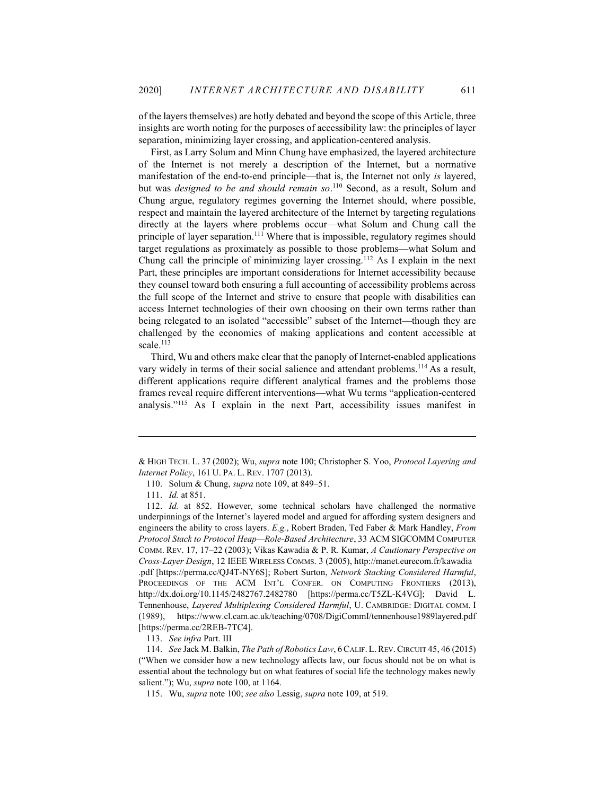of the layers themselves) are hotly debated and beyond the scope of this Article, three insights are worth noting for the purposes of accessibility law: the principles of layer separation, minimizing layer crossing, and application-centered analysis.

First, as Larry Solum and Minn Chung have emphasized, the layered architecture of the Internet is not merely a description of the Internet, but a normative manifestation of the end-to-end principle—that is, the Internet not only is layered, but was *designed to be and should remain so*.<sup>110</sup> Second, as a result, Solum and Chung argue, regulatory regimes governing the Internet should, where possible, respect and maintain the layered architecture of the Internet by targeting regulations directly at the layers where problems occur—what Solum and Chung call the principle of layer separation.<sup>111</sup> Where that is impossible, regulatory regimes should target regulations as proximately as possible to those problems—what Solum and Chung call the principle of minimizing layer crossing.<sup>112</sup> As I explain in the next Part, these principles are important considerations for Internet accessibility because they counsel toward both ensuring a full accounting of accessibility problems across the full scope of the Internet and strive to ensure that people with disabilities can access Internet technologies of their own choosing on their own terms rather than being relegated to an isolated "accessible" subset of the Internet—though they are challenged by the economics of making applications and content accessible at scale.<sup>113</sup>

Third, Wu and others make clear that the panoply of Internet-enabled applications vary widely in terms of their social salience and attendant problems.<sup>114</sup> As a result, different applications require different analytical frames and the problems those frames reveal require different interventions—what Wu terms "application-centered analysis."<sup>115</sup> As I explain in the next Part, accessibility issues manifest in

113. See infra Part. III

<sup>&</sup>amp; HIGH TECH. L. 37 (2002); Wu, supra note 100; Christopher S. Yoo, Protocol Layering and Internet Policy, 161 U. PA. L. REV. 1707 (2013).

 <sup>110.</sup> Solum & Chung, supra note 109, at 849–51.

 <sup>111.</sup> Id. at 851.

 <sup>112.</sup> Id. at 852. However, some technical scholars have challenged the normative underpinnings of the Internet's layered model and argued for affording system designers and engineers the ability to cross layers. E.g., Robert Braden, Ted Faber & Mark Handley, From Protocol Stack to Protocol Heap—Role-Based Architecture, 33 ACM SIGCOMM COMPUTER COMM. REV. 17, 17–22 (2003); Vikas Kawadia & P. R. Kumar, A Cautionary Perspective on Cross-Layer Design, 12 IEEE WIRELESS COMMS. 3 (2005), http://manet.eurecom.fr/kawadia .pdf [https://perma.cc/QJ4T-NY6S]; Robert Surton, Network Stacking Considered Harmful, PROCEEDINGS OF THE ACM INT'L CONFER. ON COMPUTING FRONTIERS (2013), http://dx.doi.org/10.1145/2482767.2482780 [https://perma.cc/T5ZL-K4VG]; David L. Tennenhouse, Layered Multiplexing Considered Harmful, U. CAMBRIDGE: DIGITAL COMM. I (1989), https://www.cl.cam.ac.uk/teaching/0708/DigiCommI/tennenhouse1989layered.pdf [https://perma.cc/2REB-7TC4].

<sup>114.</sup> See Jack M. Balkin, The Path of Robotics Law, 6 CALIF. L. REV. CIRCUIT 45, 46 (2015) ("When we consider how a new technology affects law, our focus should not be on what is essential about the technology but on what features of social life the technology makes newly salient."); Wu, *supra* note 100, at 1164.

 <sup>115.</sup> Wu, supra note 100; see also Lessig, supra note 109, at 519.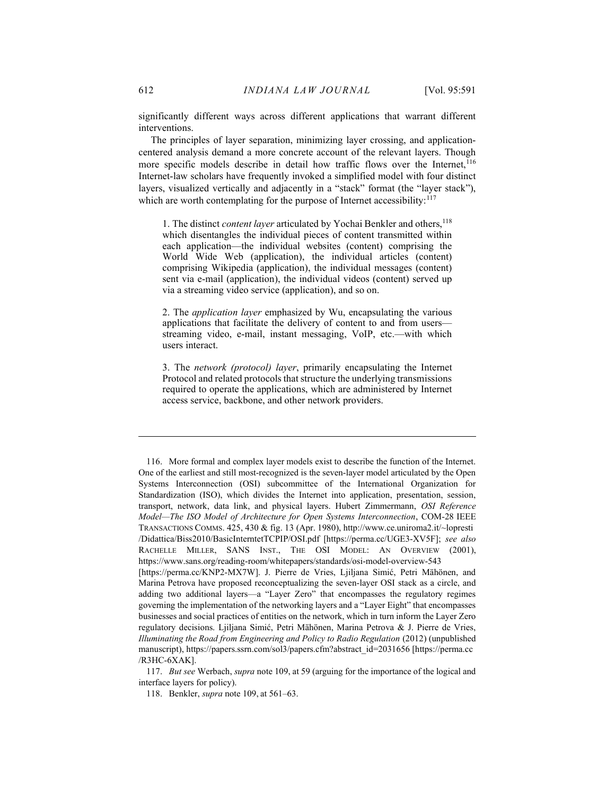significantly different ways across different applications that warrant different interventions.

The principles of layer separation, minimizing layer crossing, and applicationcentered analysis demand a more concrete account of the relevant layers. Though more specific models describe in detail how traffic flows over the Internet,<sup>116</sup> Internet-law scholars have frequently invoked a simplified model with four distinct layers, visualized vertically and adjacently in a "stack" format (the "layer stack"), which are worth contemplating for the purpose of Internet accessibility:<sup>117</sup>

1. The distinct *content layer* articulated by Yochai Benkler and others,<sup>118</sup> which disentangles the individual pieces of content transmitted within each application—the individual websites (content) comprising the World Wide Web (application), the individual articles (content) comprising Wikipedia (application), the individual messages (content) sent via e-mail (application), the individual videos (content) served up via a streaming video service (application), and so on.

2. The application layer emphasized by Wu, encapsulating the various applications that facilitate the delivery of content to and from users streaming video, e-mail, instant messaging, VoIP, etc.—with which users interact.

3. The network (protocol) layer, primarily encapsulating the Internet Protocol and related protocols that structure the underlying transmissions required to operate the applications, which are administered by Internet access service, backbone, and other network providers.

 <sup>116.</sup> More formal and complex layer models exist to describe the function of the Internet. One of the earliest and still most-recognized is the seven-layer model articulated by the Open Systems Interconnection (OSI) subcommittee of the International Organization for Standardization (ISO), which divides the Internet into application, presentation, session, transport, network, data link, and physical layers. Hubert Zimmermann, OSI Reference Model—The ISO Model of Architecture for Open Systems Interconnection, COM-28 IEEE TRANSACTIONS COMMS. 425, 430 & fig. 13 (Apr. 1980), http://www.ce.uniroma2.it/~lopresti /Didattica/Biss2010/BasicInterntetTCPIP/OSI.pdf [https://perma.cc/UGE3-XV5F]; see also RACHELLE MILLER, SANS INST., THE OSI MODEL: AN OVERVIEW (2001), https://www.sans.org/reading-room/whitepapers/standards/osi-model-overview-543 [https://perma.cc/KNP2-MX7W]. J. Pierre de Vries, Ljiljana Simić, Petri Mähönen, and Marina Petrova have proposed reconceptualizing the seven-layer OSI stack as a circle, and adding two additional layers—a "Layer Zero" that encompasses the regulatory regimes governing the implementation of the networking layers and a "Layer Eight" that encompasses businesses and social practices of entities on the network, which in turn inform the Layer Zero regulatory decisions. Ljiljana Simić, Petri Mähönen, Marina Petrova & J. Pierre de Vries, Illuminating the Road from Engineering and Policy to Radio Regulation (2012) (unpublished manuscript), https://papers.ssrn.com/sol3/papers.cfm?abstract\_id=2031656 [https://perma.cc /R3HC-6XAK].

 <sup>117.</sup> But see Werbach, supra note 109, at 59 (arguing for the importance of the logical and interface layers for policy).

 <sup>118.</sup> Benkler, supra note 109, at 561–63.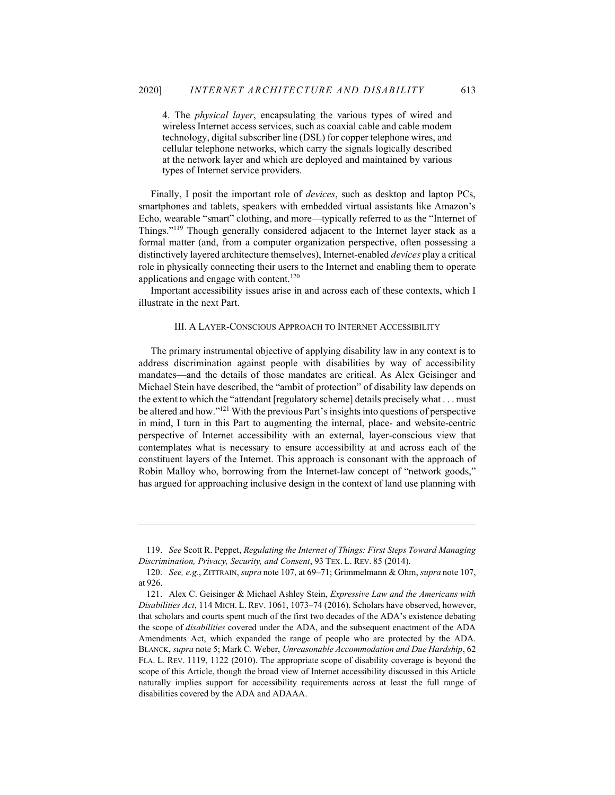4. The physical layer, encapsulating the various types of wired and wireless Internet access services, such as coaxial cable and cable modem technology, digital subscriber line (DSL) for copper telephone wires, and cellular telephone networks, which carry the signals logically described at the network layer and which are deployed and maintained by various types of Internet service providers.

Finally, I posit the important role of devices, such as desktop and laptop PCs, smartphones and tablets, speakers with embedded virtual assistants like Amazon's Echo, wearable "smart" clothing, and more—typically referred to as the "Internet of Things."<sup>119</sup> Though generally considered adjacent to the Internet layer stack as a formal matter (and, from a computer organization perspective, often possessing a distinctively layered architecture themselves), Internet-enabled devices play a critical role in physically connecting their users to the Internet and enabling them to operate applications and engage with content.<sup>120</sup>

 Important accessibility issues arise in and across each of these contexts, which I illustrate in the next Part.

#### III. A LAYER-CONSCIOUS APPROACH TO INTERNET ACCESSIBILITY

The primary instrumental objective of applying disability law in any context is to address discrimination against people with disabilities by way of accessibility mandates—and the details of those mandates are critical. As Alex Geisinger and Michael Stein have described, the "ambit of protection" of disability law depends on the extent to which the "attendant [regulatory scheme] details precisely what . . . must be altered and how."<sup>121</sup> With the previous Part's insights into questions of perspective in mind, I turn in this Part to augmenting the internal, place- and website-centric perspective of Internet accessibility with an external, layer-conscious view that contemplates what is necessary to ensure accessibility at and across each of the constituent layers of the Internet. This approach is consonant with the approach of Robin Malloy who, borrowing from the Internet-law concept of "network goods," has argued for approaching inclusive design in the context of land use planning with

 <sup>119.</sup> See Scott R. Peppet, Regulating the Internet of Things: First Steps Toward Managing Discrimination, Privacy, Security, and Consent, 93 TEX. L. REV. 85 (2014).

 <sup>120.</sup> See, e.g., ZITTRAIN, supra note 107, at 69–71; Grimmelmann & Ohm, supra note 107, at 926.

 <sup>121.</sup> Alex C. Geisinger & Michael Ashley Stein, Expressive Law and the Americans with Disabilities Act, 114 MICH. L. REV. 1061, 1073–74 (2016). Scholars have observed, however, that scholars and courts spent much of the first two decades of the ADA's existence debating the scope of disabilities covered under the ADA, and the subsequent enactment of the ADA Amendments Act, which expanded the range of people who are protected by the ADA. BLANCK, supra note 5; Mark C. Weber, Unreasonable Accommodation and Due Hardship, 62 FLA. L. REV. 1119, 1122 (2010). The appropriate scope of disability coverage is beyond the scope of this Article, though the broad view of Internet accessibility discussed in this Article naturally implies support for accessibility requirements across at least the full range of disabilities covered by the ADA and ADAAA.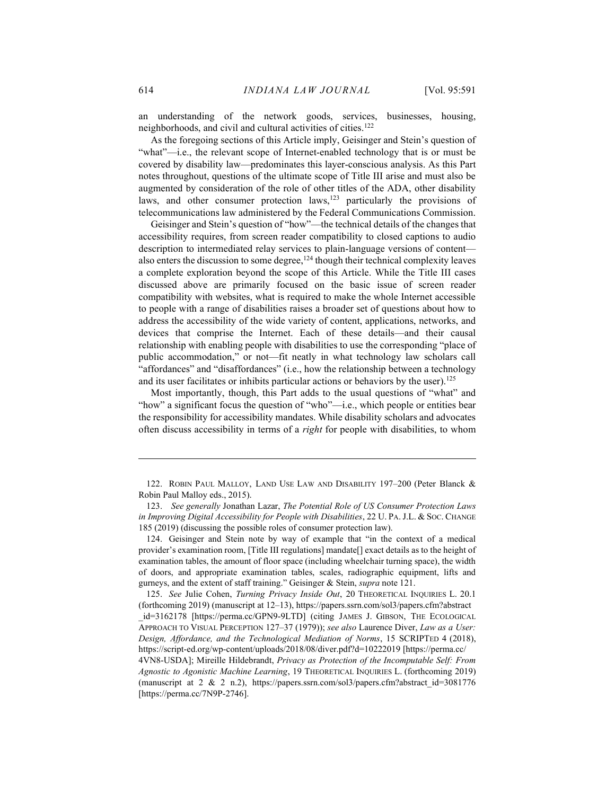an understanding of the network goods, services, businesses, housing, neighborhoods, and civil and cultural activities of cities.<sup>122</sup>

As the foregoing sections of this Article imply, Geisinger and Stein's question of "what"—i.e., the relevant scope of Internet-enabled technology that is or must be covered by disability law—predominates this layer-conscious analysis. As this Part notes throughout, questions of the ultimate scope of Title III arise and must also be augmented by consideration of the role of other titles of the ADA, other disability laws, and other consumer protection laws,<sup>123</sup> particularly the provisions of telecommunications law administered by the Federal Communications Commission.

Geisinger and Stein's question of "how"—the technical details of the changes that accessibility requires, from screen reader compatibility to closed captions to audio description to intermediated relay services to plain-language versions of content also enters the discussion to some degree,  $124$  though their technical complexity leaves a complete exploration beyond the scope of this Article. While the Title III cases discussed above are primarily focused on the basic issue of screen reader compatibility with websites, what is required to make the whole Internet accessible to people with a range of disabilities raises a broader set of questions about how to address the accessibility of the wide variety of content, applications, networks, and devices that comprise the Internet. Each of these details—and their causal relationship with enabling people with disabilities to use the corresponding "place of public accommodation," or not—fit neatly in what technology law scholars call "affordances" and "disaffordances" (i.e., how the relationship between a technology and its user facilitates or inhibits particular actions or behaviors by the user).<sup>125</sup>

Most importantly, though, this Part adds to the usual questions of "what" and "how" a significant focus the question of "who"—i.e., which people or entities bear the responsibility for accessibility mandates. While disability scholars and advocates often discuss accessibility in terms of a right for people with disabilities, to whom

 <sup>122.</sup> ROBIN PAUL MALLOY, LAND USE LAW AND DISABILITY 197–200 (Peter Blanck & Robin Paul Malloy eds., 2015).

 <sup>123.</sup> See generally Jonathan Lazar, The Potential Role of US Consumer Protection Laws in Improving Digital Accessibility for People with Disabilities, 22 U. PA. J.L. & Soc. CHANGE 185 (2019) (discussing the possible roles of consumer protection law).

 <sup>124.</sup> Geisinger and Stein note by way of example that "in the context of a medical provider's examination room, [Title III regulations] mandate[] exact details as to the height of examination tables, the amount of floor space (including wheelchair turning space), the width of doors, and appropriate examination tables, scales, radiographic equipment, lifts and gurneys, and the extent of staff training." Geisinger & Stein, supra note 121.

 <sup>125.</sup> See Julie Cohen, Turning Privacy Inside Out, 20 THEORETICAL INQUIRIES L. 20.1 (forthcoming 2019) (manuscript at 12–13), https://papers.ssrn.com/sol3/papers.cfm?abstract \_id=3162178 [https://perma.cc/GPN9-9LTD] (citing JAMES J. GIBSON, THE ECOLOGICAL APPROACH TO VISUAL PERCEPTION 127–37 (1979)); see also Laurence Diver, Law as a User: Design, Affordance, and the Technological Mediation of Norms, 15 SCRIPTED 4 (2018), https://script-ed.org/wp-content/uploads/2018/08/diver.pdf?d=10222019 [https://perma.cc/

<sup>4</sup>VN8-USDA]; Mireille Hildebrandt, Privacy as Protection of the Incomputable Self: From Agnostic to Agonistic Machine Learning, 19 THEORETICAL INQUIRIES L. (forthcoming 2019) (manuscript at 2 & 2 n.2), https://papers.ssrn.com/sol3/papers.cfm?abstract\_id=3081776 [https://perma.cc/7N9P-2746].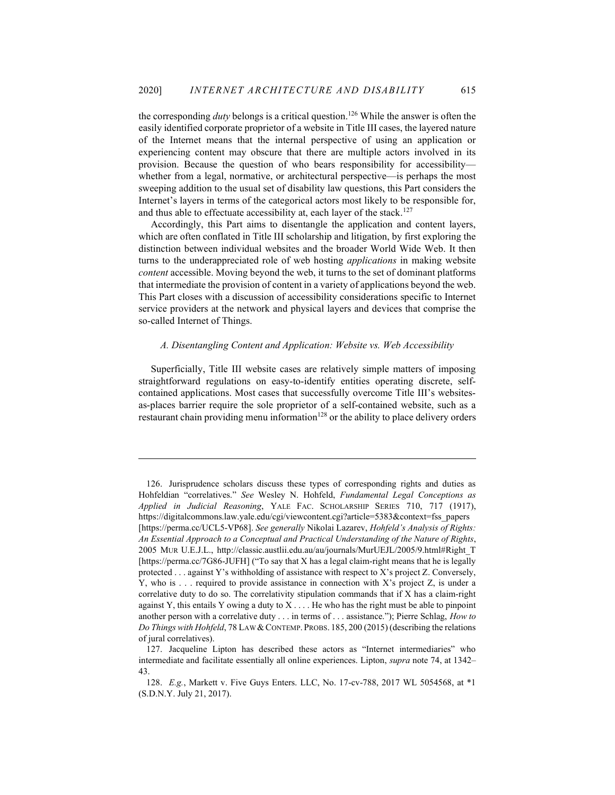the corresponding *duty* belongs is a critical question.<sup>126</sup> While the answer is often the easily identified corporate proprietor of a website in Title III cases, the layered nature of the Internet means that the internal perspective of using an application or experiencing content may obscure that there are multiple actors involved in its provision. Because the question of who bears responsibility for accessibility whether from a legal, normative, or architectural perspective—is perhaps the most sweeping addition to the usual set of disability law questions, this Part considers the Internet's layers in terms of the categorical actors most likely to be responsible for, and thus able to effectuate accessibility at, each layer of the stack.<sup>127</sup>

Accordingly, this Part aims to disentangle the application and content layers, which are often conflated in Title III scholarship and litigation, by first exploring the distinction between individual websites and the broader World Wide Web. It then turns to the underappreciated role of web hosting *applications* in making website content accessible. Moving beyond the web, it turns to the set of dominant platforms that intermediate the provision of content in a variety of applications beyond the web. This Part closes with a discussion of accessibility considerations specific to Internet service providers at the network and physical layers and devices that comprise the so-called Internet of Things.

#### A. Disentangling Content and Application: Website vs. Web Accessibility

Superficially, Title III website cases are relatively simple matters of imposing straightforward regulations on easy-to-identify entities operating discrete, selfcontained applications. Most cases that successfully overcome Title III's websitesas-places barrier require the sole proprietor of a self-contained website, such as a restaurant chain providing menu information $128$  or the ability to place delivery orders

 <sup>126.</sup> Jurisprudence scholars discuss these types of corresponding rights and duties as Hohfeldian "correlatives." See Wesley N. Hohfeld, Fundamental Legal Conceptions as Applied in Judicial Reasoning, YALE FAC. SCHOLARSHIP SERIES 710, 717 (1917), https://digitalcommons.law.yale.edu/cgi/viewcontent.cgi?article=5383&context=fss\_papers [https://perma.cc/UCL5-VP68]. See generally Nikolai Lazarev, Hohfeld's Analysis of Rights: An Essential Approach to a Conceptual and Practical Understanding of the Nature of Rights, 2005 MUR U.E.J.L., http://classic.austlii.edu.au/au/journals/MurUEJL/2005/9.html#Right\_T [https://perma.cc/7G86-JUFH] ("To say that X has a legal claim-right means that he is legally protected . . . against Y's withholding of assistance with respect to X's project Z. Conversely, Y, who is  $\ldots$  required to provide assistance in connection with X's project Z, is under a correlative duty to do so. The correlativity stipulation commands that if X has a claim-right against Y, this entails Y owing a duty to  $X \dots$ . He who has the right must be able to pinpoint another person with a correlative duty . . . in terms of . . . assistance."); Pierre Schlag, *How to* Do Things with Hohfeld, 78 LAW & CONTEMP. PROBS. 185, 200 (2015) (describing the relations of jural correlatives).

 <sup>127.</sup> Jacqueline Lipton has described these actors as "Internet intermediaries" who intermediate and facilitate essentially all online experiences. Lipton, supra note 74, at 1342– 43.

 <sup>128.</sup> E.g., Markett v. Five Guys Enters. LLC, No. 17-cv-788, 2017 WL 5054568, at \*1 (S.D.N.Y. July 21, 2017).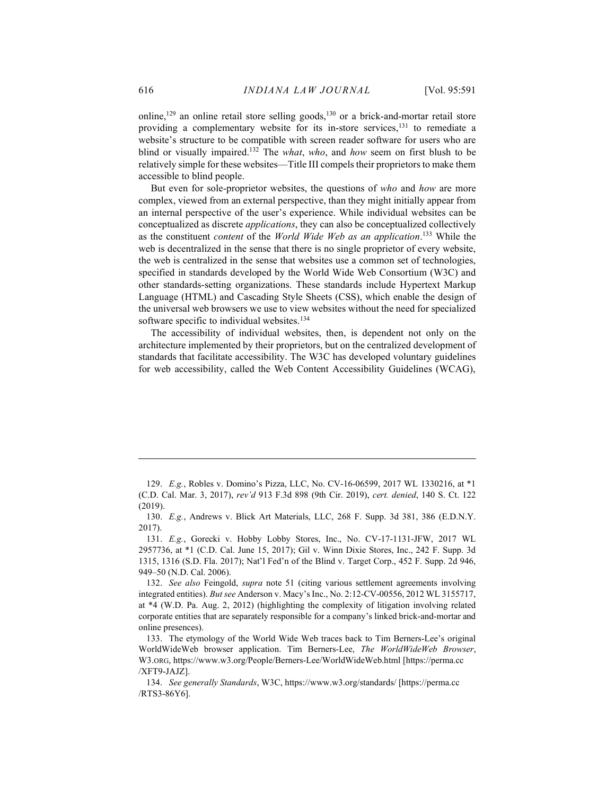online,<sup>129</sup> an online retail store selling goods,<sup>130</sup> or a brick-and-mortar retail store providing a complementary website for its in-store services,<sup>131</sup> to remediate a website's structure to be compatible with screen reader software for users who are blind or visually impaired.<sup>132</sup> The *what*, who, and how seem on first blush to be relatively simple for these websites—Title III compels their proprietors to make them accessible to blind people.

But even for sole-proprietor websites, the questions of who and how are more complex, viewed from an external perspective, than they might initially appear from an internal perspective of the user's experience. While individual websites can be conceptualized as discrete applications, they can also be conceptualized collectively as the constituent *content* of the *World Wide Web as an application*.<sup>133</sup> While the web is decentralized in the sense that there is no single proprietor of every website, the web is centralized in the sense that websites use a common set of technologies, specified in standards developed by the World Wide Web Consortium (W3C) and other standards-setting organizations. These standards include Hypertext Markup Language (HTML) and Cascading Style Sheets (CSS), which enable the design of the universal web browsers we use to view websites without the need for specialized software specific to individual websites.<sup>134</sup>

The accessibility of individual websites, then, is dependent not only on the architecture implemented by their proprietors, but on the centralized development of standards that facilitate accessibility. The W3C has developed voluntary guidelines for web accessibility, called the Web Content Accessibility Guidelines (WCAG),

 <sup>129.</sup> E.g., Robles v. Domino's Pizza, LLC, No. CV-16-06599, 2017 WL 1330216, at \*1 (C.D. Cal. Mar. 3, 2017), rev'd 913 F.3d 898 (9th Cir. 2019), cert. denied, 140 S. Ct. 122 (2019).

 <sup>130.</sup> E.g., Andrews v. Blick Art Materials, LLC, 268 F. Supp. 3d 381, 386 (E.D.N.Y. 2017).

 <sup>131.</sup> E.g., Gorecki v. Hobby Lobby Stores, Inc., No. CV-17-1131-JFW, 2017 WL 2957736, at \*1 (C.D. Cal. June 15, 2017); Gil v. Winn Dixie Stores, Inc., 242 F. Supp. 3d 1315, 1316 (S.D. Fla. 2017); Nat'l Fed'n of the Blind v. Target Corp., 452 F. Supp. 2d 946, 949–50 (N.D. Cal. 2006).

<sup>132.</sup> See also Feingold, *supra* note 51 (citing various settlement agreements involving integrated entities). But see Anderson v. Macy's Inc., No. 2:12-CV-00556, 2012 WL 3155717, at \*4 (W.D. Pa. Aug. 2, 2012) (highlighting the complexity of litigation involving related corporate entities that are separately responsible for a company's linked brick-and-mortar and online presences).

 <sup>133.</sup> The etymology of the World Wide Web traces back to Tim Berners-Lee's original WorldWideWeb browser application. Tim Berners-Lee, The WorldWideWeb Browser, W3.ORG, https://www.w3.org/People/Berners-Lee/WorldWideWeb.html [https://perma.cc /XFT9-JAJZ].

 <sup>134.</sup> See generally Standards, W3C, https://www.w3.org/standards/ [https://perma.cc /RTS3-86Y6].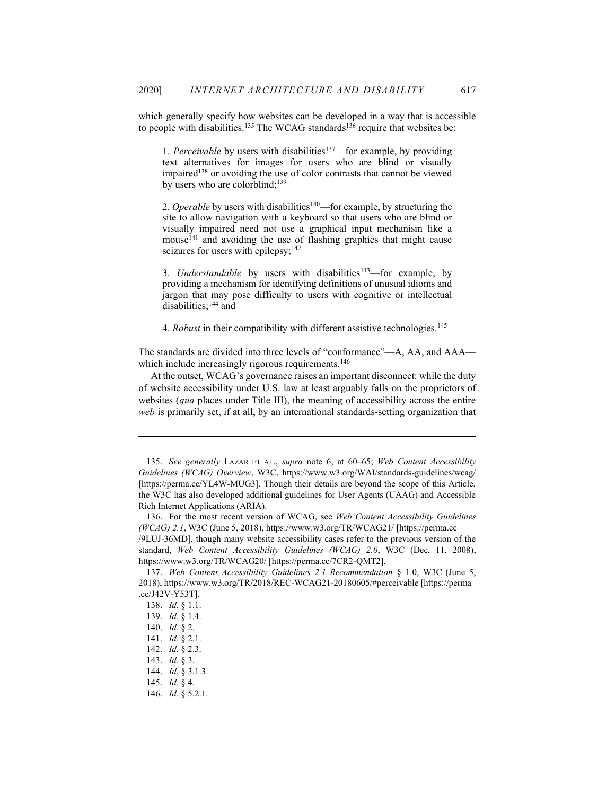which generally specify how websites can be developed in a way that is accessible to people with disabilities.<sup>135</sup> The WCAG standards<sup>136</sup> require that websites be:

1. Perceivable by users with disabilities<sup>137</sup>—for example, by providing text alternatives for images for users who are blind or visually impaired<sup>138</sup> or avoiding the use of color contrasts that cannot be viewed by users who are colorblind;<sup>139</sup>

2. Operable by users with disabilities<sup>140</sup>—for example, by structuring the site to allow navigation with a keyboard so that users who are blind or visually impaired need not use a graphical input mechanism like a mouse<sup>141</sup> and avoiding the use of flashing graphics that might cause seizures for users with epilepsy;<sup>142</sup>

3. Understandable by users with disabilities $143$ -for example, by providing a mechanism for identifying definitions of unusual idioms and jargon that may pose difficulty to users with cognitive or intellectual disabilities;<sup>144</sup> and

4. Robust in their compatibility with different assistive technologies.<sup>145</sup>

The standards are divided into three levels of "conformance"—A, AA, and AAA which include increasingly rigorous requirements.<sup>146</sup>

At the outset, WCAG's governance raises an important disconnect: while the duty of website accessibility under U.S. law at least arguably falls on the proprietors of websites (qua places under Title III), the meaning of accessibility across the entire web is primarily set, if at all, by an international standards-setting organization that

/9LUJ-36MD], though many website accessibility cases refer to the previous version of the standard, Web Content Accessibility Guidelines (WCAG) 2.0, W3C (Dec. 11, 2008), https://www.w3.org/TR/WCAG20/ [https://perma.cc/7CR2-QMT2].

 <sup>135.</sup> See generally LAZAR ET AL., supra note 6, at 60–65; Web Content Accessibility Guidelines (WCAG) Overview, W3C, https://www.w3.org/WAI/standards-guidelines/wcag/ [https://perma.cc/YL4W-MUG3]. Though their details are beyond the scope of this Article, the W3C has also developed additional guidelines for User Agents (UAAG) and Accessible Rich Internet Applications (ARIA).

 <sup>136.</sup> For the most recent version of WCAG, see Web Content Accessibility Guidelines (WCAG) 2.1, W3C (June 5, 2018), https://www.w3.org/TR/WCAG21/ [https://perma.cc

 <sup>137.</sup> Web Content Accessibility Guidelines 2.1 Recommendation § 1.0, W3C (June 5, 2018), https://www.w3.org/TR/2018/REC-WCAG21-20180605/#perceivable [https://perma .cc/J42V-Y53T].

 <sup>138.</sup> Id. § 1.1.

 <sup>139.</sup> Id. § 1.4.

 <sup>140.</sup> Id. § 2.

 <sup>141.</sup> Id. § 2.1.

 <sup>142.</sup> Id. § 2.3.

 <sup>143.</sup> Id. § 3.

 <sup>144.</sup> Id. § 3.1.3.

 <sup>145.</sup> Id. § 4.

<sup>146.</sup> *Id.* § 5.2.1.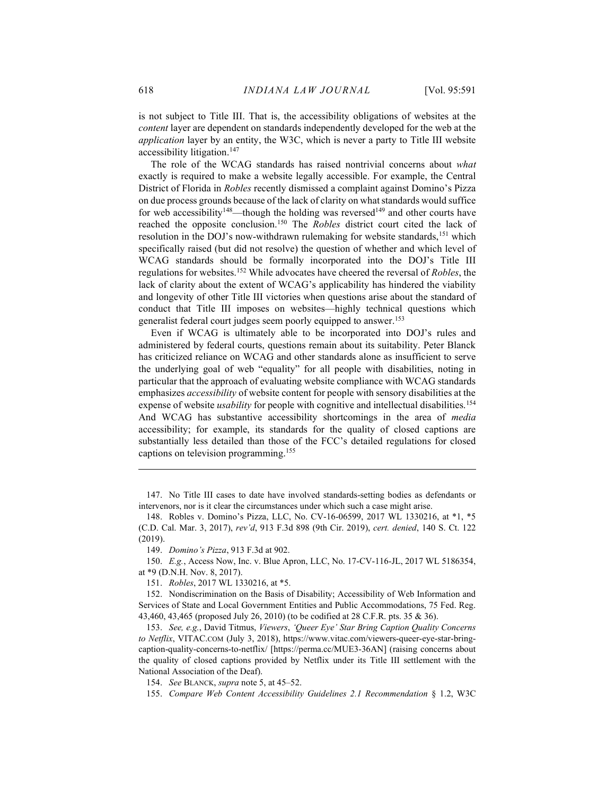is not subject to Title III. That is, the accessibility obligations of websites at the content layer are dependent on standards independently developed for the web at the application layer by an entity, the W3C, which is never a party to Title III website accessibility litigation.<sup>147</sup>

The role of the WCAG standards has raised nontrivial concerns about what exactly is required to make a website legally accessible. For example, the Central District of Florida in Robles recently dismissed a complaint against Domino's Pizza on due process grounds because of the lack of clarity on what standards would suffice for web accessibility<sup>148</sup>—though the holding was reversed<sup>149</sup> and other courts have reached the opposite conclusion.<sup>150</sup> The Robles district court cited the lack of resolution in the DOJ's now-withdrawn rulemaking for website standards,<sup>151</sup> which specifically raised (but did not resolve) the question of whether and which level of WCAG standards should be formally incorporated into the DOJ's Title III regulations for websites.<sup>152</sup> While advocates have cheered the reversal of Robles, the lack of clarity about the extent of WCAG's applicability has hindered the viability and longevity of other Title III victories when questions arise about the standard of conduct that Title III imposes on websites—highly technical questions which generalist federal court judges seem poorly equipped to answer.<sup>153</sup>

Even if WCAG is ultimately able to be incorporated into DOJ's rules and administered by federal courts, questions remain about its suitability. Peter Blanck has criticized reliance on WCAG and other standards alone as insufficient to serve the underlying goal of web "equality" for all people with disabilities, noting in particular that the approach of evaluating website compliance with WCAG standards emphasizes accessibility of website content for people with sensory disabilities at the expense of website *usability* for people with cognitive and intellectual disabilities.<sup>154</sup> And WCAG has substantive accessibility shortcomings in the area of *media* accessibility; for example, its standards for the quality of closed captions are substantially less detailed than those of the FCC's detailed regulations for closed captions on television programming.<sup>155</sup>

151. Robles, 2017 WL 1330216, at \*5.

 <sup>147.</sup> No Title III cases to date have involved standards-setting bodies as defendants or intervenors, nor is it clear the circumstances under which such a case might arise.

 <sup>148.</sup> Robles v. Domino's Pizza, LLC, No. CV-16-06599, 2017 WL 1330216, at \*1, \*5 (C.D. Cal. Mar. 3, 2017), rev'd, 913 F.3d 898 (9th Cir. 2019), cert. denied, 140 S. Ct. 122 (2019).

 <sup>149.</sup> Domino's Pizza, 913 F.3d at 902.

 <sup>150.</sup> E.g., Access Now, Inc. v. Blue Apron, LLC, No. 17-CV-116-JL, 2017 WL 5186354, at \*9 (D.N.H. Nov. 8, 2017).

 <sup>152.</sup> Nondiscrimination on the Basis of Disability; Accessibility of Web Information and Services of State and Local Government Entities and Public Accommodations, 75 Fed. Reg. 43,460, 43,465 (proposed July 26, 2010) (to be codified at 28 C.F.R. pts. 35 & 36).

 <sup>153.</sup> See, e.g., David Titmus, Viewers, 'Queer Eye' Star Bring Caption Quality Concerns to Netflix, VITAC.COM (July 3, 2018), https://www.vitac.com/viewers-queer-eye-star-bringcaption-quality-concerns-to-netflix/ [https://perma.cc/MUE3-36AN] (raising concerns about the quality of closed captions provided by Netflix under its Title III settlement with the National Association of the Deaf).

 <sup>154.</sup> See BLANCK, supra note 5, at 45–52.

 <sup>155.</sup> Compare Web Content Accessibility Guidelines 2.1 Recommendation § 1.2, W3C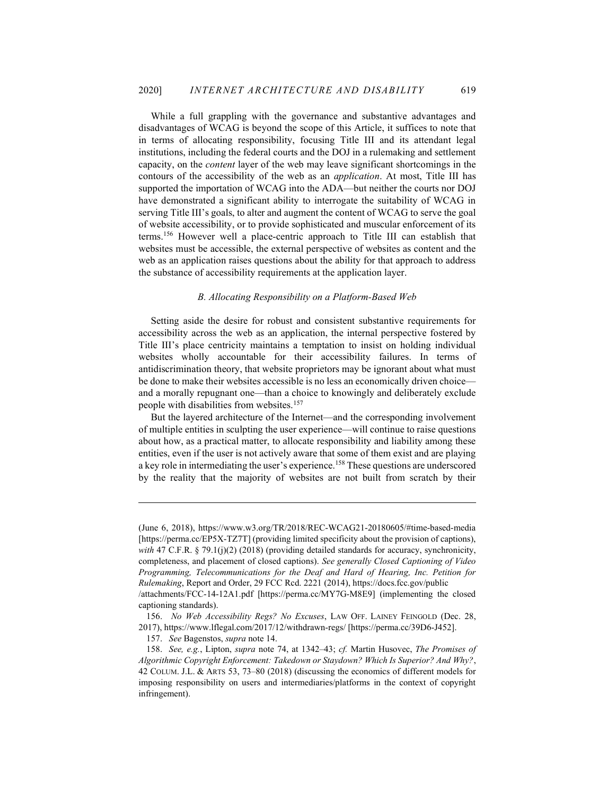While a full grappling with the governance and substantive advantages and disadvantages of WCAG is beyond the scope of this Article, it suffices to note that in terms of allocating responsibility, focusing Title III and its attendant legal institutions, including the federal courts and the DOJ in a rulemaking and settlement capacity, on the content layer of the web may leave significant shortcomings in the contours of the accessibility of the web as an application. At most, Title III has supported the importation of WCAG into the ADA—but neither the courts nor DOJ have demonstrated a significant ability to interrogate the suitability of WCAG in serving Title III's goals, to alter and augment the content of WCAG to serve the goal of website accessibility, or to provide sophisticated and muscular enforcement of its terms.<sup>156</sup> However well a place-centric approach to Title III can establish that websites must be accessible, the external perspective of websites as content and the web as an application raises questions about the ability for that approach to address the substance of accessibility requirements at the application layer.

### B. Allocating Responsibility on a Platform-Based Web

Setting aside the desire for robust and consistent substantive requirements for accessibility across the web as an application, the internal perspective fostered by Title III's place centricity maintains a temptation to insist on holding individual websites wholly accountable for their accessibility failures. In terms of antidiscrimination theory, that website proprietors may be ignorant about what must be done to make their websites accessible is no less an economically driven choice and a morally repugnant one—than a choice to knowingly and deliberately exclude people with disabilities from websites.<sup>157</sup>

But the layered architecture of the Internet—and the corresponding involvement of multiple entities in sculpting the user experience—will continue to raise questions about how, as a practical matter, to allocate responsibility and liability among these entities, even if the user is not actively aware that some of them exist and are playing a key role in intermediating the user's experience.<sup>158</sup> These questions are underscored by the reality that the majority of websites are not built from scratch by their

<sup>(</sup>June 6, 2018), https://www.w3.org/TR/2018/REC-WCAG21-20180605/#time-based-media [https://perma.cc/EP5X-TZ7T] (providing limited specificity about the provision of captions), with 47 C.F.R. § 79.1(j)(2) (2018) (providing detailed standards for accuracy, synchronicity, completeness, and placement of closed captions). See generally Closed Captioning of Video Programming, Telecommunications for the Deaf and Hard of Hearing, Inc. Petition for Rulemaking, Report and Order, 29 FCC Rcd. 2221 (2014), https://docs.fcc.gov/public /attachments/FCC-14-12A1.pdf [https://perma.cc/MY7G-M8E9] (implementing the closed

captioning standards).

 <sup>156.</sup> No Web Accessibility Regs? No Excuses, LAW OFF. LAINEY FEINGOLD (Dec. 28, 2017), https://www.lflegal.com/2017/12/withdrawn-regs/ [https://perma.cc/39D6-J452].

 <sup>157.</sup> See Bagenstos, supra note 14.

 <sup>158.</sup> See, e.g., Lipton, supra note 74, at 1342–43; cf. Martin Husovec, The Promises of Algorithmic Copyright Enforcement: Takedown or Staydown? Which Is Superior? And Why?, 42 COLUM. J.L. & ARTS 53, 73–80 (2018) (discussing the economics of different models for imposing responsibility on users and intermediaries/platforms in the context of copyright infringement).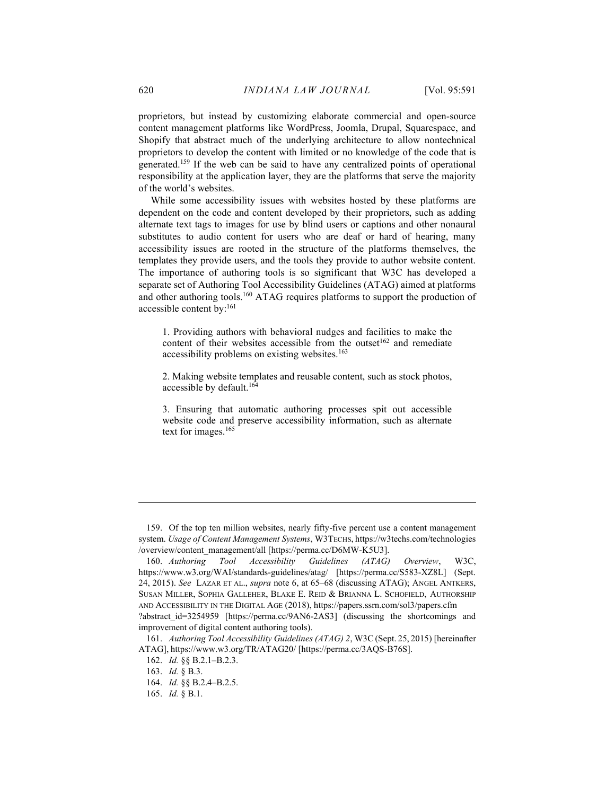proprietors, but instead by customizing elaborate commercial and open-source content management platforms like WordPress, Joomla, Drupal, Squarespace, and Shopify that abstract much of the underlying architecture to allow nontechnical proprietors to develop the content with limited or no knowledge of the code that is generated.<sup>159</sup> If the web can be said to have any centralized points of operational responsibility at the application layer, they are the platforms that serve the majority of the world's websites.

While some accessibility issues with websites hosted by these platforms are dependent on the code and content developed by their proprietors, such as adding alternate text tags to images for use by blind users or captions and other nonaural substitutes to audio content for users who are deaf or hard of hearing, many accessibility issues are rooted in the structure of the platforms themselves, the templates they provide users, and the tools they provide to author website content. The importance of authoring tools is so significant that W3C has developed a separate set of Authoring Tool Accessibility Guidelines (ATAG) aimed at platforms and other authoring tools.<sup>160</sup> ATAG requires platforms to support the production of accessible content by:<sup>161</sup>

1. Providing authors with behavioral nudges and facilities to make the content of their websites accessible from the outset<sup>162</sup> and remediate accessibility problems on existing websites.<sup>163</sup>

2. Making website templates and reusable content, such as stock photos, accessible by default.<sup>164</sup>

3. Ensuring that automatic authoring processes spit out accessible website code and preserve accessibility information, such as alternate text for images.<sup>165</sup>

 <sup>159.</sup> Of the top ten million websites, nearly fifty-five percent use a content management system. Usage of Content Management Systems, W3TECHS, https://w3techs.com/technologies /overview/content\_management/all [https://perma.cc/D6MW-K5U3].

 <sup>160.</sup> Authoring Tool Accessibility Guidelines (ATAG) Overview, W3C, https://www.w3.org/WAI/standards-guidelines/atag/ [https://perma.cc/S583-XZ8L] (Sept. 24, 2015). See LAZAR ET AL., supra note 6, at 65–68 (discussing ATAG); ANGEL ANTKERS, SUSAN MILLER, SOPHIA GALLEHER, BLAKE E. REID & BRIANNA L. SCHOFIELD, AUTHORSHIP AND ACCESSIBILITY IN THE DIGITAL AGE (2018), https://papers.ssrn.com/sol3/papers.cfm ?abstract id=3254959 [https://perma.cc/9AN6-2AS3] (discussing the shortcomings and improvement of digital content authoring tools).

 <sup>161.</sup> Authoring Tool Accessibility Guidelines (ATAG) 2, W3C (Sept. 25, 2015) [hereinafter ATAG], https://www.w3.org/TR/ATAG20/ [https://perma.cc/3AQS-B76S].

 <sup>162.</sup> Id. §§ B.2.1–B.2.3.

 <sup>163.</sup> Id. § B.3.

 <sup>164.</sup> Id. §§ B.2.4–B.2.5.

 <sup>165.</sup> Id. § B.1.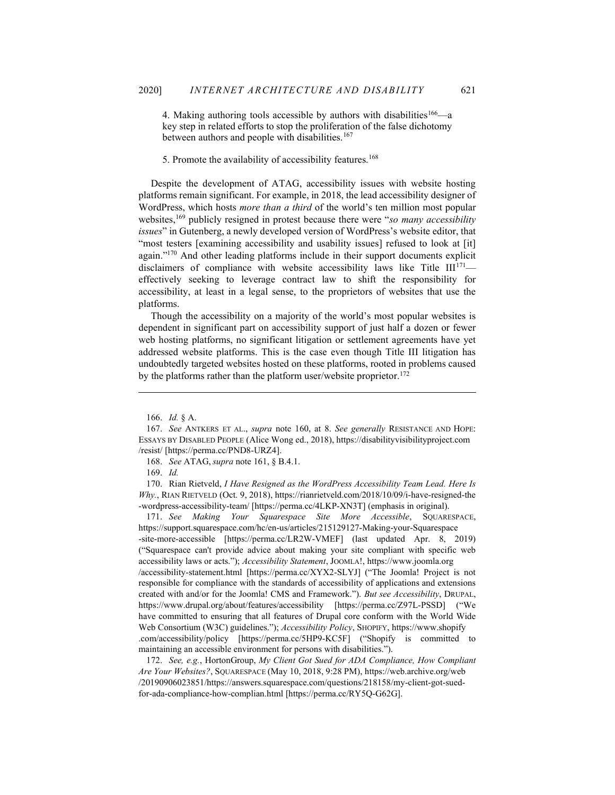4. Making authoring tools accessible by authors with disabilities<sup>166</sup> $-a$ key step in related efforts to stop the proliferation of the false dichotomy between authors and people with disabilities.<sup>167</sup>

5. Promote the availability of accessibility features.<sup>168</sup>

Despite the development of ATAG, accessibility issues with website hosting platforms remain significant. For example, in 2018, the lead accessibility designer of WordPress, which hosts *more than a third* of the world's ten million most popular websites, $169$  publicly resigned in protest because there were "so many accessibility issues" in Gutenberg, a newly developed version of WordPress's website editor, that "most testers [examining accessibility and usability issues] refused to look at [it] again."<sup>170</sup> And other leading platforms include in their support documents explicit disclaimers of compliance with website accessibility laws like Title  $III^{171}$  effectively seeking to leverage contract law to shift the responsibility for accessibility, at least in a legal sense, to the proprietors of websites that use the platforms.

Though the accessibility on a majority of the world's most popular websites is dependent in significant part on accessibility support of just half a dozen or fewer web hosting platforms, no significant litigation or settlement agreements have yet addressed website platforms. This is the case even though Title III litigation has undoubtedly targeted websites hosted on these platforms, rooted in problems caused by the platforms rather than the platform user/website proprietor.<sup>172</sup>

170. Rian Rietveld, I Have Resigned as the WordPress Accessibility Team Lead. Here Is Why., RIAN RIETVELD (Oct. 9, 2018), https://rianrietveld.com/2018/10/09/i-have-resigned-the -wordpress-accessibility-team/ [https://perma.cc/4LKP-XN3T] (emphasis in original).

171. See Making Your Squarespace Site More Accessible, SOUARESPACE, https://support.squarespace.com/hc/en-us/articles/215129127-Making-your-Squarespace -site-more-accessible [https://perma.cc/LR2W-VMEF] (last updated Apr. 8, 2019) ("Squarespace can't provide advice about making your site compliant with specific web accessibility laws or acts."); Accessibility Statement, JOOMLA!, https://www.joomla.org /accessibility-statement.html [https://perma.cc/XYX2-SLYJ] ("The Joomla! Project is not responsible for compliance with the standards of accessibility of applications and extensions created with and/or for the Joomla! CMS and Framework."). But see Accessibility, DRUPAL, https://www.drupal.org/about/features/accessibility [https://perma.cc/Z97L-PSSD] ("We have committed to ensuring that all features of Drupal core conform with the World Wide Web Consortium (W3C) guidelines."); Accessibility Policy, SHOPIFY, https://www.shopify .com/accessibility/policy [https://perma.cc/5HP9-KC5F] ("Shopify is committed to maintaining an accessible environment for persons with disabilities.").

 172. See, e.g., HortonGroup, My Client Got Sued for ADA Compliance, How Compliant Are Your Websites?, SQUARESPACE (May 10, 2018, 9:28 PM), https://web.archive.org/web /20190906023851/https://answers.squarespace.com/questions/218158/my-client-got-suedfor-ada-compliance-how-complian.html [https://perma.cc/RY5Q-G62G].

 <sup>166.</sup> Id. § A.

 <sup>167.</sup> See ANTKERS ET AL., supra note 160, at 8. See generally RESISTANCE AND HOPE: ESSAYS BY DISABLED PEOPLE (Alice Wong ed., 2018), https://disabilityvisibilityproject.com /resist/ [https://perma.cc/PND8-URZ4].

 <sup>168.</sup> See ATAG, supra note 161, § B.4.1.

 <sup>169.</sup> Id.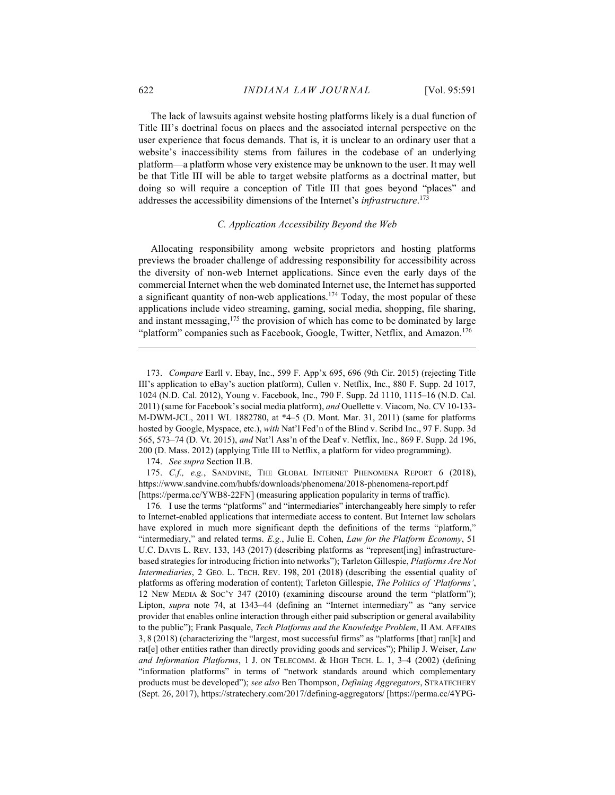The lack of lawsuits against website hosting platforms likely is a dual function of Title III's doctrinal focus on places and the associated internal perspective on the user experience that focus demands. That is, it is unclear to an ordinary user that a website's inaccessibility stems from failures in the codebase of an underlying platform—a platform whose very existence may be unknown to the user. It may well be that Title III will be able to target website platforms as a doctrinal matter, but doing so will require a conception of Title III that goes beyond "places" and addresses the accessibility dimensions of the Internet's *infrastructure*.<sup>173</sup>

#### C. Application Accessibility Beyond the Web

Allocating responsibility among website proprietors and hosting platforms previews the broader challenge of addressing responsibility for accessibility across the diversity of non-web Internet applications. Since even the early days of the commercial Internet when the web dominated Internet use, the Internet has supported a significant quantity of non-web applications.<sup>174</sup> Today, the most popular of these applications include video streaming, gaming, social media, shopping, file sharing, and instant messaging,<sup>175</sup> the provision of which has come to be dominated by large "platform" companies such as Facebook, Google, Twitter, Netflix, and Amazon.<sup>176</sup>

174. See supra Section II.B.

175. C.f., e.g., SANDVINE, THE GLOBAL INTERNET PHENOMENA REPORT 6 (2018), https://www.sandvine.com/hubfs/downloads/phenomena/2018-phenomena-report.pdf [https://perma.cc/YWB8-22FN] (measuring application popularity in terms of traffic).

176. I use the terms "platforms" and "intermediaries" interchangeably here simply to refer to Internet-enabled applications that intermediate access to content. But Internet law scholars have explored in much more significant depth the definitions of the terms "platform," "intermediary," and related terms. E.g., Julie E. Cohen, Law for the Platform Economy, 51 U.C. DAVIS L. REV. 133, 143 (2017) (describing platforms as "represent [ing] infrastructurebased strategies for introducing friction into networks"); Tarleton Gillespie, Platforms Are Not Intermediaries, 2 GEO. L. TECH. REV. 198, 201 (2018) (describing the essential quality of platforms as offering moderation of content); Tarleton Gillespie, The Politics of 'Platforms', 12 NEW MEDIA & SOC'Y 347 (2010) (examining discourse around the term "platform"); Lipton, supra note 74, at 1343–44 (defining an "Internet intermediary" as "any service provider that enables online interaction through either paid subscription or general availability to the public"); Frank Pasquale, Tech Platforms and the Knowledge Problem, II AM. AFFAIRS 3, 8 (2018) (characterizing the "largest, most successful firms" as "platforms [that] ran[k] and rate of left rather than directly providing goods and services"); Philip J. Weiser, Law and Information Platforms, 1 J. ON TELECOMM. & HIGH TECH. L. 1, 3–4 (2002) (defining "information platforms" in terms of "network standards around which complementary products must be developed"); see also Ben Thompson, Defining Aggregators, STRATECHERY (Sept. 26, 2017), https://stratechery.com/2017/defining-aggregators/ [https://perma.cc/4YPG-

 <sup>173.</sup> Compare Earll v. Ebay, Inc., 599 F. App'x 695, 696 (9th Cir. 2015) (rejecting Title III's application to eBay's auction platform), Cullen v. Netflix, Inc., 880 F. Supp. 2d 1017, 1024 (N.D. Cal. 2012), Young v. Facebook, Inc., 790 F. Supp. 2d 1110, 1115–16 (N.D. Cal. 2011) (same for Facebook's social media platform), and Ouellette v. Viacom, No. CV 10-133- M-DWM-JCL, 2011 WL 1882780, at \*4–5 (D. Mont. Mar. 31, 2011) (same for platforms hosted by Google, Myspace, etc.), with Nat'l Fed'n of the Blind v. Scribd Inc., 97 F. Supp. 3d 565, 573–74 (D. Vt. 2015), and Nat'l Ass'n of the Deaf v. Netflix, Inc., 869 F. Supp. 2d 196, 200 (D. Mass. 2012) (applying Title III to Netflix, a platform for video programming).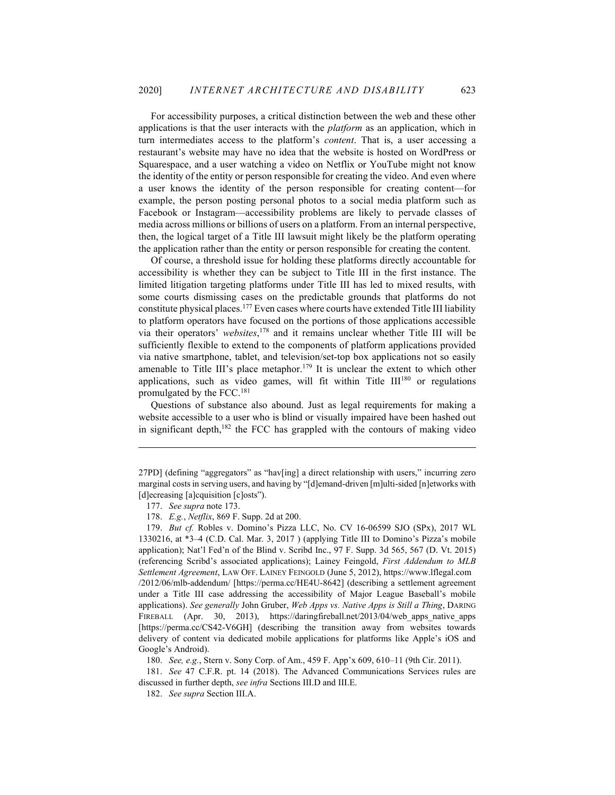For accessibility purposes, a critical distinction between the web and these other applications is that the user interacts with the *platform* as an application, which in turn intermediates access to the platform's content. That is, a user accessing a restaurant's website may have no idea that the website is hosted on WordPress or Squarespace, and a user watching a video on Netflix or YouTube might not know the identity of the entity or person responsible for creating the video. And even where a user knows the identity of the person responsible for creating content—for example, the person posting personal photos to a social media platform such as Facebook or Instagram—accessibility problems are likely to pervade classes of media across millions or billions of users on a platform. From an internal perspective, then, the logical target of a Title III lawsuit might likely be the platform operating the application rather than the entity or person responsible for creating the content.

Of course, a threshold issue for holding these platforms directly accountable for accessibility is whether they can be subject to Title III in the first instance. The limited litigation targeting platforms under Title III has led to mixed results, with some courts dismissing cases on the predictable grounds that platforms do not constitute physical places.<sup>177</sup> Even cases where courts have extended Title III liability to platform operators have focused on the portions of those applications accessible via their operators' websites,<sup>178</sup> and it remains unclear whether Title III will be sufficiently flexible to extend to the components of platform applications provided via native smartphone, tablet, and television/set-top box applications not so easily amenable to Title III's place metaphor.<sup>179</sup> It is unclear the extent to which other applications, such as video games, will fit within Title III<sup>180</sup> or regulations promulgated by the FCC.<sup>181</sup>

Questions of substance also abound. Just as legal requirements for making a website accessible to a user who is blind or visually impaired have been hashed out in significant depth,<sup>182</sup> the FCC has grappled with the contours of making video

180. See, e.g., Stern v. Sony Corp. of Am., 459 F. App'x 609, 610–11 (9th Cir. 2011).

 181. See 47 C.F.R. pt. 14 (2018). The Advanced Communications Services rules are discussed in further depth, see infra Sections III.D and III.E.

182. See supra Section III.A.

<sup>27</sup>PD] (defining "aggregators" as "hav[ing] a direct relationship with users," incurring zero marginal costs in serving users, and having by "[d]emand-driven [m]ulti-sided [n]etworks with [d]ecreasing [a]cquisition [c]osts").

 <sup>177.</sup> See supra note 173.

 <sup>178.</sup> E.g., Netflix, 869 F. Supp. 2d at 200.

 <sup>179.</sup> But cf. Robles v. Domino's Pizza LLC, No. CV 16-06599 SJO (SPx), 2017 WL 1330216, at \*3–4 (C.D. Cal. Mar. 3, 2017 ) (applying Title III to Domino's Pizza's mobile application); Nat'l Fed'n of the Blind v. Scribd Inc., 97 F. Supp. 3d 565, 567 (D. Vt. 2015) (referencing Scribd's associated applications); Lainey Feingold, First Addendum to MLB Settlement Agreement, LAW OFF. LAINEY FEINGOLD (June 5, 2012), https://www.lflegal.com /2012/06/mlb-addendum/ [https://perma.cc/HE4U-8642] (describing a settlement agreement under a Title III case addressing the accessibility of Major League Baseball's mobile applications). See generally John Gruber, Web Apps vs. Native Apps is Still a Thing, DARING FIREBALL (Apr. 30, 2013), https://daringfireball.net/2013/04/web apps native apps [https://perma.cc/CS42-V6GH] (describing the transition away from websites towards delivery of content via dedicated mobile applications for platforms like Apple's iOS and Google's Android).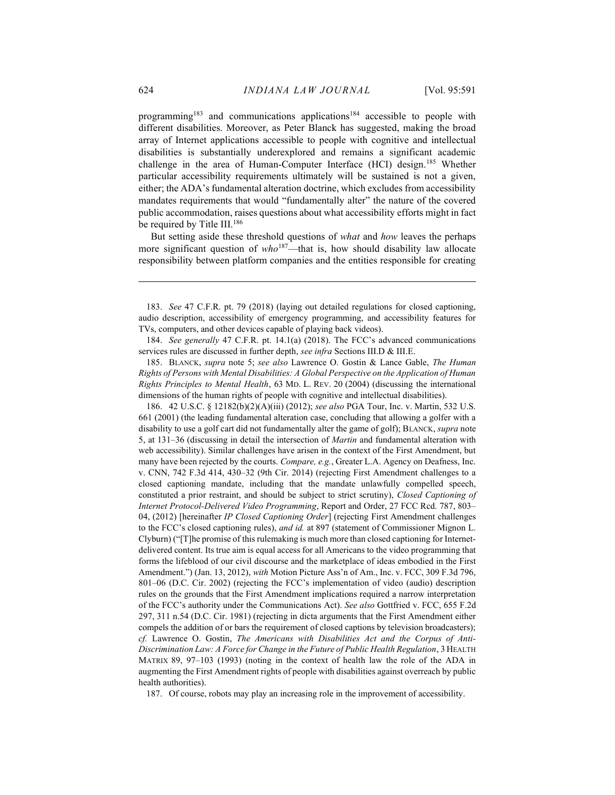programming<sup>183</sup> and communications applications<sup>184</sup> accessible to people with different disabilities. Moreover, as Peter Blanck has suggested, making the broad array of Internet applications accessible to people with cognitive and intellectual disabilities is substantially underexplored and remains a significant academic challenge in the area of Human-Computer Interface (HCI) design.<sup>185</sup> Whether particular accessibility requirements ultimately will be sustained is not a given, either; the ADA's fundamental alteration doctrine, which excludes from accessibility mandates requirements that would "fundamentally alter" the nature of the covered public accommodation, raises questions about what accessibility efforts might in fact be required by Title III.<sup>186</sup>

But setting aside these threshold questions of what and how leaves the perhaps more significant question of  $who^{187}$ —that is, how should disability law allocate responsibility between platform companies and the entities responsible for creating

 184. See generally 47 C.F.R. pt. 14.1(a) (2018). The FCC's advanced communications services rules are discussed in further depth, see infra Sections III.D & III.E.

 185. BLANCK, supra note 5; see also Lawrence O. Gostin & Lance Gable, The Human Rights of Persons with Mental Disabilities: A Global Perspective on the Application of Human Rights Principles to Mental Health, 63 MD. L. REV. 20 (2004) (discussing the international dimensions of the human rights of people with cognitive and intellectual disabilities).

 186. 42 U.S.C. § 12182(b)(2)(A)(iii) (2012); see also PGA Tour, Inc. v. Martin, 532 U.S. 661 (2001) (the leading fundamental alteration case, concluding that allowing a golfer with a disability to use a golf cart did not fundamentally alter the game of golf); BLANCK, supra note 5, at 131–36 (discussing in detail the intersection of Martin and fundamental alteration with web accessibility). Similar challenges have arisen in the context of the First Amendment, but many have been rejected by the courts. Compare, e.g., Greater L.A. Agency on Deafness, Inc. v. CNN, 742 F.3d 414, 430–32 (9th Cir. 2014) (rejecting First Amendment challenges to a closed captioning mandate, including that the mandate unlawfully compelled speech, constituted a prior restraint, and should be subject to strict scrutiny), Closed Captioning of Internet Protocol-Delivered Video Programming, Report and Order, 27 FCC Rcd. 787, 803– 04, (2012) [hereinafter IP Closed Captioning Order] (rejecting First Amendment challenges to the FCC's closed captioning rules), *and id.* at 897 (statement of Commissioner Mignon L. Clyburn) ("[T]he promise of this rulemaking is much more than closed captioning for Internetdelivered content. Its true aim is equal access for all Americans to the video programming that forms the lifeblood of our civil discourse and the marketplace of ideas embodied in the First Amendment.") (Jan. 13, 2012), with Motion Picture Ass'n of Am., Inc. v. FCC, 309 F.3d 796, 801–06 (D.C. Cir. 2002) (rejecting the FCC's implementation of video (audio) description rules on the grounds that the First Amendment implications required a narrow interpretation of the FCC's authority under the Communications Act). See also Gottfried v. FCC, 655 F.2d 297, 311 n.54 (D.C. Cir. 1981) (rejecting in dicta arguments that the First Amendment either compels the addition of or bars the requirement of closed captions by television broadcasters); cf. Lawrence O. Gostin, The Americans with Disabilities Act and the Corpus of Anti-Discrimination Law: A Force for Change in the Future of Public Health Regulation, 3 HEALTH MATRIX 89, 97–103 (1993) (noting in the context of health law the role of the ADA in augmenting the First Amendment rights of people with disabilities against overreach by public health authorities).

187. Of course, robots may play an increasing role in the improvement of accessibility.

 <sup>183.</sup> See 47 C.F.R. pt. 79 (2018) (laying out detailed regulations for closed captioning, audio description, accessibility of emergency programming, and accessibility features for TVs, computers, and other devices capable of playing back videos).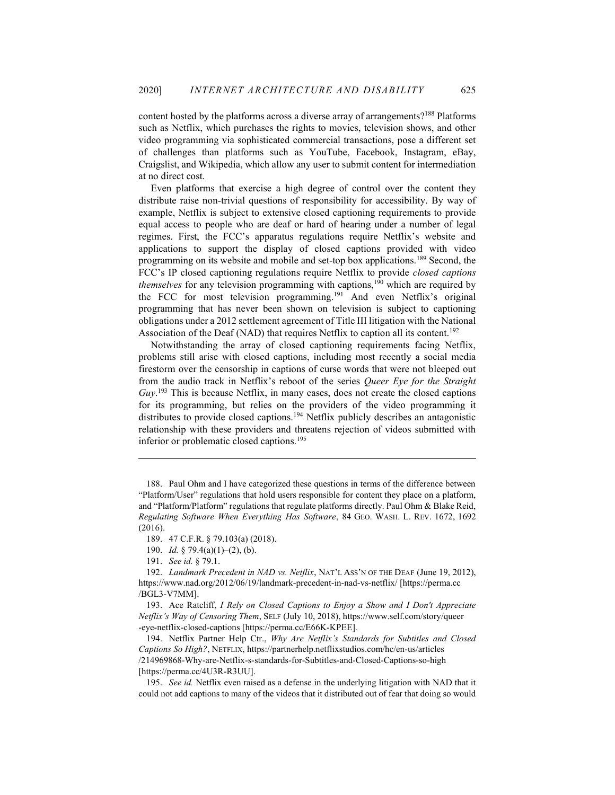content hosted by the platforms across a diverse array of arrangements?<sup>188</sup> Platforms such as Netflix, which purchases the rights to movies, television shows, and other video programming via sophisticated commercial transactions, pose a different set of challenges than platforms such as YouTube, Facebook, Instagram, eBay, Craigslist, and Wikipedia, which allow any user to submit content for intermediation at no direct cost.

Even platforms that exercise a high degree of control over the content they distribute raise non-trivial questions of responsibility for accessibility. By way of example, Netflix is subject to extensive closed captioning requirements to provide equal access to people who are deaf or hard of hearing under a number of legal regimes. First, the FCC's apparatus regulations require Netflix's website and applications to support the display of closed captions provided with video programming on its website and mobile and set-top box applications.<sup>189</sup> Second, the FCC's IP closed captioning regulations require Netflix to provide closed captions *themselves* for any television programming with captions,<sup>190</sup> which are required by the FCC for most television programming.<sup>191</sup> And even Netflix's original programming that has never been shown on television is subject to captioning obligations under a 2012 settlement agreement of Title III litigation with the National Association of the Deaf (NAD) that requires Netflix to caption all its content.<sup>192</sup>

Notwithstanding the array of closed captioning requirements facing Netflix, problems still arise with closed captions, including most recently a social media firestorm over the censorship in captions of curse words that were not bleeped out from the audio track in Netflix's reboot of the series Queer Eye for the Straight Guy.<sup>193</sup> This is because Netflix, in many cases, does not create the closed captions for its programming, but relies on the providers of the video programming it distributes to provide closed captions.<sup>194</sup> Netflix publicly describes an antagonistic relationship with these providers and threatens rejection of videos submitted with inferior or problematic closed captions.<sup>195</sup>

 <sup>188.</sup> Paul Ohm and I have categorized these questions in terms of the difference between "Platform/User" regulations that hold users responsible for content they place on a platform, and "Platform/Platform" regulations that regulate platforms directly. Paul Ohm & Blake Reid, Regulating Software When Everything Has Software, 84 GEO. WASH. L. REV. 1672, 1692 (2016).

 <sup>189. 47</sup> C.F.R. § 79.103(a) (2018).

<sup>190.</sup> *Id.* § 79.4(a)(1)–(2), (b).

 <sup>191.</sup> See id. § 79.1.

 <sup>192.</sup> Landmark Precedent in NAD vs. Netflix, NAT'L ASS'N OF THE DEAF (June 19, 2012), https://www.nad.org/2012/06/19/landmark-precedent-in-nad-vs-netflix/ [https://perma.cc /BGL3-V7MM].

 <sup>193.</sup> Ace Ratcliff, I Rely on Closed Captions to Enjoy a Show and I Don't Appreciate Netflix's Way of Censoring Them, SELF (July 10, 2018), https://www.self.com/story/queer -eye-netflix-closed-captions [https://perma.cc/E66K-KPEE].

 <sup>194.</sup> Netflix Partner Help Ctr., Why Are Netflix's Standards for Subtitles and Closed Captions So High?, NETFLIX, https://partnerhelp.netflixstudios.com/hc/en-us/articles /214969868-Why-are-Netflix-s-standards-for-Subtitles-and-Closed-Captions-so-high [https://perma.cc/4U3R-R3UU].

<sup>195.</sup> See id. Netflix even raised as a defense in the underlying litigation with NAD that it could not add captions to many of the videos that it distributed out of fear that doing so would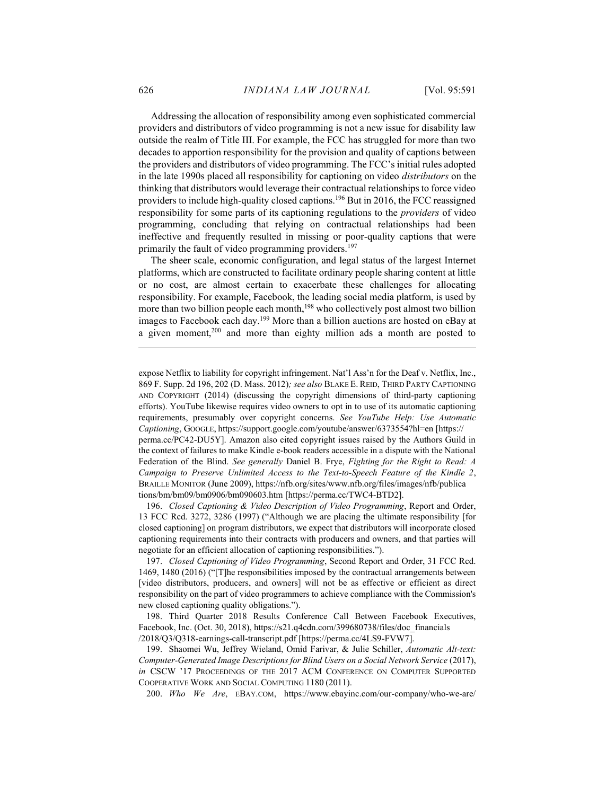Addressing the allocation of responsibility among even sophisticated commercial providers and distributors of video programming is not a new issue for disability law outside the realm of Title III. For example, the FCC has struggled for more than two decades to apportion responsibility for the provision and quality of captions between the providers and distributors of video programming. The FCC's initial rules adopted in the late 1990s placed all responsibility for captioning on video distributors on the thinking that distributors would leverage their contractual relationships to force video providers to include high-quality closed captions.<sup>196</sup> But in 2016, the FCC reassigned responsibility for some parts of its captioning regulations to the providers of video programming, concluding that relying on contractual relationships had been ineffective and frequently resulted in missing or poor-quality captions that were primarily the fault of video programming providers.<sup>197</sup>

The sheer scale, economic configuration, and legal status of the largest Internet platforms, which are constructed to facilitate ordinary people sharing content at little or no cost, are almost certain to exacerbate these challenges for allocating responsibility. For example, Facebook, the leading social media platform, is used by more than two billion people each month,<sup>198</sup> who collectively post almost two billion images to Facebook each day.<sup>199</sup> More than a billion auctions are hosted on eBay at a given moment,<sup>200</sup> and more than eighty million ads a month are posted to

the context of failures to make Kindle e-book readers accessible in a dispute with the National Federation of the Blind. See generally Daniel B. Frye, Fighting for the Right to Read: A Campaign to Preserve Unlimited Access to the Text-to-Speech Feature of the Kindle 2, BRAILLE MONITOR (June 2009), https://nfb.org/sites/www.nfb.org/files/images/nfb/publica tions/bm/bm09/bm0906/bm090603.htm [https://perma.cc/TWC4-BTD2].

 196. Closed Captioning & Video Description of Video Programming, Report and Order, 13 FCC Rcd. 3272, 3286 (1997) ("Although we are placing the ultimate responsibility [for closed captioning] on program distributors, we expect that distributors will incorporate closed captioning requirements into their contracts with producers and owners, and that parties will negotiate for an efficient allocation of captioning responsibilities.").

 197. Closed Captioning of Video Programming, Second Report and Order, 31 FCC Rcd. 1469, 1480 (2016) ("[T]he responsibilities imposed by the contractual arrangements between [video distributors, producers, and owners] will not be as effective or efficient as direct responsibility on the part of video programmers to achieve compliance with the Commission's new closed captioning quality obligations.").

 198. Third Quarter 2018 Results Conference Call Between Facebook Executives, Facebook, Inc. (Oct. 30, 2018), https://s21.q4cdn.com/399680738/files/doc\_financials /2018/Q3/Q318-earnings-call-transcript.pdf [https://perma.cc/4LS9-FVW7].

 199. Shaomei Wu, Jeffrey Wieland, Omid Farivar, & Julie Schiller, Automatic Alt-text: Computer-Generated Image Descriptions for Blind Users on a Social Network Service (2017), in CSCW '17 PROCEEDINGS OF THE 2017 ACM CONFERENCE ON COMPUTER SUPPORTED COOPERATIVE WORK AND SOCIAL COMPUTING 1180 (2011).

200. Who We Are, EBAY.COM, https://www.ebayinc.com/our-company/who-we-are/

expose Netflix to liability for copyright infringement. Nat'l Ass'n for the Deaf v. Netflix, Inc., 869 F. Supp. 2d 196, 202 (D. Mass. 2012); see also BLAKE E. REID, THIRD PARTY CAPTIONING AND COPYRIGHT (2014) (discussing the copyright dimensions of third-party captioning efforts). YouTube likewise requires video owners to opt in to use of its automatic captioning requirements, presumably over copyright concerns. See YouTube Help: Use Automatic Captioning, GOOGLE, https://support.google.com/youtube/answer/6373554?hl=en [https:// perma.cc/PC42-DU5Y]. Amazon also cited copyright issues raised by the Authors Guild in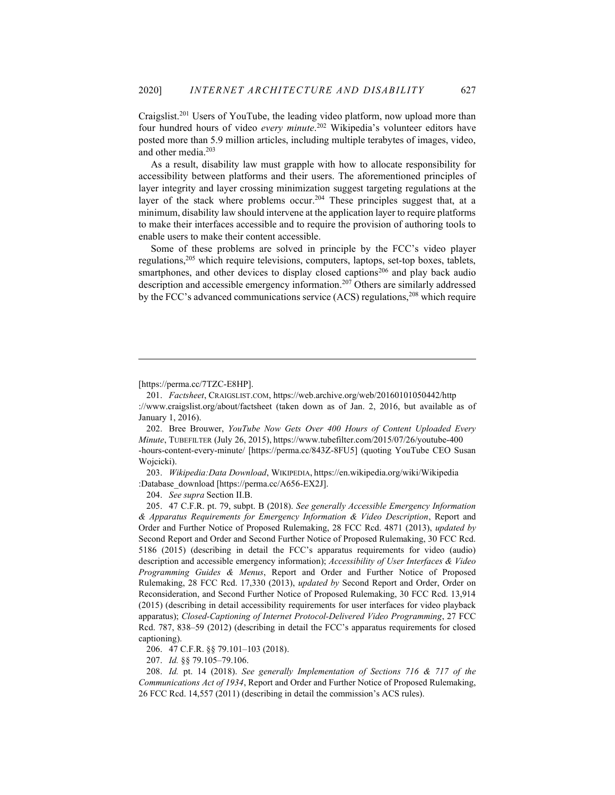Craigslist.<sup>201</sup> Users of YouTube, the leading video platform, now upload more than four hundred hours of video every minute.<sup>202</sup> Wikipedia's volunteer editors have posted more than 5.9 million articles, including multiple terabytes of images, video, and other media.<sup>203</sup>

As a result, disability law must grapple with how to allocate responsibility for accessibility between platforms and their users. The aforementioned principles of layer integrity and layer crossing minimization suggest targeting regulations at the layer of the stack where problems occur.<sup>204</sup> These principles suggest that, at a minimum, disability law should intervene at the application layer to require platforms to make their interfaces accessible and to require the provision of authoring tools to enable users to make their content accessible.

Some of these problems are solved in principle by the FCC's video player regulations,<sup>205</sup> which require televisions, computers, laptops, set-top boxes, tablets, smartphones, and other devices to display closed captions<sup>206</sup> and play back audio description and accessible emergency information.<sup>207</sup> Others are similarly addressed by the FCC's advanced communications service (ACS) regulations,<sup>208</sup> which require

204. See supra Section II.B.

206. 47 C.F.R. §§ 79.101–103 (2018).

207. Id. §§ 79.105–79.106.

 208. Id. pt. 14 (2018). See generally Implementation of Sections 716 & 717 of the Communications Act of 1934, Report and Order and Further Notice of Proposed Rulemaking, 26 FCC Rcd. 14,557 (2011) (describing in detail the commission's ACS rules).

<sup>[</sup>https://perma.cc/7TZC-E8HP].

 <sup>201.</sup> Factsheet, CRAIGSLIST.COM, https://web.archive.org/web/20160101050442/http ://www.craigslist.org/about/factsheet (taken down as of Jan. 2, 2016, but available as of January 1, 2016).

 <sup>202.</sup> Bree Brouwer, YouTube Now Gets Over 400 Hours of Content Uploaded Every Minute, TUBEFILTER (July 26, 2015), https://www.tubefilter.com/2015/07/26/youtube-400 -hours-content-every-minute/ [https://perma.cc/843Z-8FU5] (quoting YouTube CEO Susan Wojcicki).

 <sup>203.</sup> Wikipedia:Data Download, WIKIPEDIA, https://en.wikipedia.org/wiki/Wikipedia :Database\_download [https://perma.cc/A656-EX2J].

 <sup>205. 47</sup> C.F.R. pt. 79, subpt. B (2018). See generally Accessible Emergency Information & Apparatus Requirements for Emergency Information & Video Description, Report and Order and Further Notice of Proposed Rulemaking, 28 FCC Rcd. 4871 (2013), updated by Second Report and Order and Second Further Notice of Proposed Rulemaking, 30 FCC Rcd. 5186 (2015) (describing in detail the FCC's apparatus requirements for video (audio) description and accessible emergency information); Accessibility of User Interfaces & Video Programming Guides & Menus, Report and Order and Further Notice of Proposed Rulemaking, 28 FCC Rcd. 17,330 (2013), updated by Second Report and Order, Order on Reconsideration, and Second Further Notice of Proposed Rulemaking, 30 FCC Rcd. 13,914 (2015) (describing in detail accessibility requirements for user interfaces for video playback apparatus); Closed-Captioning of Internet Protocol-Delivered Video Programming, 27 FCC Rcd. 787, 838–59 (2012) (describing in detail the FCC's apparatus requirements for closed captioning).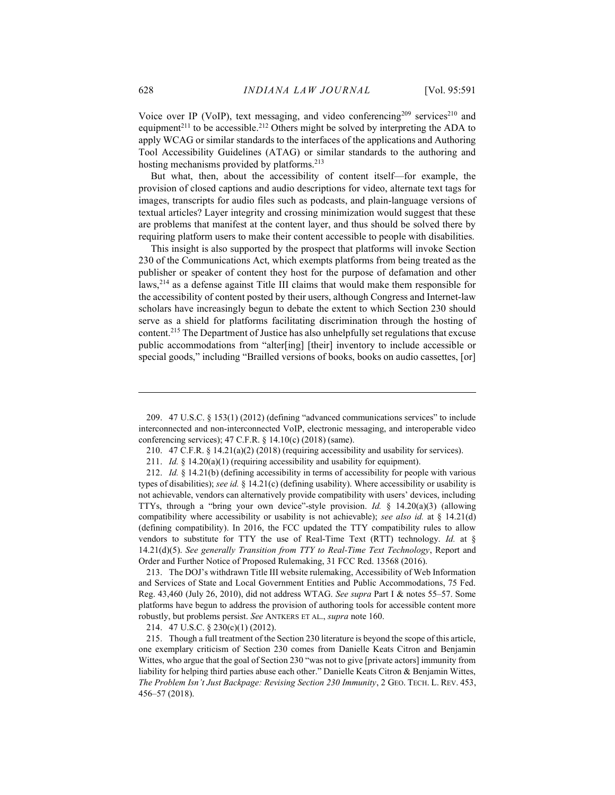Voice over IP (VoIP), text messaging, and video conferencing<sup>209</sup> services<sup>210</sup> and equipment<sup>211</sup> to be accessible.<sup>212</sup> Others might be solved by interpreting the ADA to apply WCAG or similar standards to the interfaces of the applications and Authoring Tool Accessibility Guidelines (ATAG) or similar standards to the authoring and hosting mechanisms provided by platforms.<sup>213</sup>

But what, then, about the accessibility of content itself—for example, the provision of closed captions and audio descriptions for video, alternate text tags for images, transcripts for audio files such as podcasts, and plain-language versions of textual articles? Layer integrity and crossing minimization would suggest that these are problems that manifest at the content layer, and thus should be solved there by requiring platform users to make their content accessible to people with disabilities.

This insight is also supported by the prospect that platforms will invoke Section 230 of the Communications Act, which exempts platforms from being treated as the publisher or speaker of content they host for the purpose of defamation and other laws,<sup>214</sup> as a defense against Title III claims that would make them responsible for the accessibility of content posted by their users, although Congress and Internet-law scholars have increasingly begun to debate the extent to which Section 230 should serve as a shield for platforms facilitating discrimination through the hosting of content.<sup>215</sup> The Department of Justice has also unhelpfully set regulations that excuse public accommodations from "alter[ing] [their] inventory to include accessible or special goods," including "Brailled versions of books, books on audio cassettes, [or]

 213. The DOJ's withdrawn Title III website rulemaking, Accessibility of Web Information and Services of State and Local Government Entities and Public Accommodations, 75 Fed. Reg. 43,460 (July 26, 2010), did not address WTAG. See supra Part I & notes 55–57. Some platforms have begun to address the provision of authoring tools for accessible content more robustly, but problems persist. See ANTKERS ET AL., supra note 160.

214. 47 U.S.C. § 230(c)(1) (2012).

 <sup>209. 47</sup> U.S.C. § 153(1) (2012) (defining "advanced communications services" to include interconnected and non-interconnected VoIP, electronic messaging, and interoperable video conferencing services); 47 C.F.R. § 14.10(c) (2018) (same).

 <sup>210. 47</sup> C.F.R. § 14.21(a)(2) (2018) (requiring accessibility and usability for services).

<sup>211.</sup> Id.  $§$  14.20(a)(1) (requiring accessibility and usability for equipment).

<sup>212.</sup> Id. § 14.21(b) (defining accessibility in terms of accessibility for people with various types of disabilities); see id. § 14.21(c) (defining usability). Where accessibility or usability is not achievable, vendors can alternatively provide compatibility with users' devices, including TTYs, through a "bring your own device"-style provision. Id.  $\S$  14.20(a)(3) (allowing compatibility where accessibility or usability is not achievable); see also id. at  $\S$  14.21(d) (defining compatibility). In 2016, the FCC updated the TTY compatibility rules to allow vendors to substitute for TTY the use of Real-Time Text (RTT) technology. Id. at  $\S$  $14.21(d)(5)$ . See generally Transition from TTY to Real-Time Text Technology, Report and Order and Further Notice of Proposed Rulemaking, 31 FCC Rcd. 13568 (2016).

 <sup>215.</sup> Though a full treatment of the Section 230 literature is beyond the scope of this article, one exemplary criticism of Section 230 comes from Danielle Keats Citron and Benjamin Wittes, who argue that the goal of Section 230 "was not to give [private actors] immunity from liability for helping third parties abuse each other." Danielle Keats Citron & Benjamin Wittes, The Problem Isn't Just Backpage: Revising Section 230 Immunity, 2 GEO. TECH. L. REV. 453, 456–57 (2018).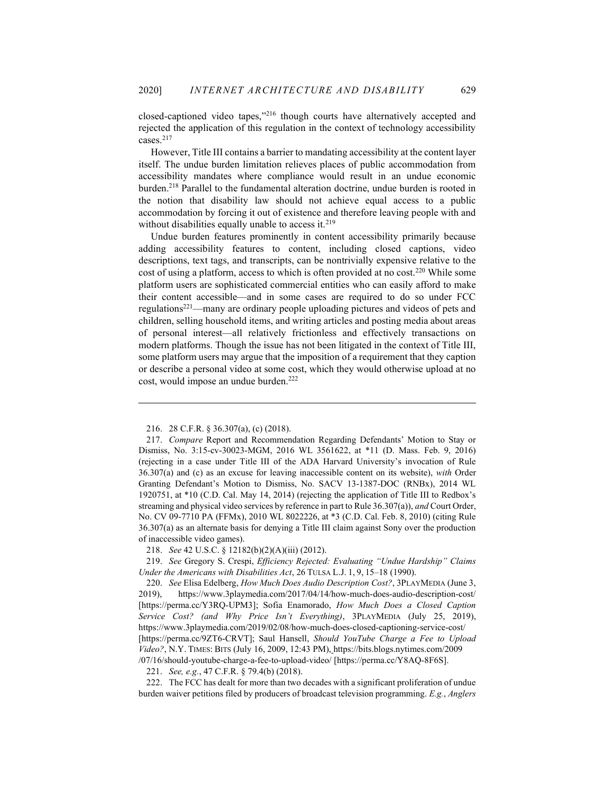closed-captioned video tapes,"<sup>216</sup> though courts have alternatively accepted and rejected the application of this regulation in the context of technology accessibility cases.<sup>217</sup>

However, Title III contains a barrier to mandating accessibility at the content layer itself. The undue burden limitation relieves places of public accommodation from accessibility mandates where compliance would result in an undue economic burden.<sup>218</sup> Parallel to the fundamental alteration doctrine, undue burden is rooted in the notion that disability law should not achieve equal access to a public accommodation by forcing it out of existence and therefore leaving people with and without disabilities equally unable to access it. $2^{19}$ 

Undue burden features prominently in content accessibility primarily because adding accessibility features to content, including closed captions, video descriptions, text tags, and transcripts, can be nontrivially expensive relative to the cost of using a platform, access to which is often provided at no cost.<sup>220</sup> While some platform users are sophisticated commercial entities who can easily afford to make their content accessible—and in some cases are required to do so under FCC regulations<sup>221</sup>—many are ordinary people uploading pictures and videos of pets and children, selling household items, and writing articles and posting media about areas of personal interest—all relatively frictionless and effectively transactions on modern platforms. Though the issue has not been litigated in the context of Title III, some platform users may argue that the imposition of a requirement that they caption or describe a personal video at some cost, which they would otherwise upload at no cost, would impose an undue burden.<sup>222</sup>

221. See, e.g., 47 C.F.R. § 79.4(b) (2018).

 222. The FCC has dealt for more than two decades with a significant proliferation of undue burden waiver petitions filed by producers of broadcast television programming. E.g., Anglers

 <sup>216. 28</sup> C.F.R. § 36.307(a), (c) (2018).

 <sup>217.</sup> Compare Report and Recommendation Regarding Defendants' Motion to Stay or Dismiss, No. 3:15-cv-30023-MGM, 2016 WL 3561622, at \*11 (D. Mass. Feb. 9, 2016) (rejecting in a case under Title III of the ADA Harvard University's invocation of Rule 36.307(a) and (c) as an excuse for leaving inaccessible content on its website), with Order Granting Defendant's Motion to Dismiss, No. SACV 13-1387-DOC (RNBx), 2014 WL 1920751, at \*10 (C.D. Cal. May 14, 2014) (rejecting the application of Title III to Redbox's streaming and physical video services by reference in part to Rule 36.307(a)), and Court Order, No. CV 09-7710 PA (FFMx), 2010 WL 8022226, at \*3 (C.D. Cal. Feb. 8, 2010) (citing Rule 36.307(a) as an alternate basis for denying a Title III claim against Sony over the production of inaccessible video games).

 <sup>218.</sup> See 42 U.S.C. § 12182(b)(2)(A)(iii) (2012).

 <sup>219.</sup> See Gregory S. Crespi, Efficiency Rejected: Evaluating "Undue Hardship" Claims Under the Americans with Disabilities Act, 26 TULSA L.J. 1, 9, 15–18 (1990).

 <sup>220.</sup> See Elisa Edelberg, How Much Does Audio Description Cost?, 3PLAYMEDIA (June 3, 2019), https://www.3playmedia.com/2017/04/14/how-much-does-audio-description-cost/ [https://perma.cc/Y3RQ-UPM3]; Sofia Enamorado, How Much Does a Closed Caption Service Cost? (and Why Price Isn't Everything), 3PLAYMEDIA (July 25, 2019), https://www.3playmedia.com/2019/02/08/how-much-does-closed-captioning-service-cost/ [https://perma.cc/9ZT6-CRVT]; Saul Hansell, Should YouTube Charge a Fee to Upload Video?, N.Y. TIMES: BITS (July 16, 2009, 12:43 PM), https://bits.blogs.nytimes.com/2009 /07/16/should-youtube-charge-a-fee-to-upload-video/ [https://perma.cc/Y8AQ-8F6S].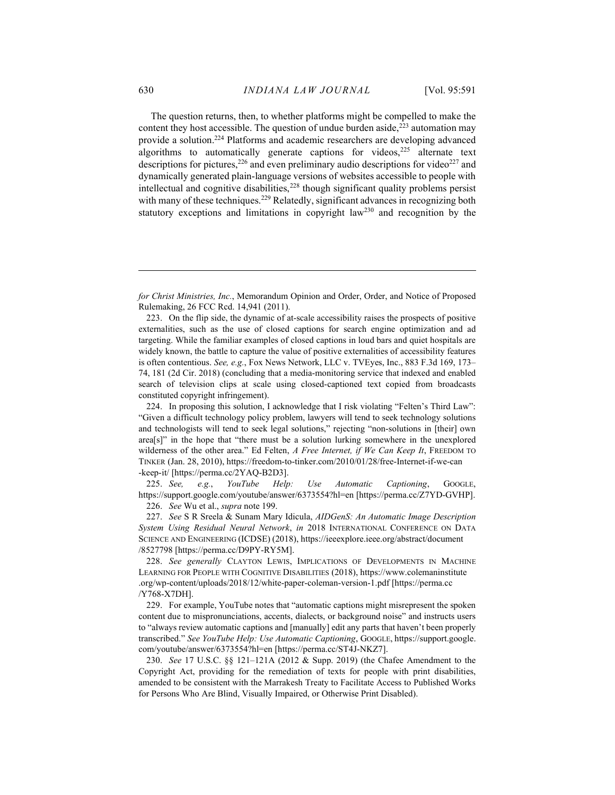The question returns, then, to whether platforms might be compelled to make the content they host accessible. The question of undue burden aside, $223$  automation may provide a solution.<sup>224</sup> Platforms and academic researchers are developing advanced algorithms to automatically generate captions for videos,<sup>225</sup> alternate text descriptions for pictures,  $226$  and even preliminary audio descriptions for video $227$  and dynamically generated plain-language versions of websites accessible to people with intellectual and cognitive disabilities, $2^{28}$  though significant quality problems persist with many of these techniques.<sup>229</sup> Relatedly, significant advances in recognizing both statutory exceptions and limitations in copyright law<sup>230</sup> and recognition by the

225. See, e.g., YouTube Help: Use Automatic Captioning, GOOGLE, https://support.google.com/youtube/answer/6373554?hl=en [https://perma.cc/Z7YD-GVHP]. 226. See Wu et al., supra note 199.

227. See S R Sreela & Sunam Mary Idicula, AIDGenS: An Automatic Image Description System Using Residual Neural Network, in 2018 INTERNATIONAL CONFERENCE ON DATA SCIENCE AND ENGINEERING (ICDSE) (2018), https://ieeexplore.ieee.org/abstract/document /8527798 [https://perma.cc/D9PY-RY5M].

228. See generally CLAYTON LEWIS, IMPLICATIONS OF DEVELOPMENTS IN MACHINE LEARNING FOR PEOPLE WITH COGNITIVE DISABILITIES (2018), https://www.colemaninstitute .org/wp-content/uploads/2018/12/white-paper-coleman-version-1.pdf [https://perma.cc /Y768-X7DH].

 229. For example, YouTube notes that "automatic captions might misrepresent the spoken content due to mispronunciations, accents, dialects, or background noise" and instructs users to "always review automatic captions and [manually] edit any parts that haven't been properly transcribed." See YouTube Help: Use Automatic Captioning, GOOGLE, https://support.google. com/youtube/answer/6373554?hl=en [https://perma.cc/ST4J-NKZ7].

 230. See 17 U.S.C. §§ 121–121A (2012 & Supp. 2019) (the Chafee Amendment to the Copyright Act, providing for the remediation of texts for people with print disabilities, amended to be consistent with the Marrakesh Treaty to Facilitate Access to Published Works for Persons Who Are Blind, Visually Impaired, or Otherwise Print Disabled).

for Christ Ministries, Inc., Memorandum Opinion and Order, Order, and Notice of Proposed Rulemaking, 26 FCC Rcd. 14,941 (2011).

 <sup>223.</sup> On the flip side, the dynamic of at-scale accessibility raises the prospects of positive externalities, such as the use of closed captions for search engine optimization and ad targeting. While the familiar examples of closed captions in loud bars and quiet hospitals are widely known, the battle to capture the value of positive externalities of accessibility features is often contentious. See, e.g., Fox News Network, LLC v. TVEyes, Inc., 883 F.3d 169, 173– 74, 181 (2d Cir. 2018) (concluding that a media-monitoring service that indexed and enabled search of television clips at scale using closed-captioned text copied from broadcasts constituted copyright infringement).

 <sup>224.</sup> In proposing this solution, I acknowledge that I risk violating "Felten's Third Law": "Given a difficult technology policy problem, lawyers will tend to seek technology solutions and technologists will tend to seek legal solutions," rejecting "non-solutions in [their] own area[s]" in the hope that "there must be a solution lurking somewhere in the unexplored wilderness of the other area." Ed Felten,  $A$  Free Internet, if We Can Keep It, FREEDOM TO TINKER (Jan. 28, 2010), https://freedom-to-tinker.com/2010/01/28/free-Internet-if-we-can -keep-it/ [https://perma.cc/2YAQ-B2D3].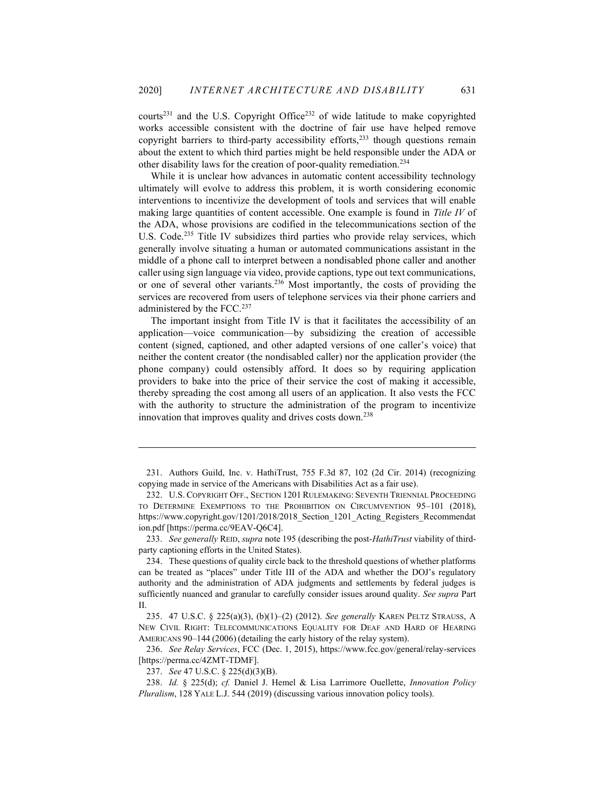courts<sup>231</sup> and the U.S. Copyright Office<sup>232</sup> of wide latitude to make copyrighted works accessible consistent with the doctrine of fair use have helped remove copyright barriers to third-party accessibility efforts, $233$  though questions remain about the extent to which third parties might be held responsible under the ADA or other disability laws for the creation of poor-quality remediation.<sup>234</sup>

While it is unclear how advances in automatic content accessibility technology ultimately will evolve to address this problem, it is worth considering economic interventions to incentivize the development of tools and services that will enable making large quantities of content accessible. One example is found in Title IV of the ADA, whose provisions are codified in the telecommunications section of the U.S. Code.<sup>235</sup> Title IV subsidizes third parties who provide relay services, which generally involve situating a human or automated communications assistant in the middle of a phone call to interpret between a nondisabled phone caller and another caller using sign language via video, provide captions, type out text communications, or one of several other variants.<sup>236</sup> Most importantly, the costs of providing the services are recovered from users of telephone services via their phone carriers and administered by the FCC.<sup>237</sup>

The important insight from Title IV is that it facilitates the accessibility of an application—voice communication—by subsidizing the creation of accessible content (signed, captioned, and other adapted versions of one caller's voice) that neither the content creator (the nondisabled caller) nor the application provider (the phone company) could ostensibly afford. It does so by requiring application providers to bake into the price of their service the cost of making it accessible, thereby spreading the cost among all users of an application. It also vests the FCC with the authority to structure the administration of the program to incentivize innovation that improves quality and drives costs down.<sup>238</sup>

233. See generally REID, supra note 195 (describing the post-HathiTrust viability of thirdparty captioning efforts in the United States).

 236. See Relay Services, FCC (Dec. 1, 2015), https://www.fcc.gov/general/relay-services [https://perma.cc/4ZMT-TDMF].

 <sup>231.</sup> Authors Guild, Inc. v. HathiTrust, 755 F.3d 87, 102 (2d Cir. 2014) (recognizing copying made in service of the Americans with Disabilities Act as a fair use).

 <sup>232.</sup> U.S. COPYRIGHT OFF., SECTION 1201 RULEMAKING: SEVENTH TRIENNIAL PROCEEDING TO DETERMINE EXEMPTIONS TO THE PROHIBITION ON CIRCUMVENTION 95–101 (2018), https://www.copyright.gov/1201/2018/2018 Section 1201 Acting Registers Recommendat ion.pdf [https://perma.cc/9EAV-Q6C4].

 <sup>234.</sup> These questions of quality circle back to the threshold questions of whether platforms can be treated as "places" under Title III of the ADA and whether the DOJ's regulatory authority and the administration of ADA judgments and settlements by federal judges is sufficiently nuanced and granular to carefully consider issues around quality. See supra Part II.

 <sup>235. 47</sup> U.S.C. § 225(a)(3), (b)(1)–(2) (2012). See generally KAREN PELTZ STRAUSS, A NEW CIVIL RIGHT: TELECOMMUNICATIONS EQUALITY FOR DEAF AND HARD OF HEARING AMERICANS 90–144 (2006) (detailing the early history of the relay system).

 <sup>237.</sup> See 47 U.S.C. § 225(d)(3)(B).

 <sup>238.</sup> Id. § 225(d); cf. Daniel J. Hemel & Lisa Larrimore Ouellette, Innovation Policy Pluralism, 128 YALE L.J. 544 (2019) (discussing various innovation policy tools).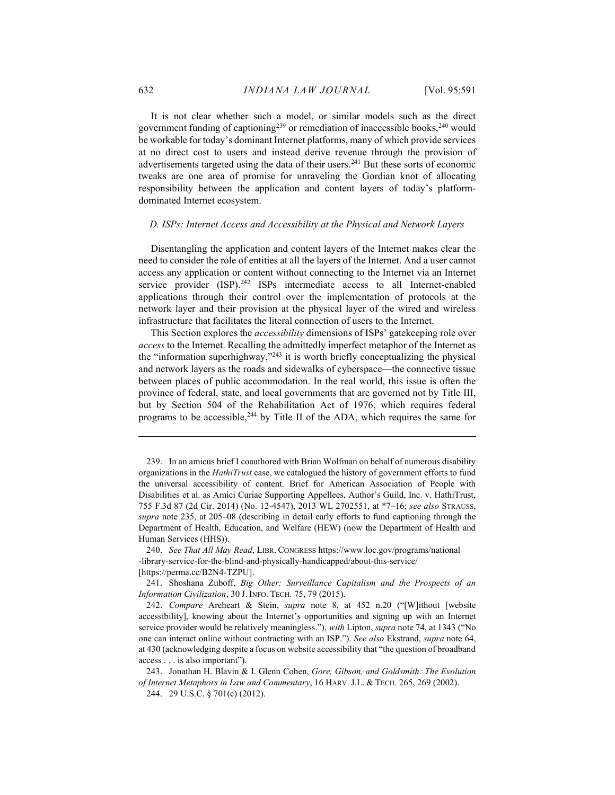It is not clear whether such a model, or similar models such as the direct government funding of captioning<sup>239</sup> or remediation of inaccessible books,<sup>240</sup> would be workable for today's dominant Internet platforms, many of which provide services at no direct cost to users and instead derive revenue through the provision of advertisements targeted using the data of their users.<sup>241</sup> But these sorts of economic tweaks are one area of promise for unraveling the Gordian knot of allocating responsibility between the application and content layers of today's platformdominated Internet ecosystem.

#### D. ISPs: Internet Access and Accessibility at the Physical and Network Layers

Disentangling the application and content layers of the Internet makes clear the need to consider the role of entities at all the layers of the Internet. And a user cannot access any application or content without connecting to the Internet via an Internet service provider (ISP).<sup>242</sup> ISPs intermediate access to all Internet-enabled applications through their control over the implementation of protocols at the network layer and their provision at the physical layer of the wired and wireless infrastructure that facilitates the literal connection of users to the Internet.

This Section explores the *accessibility* dimensions of ISPs' gatekeeping role over access to the Internet. Recalling the admittedly imperfect metaphor of the Internet as the "information superhighway,"<sup>243</sup> it is worth briefly conceptualizing the physical and network layers as the roads and sidewalks of cyberspace—the connective tissue between places of public accommodation. In the real world, this issue is often the province of federal, state, and local governments that are governed not by Title III, but by Section 504 of the Rehabilitation Act of 1976, which requires federal programs to be accessible,<sup>244</sup> by Title II of the ADA, which requires the same for

 <sup>239.</sup> In an amicus brief I coauthored with Brian Wolfman on behalf of numerous disability organizations in the HathiTrust case, we catalogued the history of government efforts to fund the universal accessibility of content. Brief for American Association of People with Disabilities et al. as Amici Curiae Supporting Appellees, Author's Guild, Inc. v. HathiTrust, 755 F.3d 87 (2d Cir. 2014) (No. 12-4547), 2013 WL 2702551, at \*7–16; see also STRAUSS, supra note 235, at 205–08 (describing in detail early efforts to fund captioning through the Department of Health, Education, and Welfare (HEW) (now the Department of Health and Human Services (HHS)).

 <sup>240.</sup> See That All May Read, LIBR. CONGRESS https://www.loc.gov/programs/national -library-service-for-the-blind-and-physically-handicapped/about-this-service/ [https://perma.cc/B2N4-TZPU].

 <sup>241.</sup> Shoshana Zuboff, Big Other: Surveillance Capitalism and the Prospects of an Information Civilization, 30 J. INFO. TECH. 75, 79 (2015).

 <sup>242.</sup> Compare Areheart & Stein, supra note 8, at 452 n.20 ("[W]ithout [website accessibility], knowing about the Internet's opportunities and signing up with an Internet service provider would be relatively meaningless."), with Lipton, supra note 74, at 1343 ("No one can interact online without contracting with an ISP."). See also Ekstrand, supra note 64, at 430 (acknowledging despite a focus on website accessibility that "the question of broadband access . . . is also important").

 <sup>243.</sup> Jonathan H. Blavin & I. Glenn Cohen, Gore, Gibson, and Goldsmith: The Evolution of Internet Metaphors in Law and Commentary, 16 HARV. J.L. & TECH. 265, 269 (2002).

 <sup>244. 29</sup> U.S.C. § 701(c) (2012).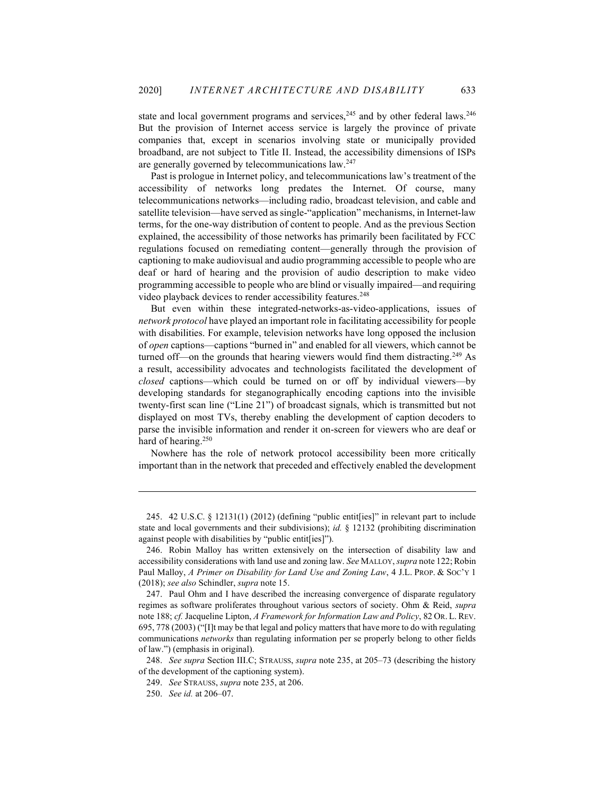state and local government programs and services,  $245$  and by other federal laws.  $246$ But the provision of Internet access service is largely the province of private companies that, except in scenarios involving state or municipally provided broadband, are not subject to Title II. Instead, the accessibility dimensions of ISPs are generally governed by telecommunications law.<sup>247</sup>

Past is prologue in Internet policy, and telecommunications law's treatment of the accessibility of networks long predates the Internet. Of course, many telecommunications networks—including radio, broadcast television, and cable and satellite television—have served as single-"application" mechanisms, in Internet-law terms, for the one-way distribution of content to people. And as the previous Section explained, the accessibility of those networks has primarily been facilitated by FCC regulations focused on remediating content—generally through the provision of captioning to make audiovisual and audio programming accessible to people who are deaf or hard of hearing and the provision of audio description to make video programming accessible to people who are blind or visually impaired—and requiring video playback devices to render accessibility features.<sup>248</sup>

But even within these integrated-networks-as-video-applications, issues of network protocol have played an important role in facilitating accessibility for people with disabilities. For example, television networks have long opposed the inclusion of open captions—captions "burned in" and enabled for all viewers, which cannot be turned off—on the grounds that hearing viewers would find them distracting.<sup>249</sup> As a result, accessibility advocates and technologists facilitated the development of closed captions—which could be turned on or off by individual viewers—by developing standards for steganographically encoding captions into the invisible twenty-first scan line ("Line 21") of broadcast signals, which is transmitted but not displayed on most TVs, thereby enabling the development of caption decoders to parse the invisible information and render it on-screen for viewers who are deaf or hard of hearing.<sup>250</sup>

Nowhere has the role of network protocol accessibility been more critically important than in the network that preceded and effectively enabled the development

 <sup>245. 42</sup> U.S.C. § 12131(1) (2012) (defining "public entit[ies]" in relevant part to include state and local governments and their subdivisions); *id.*  $\S$  12132 (prohibiting discrimination against people with disabilities by "public entit[ies]").

 <sup>246.</sup> Robin Malloy has written extensively on the intersection of disability law and accessibility considerations with land use and zoning law. See MALLOY, supra note 122; Robin Paul Malloy, A Primer on Disability for Land Use and Zoning Law, 4 J.L. PROP. & Soc'y 1 (2018); see also Schindler, supra note 15.

 <sup>247.</sup> Paul Ohm and I have described the increasing convergence of disparate regulatory regimes as software proliferates throughout various sectors of society. Ohm & Reid, supra note 188; cf. Jacqueline Lipton, A Framework for Information Law and Policy, 82 OR. L. REV. 695, 778 (2003) ("[I]t may be that legal and policy matters that have more to do with regulating communications networks than regulating information per se properly belong to other fields of law.") (emphasis in original).

<sup>248.</sup> See supra Section III.C; STRAUSS, supra note 235, at 205–73 (describing the history of the development of the captioning system).

 <sup>249.</sup> See STRAUSS, supra note 235, at 206.

 <sup>250.</sup> See id. at 206–07.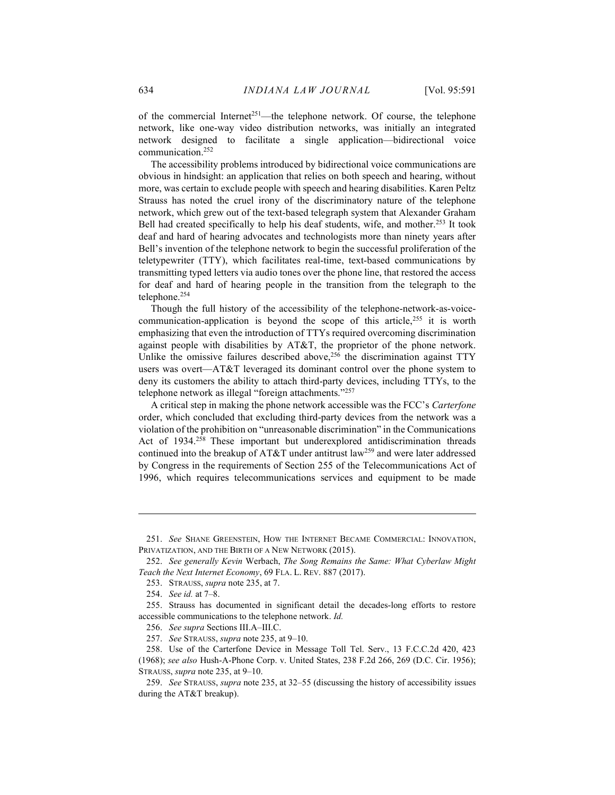of the commercial Internet<sup>251</sup>—the telephone network. Of course, the telephone network, like one-way video distribution networks, was initially an integrated network designed to facilitate a single application—bidirectional voice communication.<sup>252</sup>

The accessibility problems introduced by bidirectional voice communications are obvious in hindsight: an application that relies on both speech and hearing, without more, was certain to exclude people with speech and hearing disabilities. Karen Peltz Strauss has noted the cruel irony of the discriminatory nature of the telephone network, which grew out of the text-based telegraph system that Alexander Graham Bell had created specifically to help his deaf students, wife, and mother.<sup>253</sup> It took deaf and hard of hearing advocates and technologists more than ninety years after Bell's invention of the telephone network to begin the successful proliferation of the teletypewriter (TTY), which facilitates real-time, text-based communications by transmitting typed letters via audio tones over the phone line, that restored the access for deaf and hard of hearing people in the transition from the telegraph to the telephone.<sup>254</sup>

Though the full history of the accessibility of the telephone-network-as-voicecommunication-application is beyond the scope of this article, $255$  it is worth emphasizing that even the introduction of TTYs required overcoming discrimination against people with disabilities by AT&T, the proprietor of the phone network. Unlike the omissive failures described above, $256$  the discrimination against TTY users was overt—AT&T leveraged its dominant control over the phone system to deny its customers the ability to attach third-party devices, including TTYs, to the telephone network as illegal "foreign attachments."<sup>257</sup>

A critical step in making the phone network accessible was the FCC's Carterfone order, which concluded that excluding third-party devices from the network was a violation of the prohibition on "unreasonable discrimination" in the Communications Act of 1934.<sup>258</sup> These important but underexplored antidiscrimination threads continued into the breakup of AT&T under antitrust law<sup>259</sup> and were later addressed by Congress in the requirements of Section 255 of the Telecommunications Act of 1996, which requires telecommunications services and equipment to be made

253. STRAUSS, supra note 235, at 7.

 <sup>251.</sup> See SHANE GREENSTEIN, HOW THE INTERNET BECAME COMMERCIAL: INNOVATION, PRIVATIZATION, AND THE BIRTH OF A NEW NETWORK (2015).

 <sup>252.</sup> See generally Kevin Werbach, The Song Remains the Same: What Cyberlaw Might Teach the Next Internet Economy, 69 FLA. L. REV. 887 (2017).

 <sup>254.</sup> See id. at 7–8.

 <sup>255.</sup> Strauss has documented in significant detail the decades-long efforts to restore accessible communications to the telephone network. Id.

 <sup>256.</sup> See supra Sections III.A–III.C.

 <sup>257.</sup> See STRAUSS, supra note 235, at 9–10.

 <sup>258.</sup> Use of the Carterfone Device in Message Toll Tel. Serv., 13 F.C.C.2d 420, 423 (1968); see also Hush-A-Phone Corp. v. United States, 238 F.2d 266, 269 (D.C. Cir. 1956); STRAUSS, supra note 235, at 9–10.

 <sup>259.</sup> See STRAUSS, supra note 235, at 32–55 (discussing the history of accessibility issues during the AT&T breakup).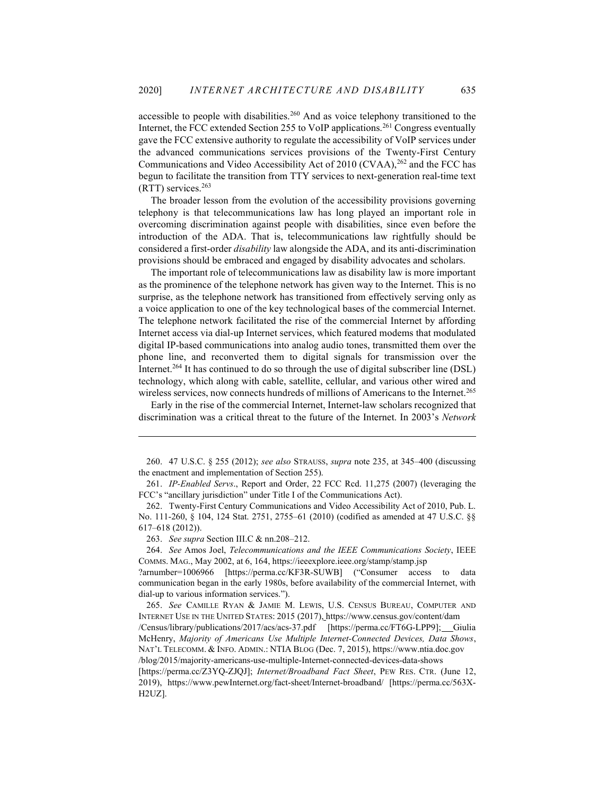accessible to people with disabilities.<sup>260</sup> And as voice telephony transitioned to the Internet, the FCC extended Section 255 to VoIP applications.<sup>261</sup> Congress eventually gave the FCC extensive authority to regulate the accessibility of VoIP services under the advanced communications services provisions of the Twenty-First Century Communications and Video Accessibility Act of 2010 (CVAA),<sup>262</sup> and the FCC has begun to facilitate the transition from TTY services to next-generation real-time text (RTT) services.<sup>263</sup>

The broader lesson from the evolution of the accessibility provisions governing telephony is that telecommunications law has long played an important role in overcoming discrimination against people with disabilities, since even before the introduction of the ADA. That is, telecommunications law rightfully should be considered a first-order disability law alongside the ADA, and its anti-discrimination provisions should be embraced and engaged by disability advocates and scholars.

The important role of telecommunications law as disability law is more important as the prominence of the telephone network has given way to the Internet. This is no surprise, as the telephone network has transitioned from effectively serving only as a voice application to one of the key technological bases of the commercial Internet. The telephone network facilitated the rise of the commercial Internet by affording Internet access via dial-up Internet services, which featured modems that modulated digital IP-based communications into analog audio tones, transmitted them over the phone line, and reconverted them to digital signals for transmission over the Internet.<sup>264</sup> It has continued to do so through the use of digital subscriber line (DSL) technology, which along with cable, satellite, cellular, and various other wired and wireless services, now connects hundreds of millions of Americans to the Internet.<sup>265</sup>

Early in the rise of the commercial Internet, Internet-law scholars recognized that discrimination was a critical threat to the future of the Internet. In 2003's Network

263. See supra Section III.C & nn.208–212.

 264. See Amos Joel, Telecommunications and the IEEE Communications Society, IEEE COMMS. MAG., May 2002, at 6, 164, https://ieeexplore.ieee.org/stamp/stamp.jsp ?arnumber=1006966 [https://perma.cc/KF3R-SUWB] ("Consumer access to data

communication began in the early 1980s, before availability of the commercial Internet, with dial-up to various information services.").

 <sup>260. 47</sup> U.S.C. § 255 (2012); see also STRAUSS, supra note 235, at 345–400 (discussing the enactment and implementation of Section 255).

 <sup>261.</sup> IP-Enabled Servs., Report and Order, 22 FCC Rcd. 11,275 (2007) (leveraging the FCC's "ancillary jurisdiction" under Title I of the Communications Act).

 <sup>262.</sup> Twenty-First Century Communications and Video Accessibility Act of 2010, Pub. L. No. 111-260, § 104, 124 Stat. 2751, 2755–61 (2010) (codified as amended at 47 U.S.C. §§ 617–618 (2012)).

 <sup>265.</sup> See CAMILLE RYAN & JAMIE M. LEWIS, U.S. CENSUS BUREAU, COMPUTER AND INTERNET USE IN THE UNITED STATES: 2015 (2017), https://www.census.gov/content/dam

<sup>/</sup>Census/library/publications/2017/acs/acs-37.pdf [https://perma.cc/FT6G-LPP9]; Giulia McHenry, Majority of Americans Use Multiple Internet-Connected Devices, Data Shows, NAT'L TELECOMM. & INFO. ADMIN.: NTIA BLOG (Dec. 7, 2015), https://www.ntia.doc.gov /blog/2015/majority-americans-use-multiple-Internet-connected-devices-data-shows

<sup>[</sup>https://perma.cc/Z3YQ-ZJQJ]; Internet/Broadband Fact Sheet, PEW RES. CTR. (June 12, 2019), https://www.pewInternet.org/fact-sheet/Internet-broadband/ [https://perma.cc/563X-H2UZ].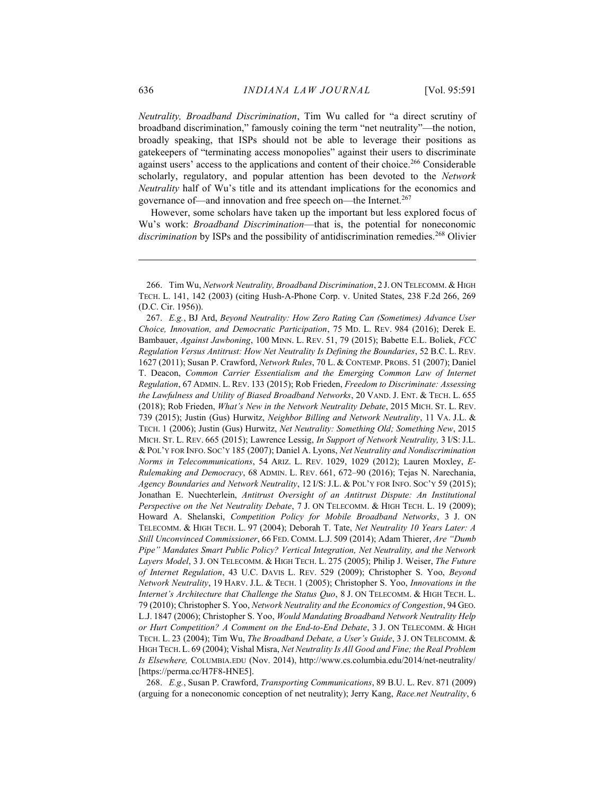Neutrality, Broadband Discrimination, Tim Wu called for "a direct scrutiny of broadband discrimination," famously coining the term "net neutrality"—the notion, broadly speaking, that ISPs should not be able to leverage their positions as gatekeepers of "terminating access monopolies" against their users to discriminate against users' access to the applications and content of their choice.<sup>266</sup> Considerable scholarly, regulatory, and popular attention has been devoted to the Network Neutrality half of Wu's title and its attendant implications for the economics and governance of—and innovation and free speech on—the Internet.<sup>267</sup>

However, some scholars have taken up the important but less explored focus of Wu's work: *Broadband Discrimination*—that is, the potential for noneconomic discrimination by ISPs and the possibility of antidiscrimination remedies.<sup>268</sup> Olivier

 268. E.g., Susan P. Crawford, Transporting Communications, 89 B.U. L. Rev. 871 (2009) (arguing for a noneconomic conception of net neutrality); Jerry Kang, Race.net Neutrality, 6

 <sup>266.</sup> Tim Wu, Network Neutrality, Broadband Discrimination, 2 J. ON TELECOMM. & HIGH TECH. L. 141, 142 (2003) (citing Hush-A-Phone Corp. v. United States, 238 F.2d 266, 269 (D.C. Cir. 1956)).

 <sup>267.</sup> E.g., BJ Ard, Beyond Neutrality: How Zero Rating Can (Sometimes) Advance User Choice, Innovation, and Democratic Participation, 75 MD. L. REV. 984 (2016); Derek E. Bambauer, Against Jawboning, 100 MINN. L. REV. 51, 79 (2015); Babette E.L. Boliek, FCC Regulation Versus Antitrust: How Net Neutrality Is Defining the Boundaries, 52 B.C. L. REV. 1627 (2011); Susan P. Crawford, Network Rules, 70 L. & CONTEMP. PROBS. 51 (2007); Daniel T. Deacon, Common Carrier Essentialism and the Emerging Common Law of Internet Regulation, 67 ADMIN. L. REV. 133 (2015); Rob Frieden, Freedom to Discriminate: Assessing the Lawfulness and Utility of Biased Broadband Networks, 20 VAND. J. ENT. & TECH. L. 655 (2018); Rob Frieden, What's New in the Network Neutrality Debate, 2015 MICH. ST. L. REV. 739 (2015); Justin (Gus) Hurwitz, Neighbor Billing and Network Neutrality, 11 VA. J.L. & TECH. 1 (2006); Justin (Gus) Hurwitz, Net Neutrality: Something Old; Something New, 2015 MICH. ST. L. REV. 665 (2015); Lawrence Lessig, In Support of Network Neutrality, 3 I/S: J.L. & POL'Y FOR INFO. SOC'Y 185 (2007); Daniel A. Lyons, Net Neutrality and Nondiscrimination Norms in Telecommunications, 54 ARIZ. L. REV. 1029, 1029 (2012); Lauren Moxley, E-Rulemaking and Democracy, 68 ADMIN. L. REV. 661, 672–90 (2016); Tejas N. Narechania, Agency Boundaries and Network Neutrality, 12 I/S: J.L. & POL'Y FOR INFO. SOC'Y 59 (2015); Jonathan E. Nuechterlein, Antitrust Oversight of an Antitrust Dispute: An Institutional Perspective on the Net Neutrality Debate, 7 J. ON TELECOMM. & HIGH TECH. L. 19 (2009); Howard A. Shelanski, Competition Policy for Mobile Broadband Networks, 3 J. ON TELECOMM. & HIGH TECH. L. 97 (2004); Deborah T. Tate, Net Neutrality 10 Years Later: A Still Unconvinced Commissioner, 66 FED. COMM. L.J. 509 (2014); Adam Thierer, Are "Dumb Pipe" Mandates Smart Public Policy? Vertical Integration, Net Neutrality, and the Network Layers Model, 3 J. ON TELECOMM. & HIGH TECH. L. 275 (2005); Philip J. Weiser, The Future of Internet Regulation, 43 U.C. DAVIS L. REV. 529 (2009); Christopher S. Yoo, Beyond Network Neutrality, 19 HARV. J.L. & TECH. 1 (2005); Christopher S. Yoo, Innovations in the Internet's Architecture that Challenge the Status Quo, 8 J. ON TELECOMM. & HIGH TECH. L. 79 (2010); Christopher S. Yoo, Network Neutrality and the Economics of Congestion, 94 GEO. L.J. 1847 (2006); Christopher S. Yoo, Would Mandating Broadband Network Neutrality Help or Hurt Competition? A Comment on the End-to-End Debate, 3 J. ON TELECOMM. & HIGH TECH. L. 23 (2004); Tim Wu, The Broadband Debate, a User's Guide, 3 J. ON TELECOMM. & HIGH TECH. L. 69 (2004); Vishal Misra, Net Neutrality Is All Good and Fine; the Real Problem Is Elsewhere, COLUMBIA.EDU (Nov. 2014), http://www.cs.columbia.edu/2014/net-neutrality/ [https://perma.cc/H7F8-HNE5].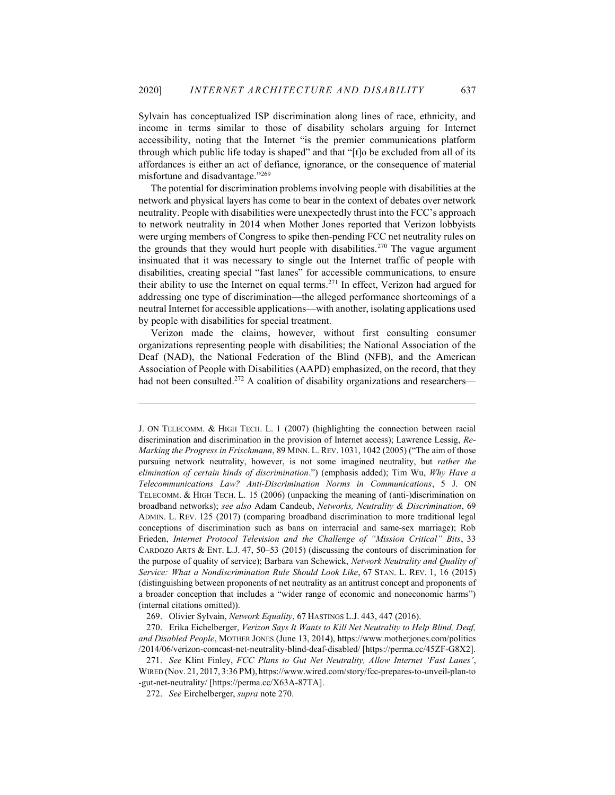Sylvain has conceptualized ISP discrimination along lines of race, ethnicity, and income in terms similar to those of disability scholars arguing for Internet accessibility, noting that the Internet "is the premier communications platform through which public life today is shaped" and that "[t]o be excluded from all of its affordances is either an act of defiance, ignorance, or the consequence of material misfortune and disadvantage."<sup>269</sup>

The potential for discrimination problems involving people with disabilities at the network and physical layers has come to bear in the context of debates over network neutrality. People with disabilities were unexpectedly thrust into the FCC's approach to network neutrality in 2014 when Mother Jones reported that Verizon lobbyists were urging members of Congress to spike then-pending FCC net neutrality rules on the grounds that they would hurt people with disabilities.<sup>270</sup> The vague argument insinuated that it was necessary to single out the Internet traffic of people with disabilities, creating special "fast lanes" for accessible communications, to ensure their ability to use the Internet on equal terms.<sup>271</sup> In effect, Verizon had argued for addressing one type of discrimination—the alleged performance shortcomings of a neutral Internet for accessible applications—with another, isolating applications used by people with disabilities for special treatment.

Verizon made the claims, however, without first consulting consumer organizations representing people with disabilities; the National Association of the Deaf (NAD), the National Federation of the Blind (NFB), and the American Association of People with Disabilities (AAPD) emphasized, on the record, that they had not been consulted.<sup>272</sup> A coalition of disability organizations and researchers-

J. ON TELECOMM. & HIGH TECH. L. 1 (2007) (highlighting the connection between racial discrimination and discrimination in the provision of Internet access); Lawrence Lessig, Re-Marking the Progress in Frischmann, 89 MINN. L. REV. 1031, 1042 (2005) ("The aim of those pursuing network neutrality, however, is not some imagined neutrality, but rather the elimination of certain kinds of discrimination.") (emphasis added); Tim Wu, Why Have a Telecommunications Law? Anti-Discrimination Norms in Communications, 5 J. ON TELECOMM. & HIGH TECH. L. 15 (2006) (unpacking the meaning of (anti-)discrimination on broadband networks); see also Adam Candeub, Networks, Neutrality & Discrimination, 69 ADMIN. L. REV. 125 (2017) (comparing broadband discrimination to more traditional legal conceptions of discrimination such as bans on interracial and same-sex marriage); Rob Frieden, Internet Protocol Television and the Challenge of "Mission Critical" Bits, 33 CARDOZO ARTS & ENT. L.J. 47, 50–53 (2015) (discussing the contours of discrimination for the purpose of quality of service); Barbara van Schewick, Network Neutrality and Quality of Service: What a Nondiscrimination Rule Should Look Like, 67 STAN. L. REV. 1, 16 (2015) (distinguishing between proponents of net neutrality as an antitrust concept and proponents of a broader conception that includes a "wider range of economic and noneconomic harms") (internal citations omitted)).

 <sup>269.</sup> Olivier Sylvain, Network Equality, 67 HASTINGS L.J. 443, 447 (2016).

 <sup>270.</sup> Erika Eichelberger, Verizon Says It Wants to Kill Net Neutrality to Help Blind, Deaf, and Disabled People, MOTHER JONES (June 13, 2014), https://www.motherjones.com/politics /2014/06/verizon-comcast-net-neutrality-blind-deaf-disabled/ [https://perma.cc/45ZF-G8X2].

 <sup>271.</sup> See Klint Finley, FCC Plans to Gut Net Neutrality, Allow Internet 'Fast Lanes', WIRED (Nov. 21, 2017, 3:36 PM), https://www.wired.com/story/fcc-prepares-to-unveil-plan-to -gut-net-neutrality/ [https://perma.cc/X63A-87TA].

 <sup>272.</sup> See Eirchelberger, supra note 270.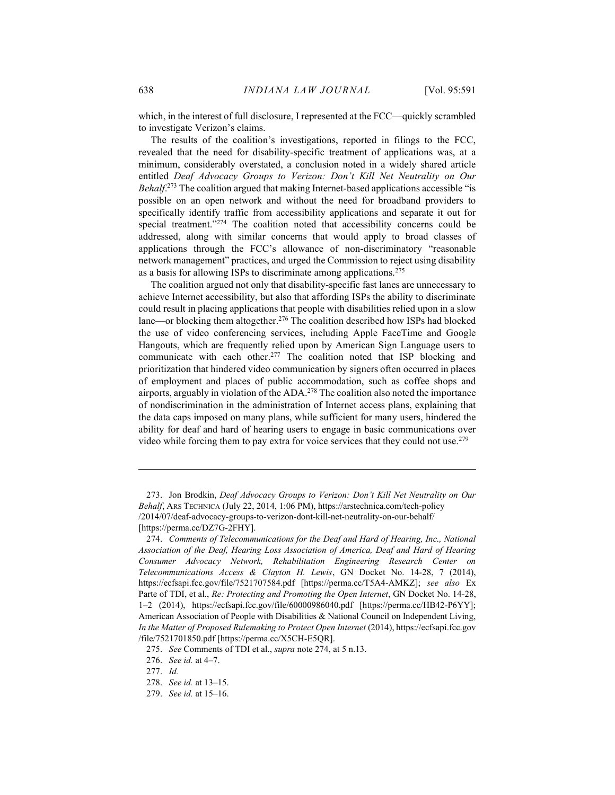which, in the interest of full disclosure, I represented at the FCC—quickly scrambled to investigate Verizon's claims.

The results of the coalition's investigations, reported in filings to the FCC, revealed that the need for disability-specific treatment of applications was, at a minimum, considerably overstated, a conclusion noted in a widely shared article entitled Deaf Advocacy Groups to Verizon: Don't Kill Net Neutrality on Our Behalf.<sup>273</sup> The coalition argued that making Internet-based applications accessible "is possible on an open network and without the need for broadband providers to specifically identify traffic from accessibility applications and separate it out for special treatment."<sup>274</sup> The coalition noted that accessibility concerns could be addressed, along with similar concerns that would apply to broad classes of applications through the FCC's allowance of non-discriminatory "reasonable network management" practices, and urged the Commission to reject using disability as a basis for allowing ISPs to discriminate among applications.<sup>275</sup>

The coalition argued not only that disability-specific fast lanes are unnecessary to achieve Internet accessibility, but also that affording ISPs the ability to discriminate could result in placing applications that people with disabilities relied upon in a slow lane—or blocking them altogether.<sup>276</sup> The coalition described how ISPs had blocked the use of video conferencing services, including Apple FaceTime and Google Hangouts, which are frequently relied upon by American Sign Language users to communicate with each other.<sup>277</sup> The coalition noted that ISP blocking and prioritization that hindered video communication by signers often occurred in places of employment and places of public accommodation, such as coffee shops and airports, arguably in violation of the ADA.<sup>278</sup> The coalition also noted the importance of nondiscrimination in the administration of Internet access plans, explaining that the data caps imposed on many plans, while sufficient for many users, hindered the ability for deaf and hard of hearing users to engage in basic communications over video while forcing them to pay extra for voice services that they could not use.<sup>279</sup>

 <sup>273.</sup> Jon Brodkin, Deaf Advocacy Groups to Verizon: Don't Kill Net Neutrality on Our Behalf, ARS TECHNICA (July 22, 2014, 1:06 PM), https://arstechnica.com/tech-policy /2014/07/deaf-advocacy-groups-to-verizon-dont-kill-net-neutrality-on-our-behalf/ [https://perma.cc/DZ7G-2FHY].

 <sup>274.</sup> Comments of Telecommunications for the Deaf and Hard of Hearing, Inc., National Association of the Deaf, Hearing Loss Association of America, Deaf and Hard of Hearing Consumer Advocacy Network, Rehabilitation Engineering Research Center on Telecommunications Access & Clayton H. Lewis, GN Docket No. 14-28, 7 (2014), https://ecfsapi.fcc.gov/file/7521707584.pdf [https://perma.cc/T5A4-AMKZ]; see also Ex Parte of TDI, et al., Re: Protecting and Promoting the Open Internet, GN Docket No. 14-28, 1–2 (2014), https://ecfsapi.fcc.gov/file/60000986040.pdf [https://perma.cc/HB42-P6YY]; American Association of People with Disabilities & National Council on Independent Living, In the Matter of Proposed Rulemaking to Protect Open Internet (2014), https://ecfsapi.fcc.gov /file/7521701850.pdf [https://perma.cc/X5CH-E5QR].

 <sup>275.</sup> See Comments of TDI et al., supra note 274, at 5 n.13.

 <sup>276.</sup> See id. at 4–7.

 <sup>277.</sup> Id.

 <sup>278.</sup> See id. at 13–15.

 <sup>279.</sup> See id. at 15–16.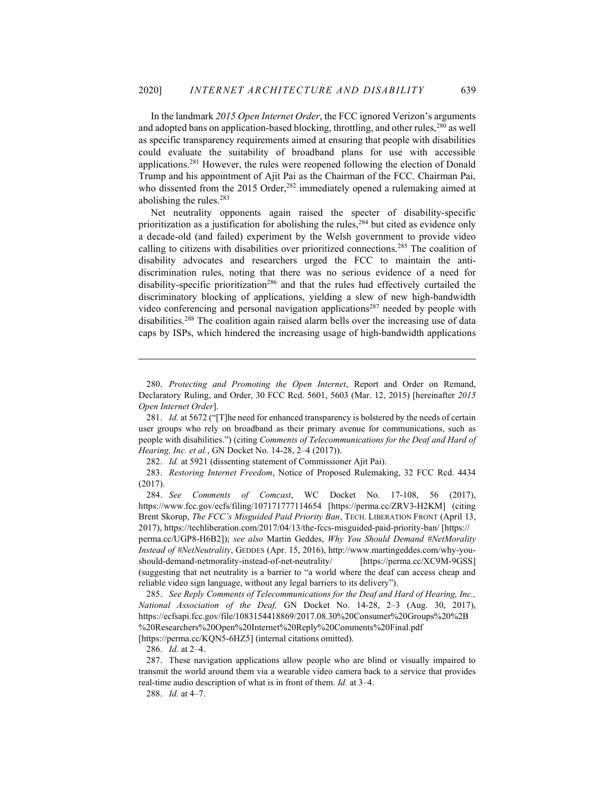In the landmark 2015 Open Internet Order, the FCC ignored Verizon's arguments and adopted bans on application-based blocking, throttling, and other rules,<sup>280</sup> as well as specific transparency requirements aimed at ensuring that people with disabilities could evaluate the suitability of broadband plans for use with accessible applications.<sup>281</sup> However, the rules were reopened following the election of Donald Trump and his appointment of Ajit Pai as the Chairman of the FCC. Chairman Pai, who dissented from the 2015 Order,<sup>282</sup> immediately opened a rulemaking aimed at abolishing the rules.<sup>283</sup>

Net neutrality opponents again raised the specter of disability-specific prioritization as a justification for abolishing the rules, $284$  but cited as evidence only a decade-old (and failed) experiment by the Welsh government to provide video calling to citizens with disabilities over prioritized connections.<sup>285</sup> The coalition of disability advocates and researchers urged the FCC to maintain the antidiscrimination rules, noting that there was no serious evidence of a need for disability-specific prioritization<sup>286</sup> and that the rules had effectively curtailed the discriminatory blocking of applications, yielding a slew of new high-bandwidth video conferencing and personal navigation applications<sup>287</sup> needed by people with disabilities.<sup>288</sup> The coalition again raised alarm bells over the increasing use of data caps by ISPs, which hindered the increasing usage of high-bandwidth applications

282. Id. at 5921 (dissenting statement of Commissioner Ajit Pai).

 283. Restoring Internet Freedom, Notice of Proposed Rulemaking, 32 FCC Rcd. 4434 (2017).

286. Id. at 2–4.

288. Id. at 4–7.

 <sup>280.</sup> Protecting and Promoting the Open Internet, Report and Order on Remand, Declaratory Ruling, and Order, 30 FCC Rcd. 5601, 5603 (Mar. 12, 2015) [hereinafter 2015 Open Internet Order].

<sup>281.</sup> Id. at 5672 ("[T]he need for enhanced transparency is bolstered by the needs of certain user groups who rely on broadband as their primary avenue for communications, such as people with disabilities.") (citing Comments of Telecommunications for the Deaf and Hard of Hearing, Inc. et al., GN Docket No. 14-28, 2–4 (2017)).

 <sup>284.</sup> See Comments of Comcast, WC Docket No. 17-108, 56 (2017), https://www.fcc.gov/ecfs/filing/107171777114654 [https://perma.cc/ZRV3-H2KM] (citing Brent Skorup, The FCC's Misguided Paid Priority Ban, TECH. LIBERATION FRONT (April 13, 2017), https://techliberation.com/2017/04/13/the-fccs-misguided-paid-priority-ban/ [https:// perma.cc/UGP8-H6B2]); see also Martin Geddes, Why You Should Demand #NetMorality Instead of #NetNeutrality, GEDDES (Apr. 15, 2016), http://www.martingeddes.com/why-youshould-demand-netmorality-instead-of-net-neutrality/ [https://perma.cc/XC9M-9GSS] (suggesting that net neutrality is a barrier to "a world where the deaf can access cheap and reliable video sign language, without any legal barriers to its delivery").

 <sup>285.</sup> See Reply Comments of Telecommunications for the Deaf and Hard of Hearing, Inc., National Association of the Deaf, GN Docket No. 14-28, 2-3 (Aug. 30, 2017), https://ecfsapi.fcc.gov/file/1083154418869/2017.08.30%20Consumer%20Groups%20%2B %20Researchers%20Open%20Internet%20Reply%20Comments%20Final.pdf [https://perma.cc/KQN5-6HZ5] (internal citations omitted).

 <sup>287.</sup> These navigation applications allow people who are blind or visually impaired to transmit the world around them via a wearable video camera back to a service that provides real-time audio description of what is in front of them. *Id.* at 3–4.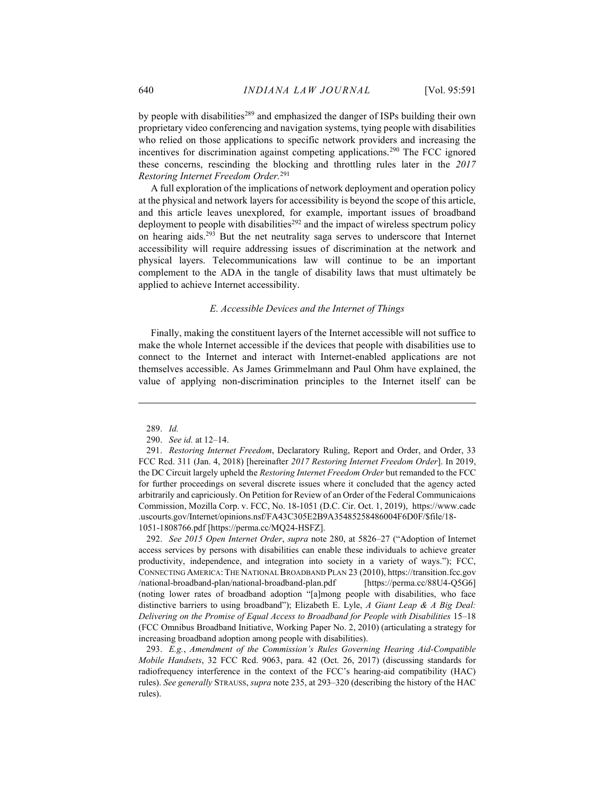by people with disabilities<sup>289</sup> and emphasized the danger of ISPs building their own proprietary video conferencing and navigation systems, tying people with disabilities who relied on those applications to specific network providers and increasing the incentives for discrimination against competing applications.<sup>290</sup> The FCC ignored these concerns, rescinding the blocking and throttling rules later in the 2017 Restoring Internet Freedom Order.<sup>291</sup>

A full exploration of the implications of network deployment and operation policy at the physical and network layers for accessibility is beyond the scope of this article, and this article leaves unexplored, for example, important issues of broadband deployment to people with disabilities<sup> $292$ </sup> and the impact of wireless spectrum policy on hearing aids.<sup>293</sup> But the net neutrality saga serves to underscore that Internet accessibility will require addressing issues of discrimination at the network and physical layers. Telecommunications law will continue to be an important complement to the ADA in the tangle of disability laws that must ultimately be applied to achieve Internet accessibility.

#### E. Accessible Devices and the Internet of Things

Finally, making the constituent layers of the Internet accessible will not suffice to make the whole Internet accessible if the devices that people with disabilities use to connect to the Internet and interact with Internet-enabled applications are not themselves accessible. As James Grimmelmann and Paul Ohm have explained, the value of applying non-discrimination principles to the Internet itself can be

 292. See 2015 Open Internet Order, supra note 280, at 5826–27 ("Adoption of Internet access services by persons with disabilities can enable these individuals to achieve greater productivity, independence, and integration into society in a variety of ways."); FCC, CONNECTING AMERICA: THE NATIONAL BROADBAND PLAN 23 (2010), https://transition.fcc.gov /national-broadband-plan/national-broadband-plan.pdf [https://perma.cc/88U4-Q5G6] (noting lower rates of broadband adoption "[a]mong people with disabilities, who face distinctive barriers to using broadband"); Elizabeth E. Lyle,  $\Lambda$  Giant Leap &  $\Lambda$  Big Deal: Delivering on the Promise of Equal Access to Broadband for People with Disabilities 15–18 (FCC Omnibus Broadband Initiative, Working Paper No. 2, 2010) (articulating a strategy for increasing broadband adoption among people with disabilities).

 293. E.g., Amendment of the Commission's Rules Governing Hearing Aid-Compatible Mobile Handsets, 32 FCC Rcd. 9063, para. 42 (Oct. 26, 2017) (discussing standards for radiofrequency interference in the context of the FCC's hearing-aid compatibility (HAC) rules). See generally STRAUSS, supra note 235, at 293–320 (describing the history of the HAC rules).

 <sup>289.</sup> Id.

 <sup>290.</sup> See id. at 12–14.

 <sup>291.</sup> Restoring Internet Freedom, Declaratory Ruling, Report and Order, and Order, 33 FCC Rcd. 311 (Jan. 4, 2018) [hereinafter 2017 Restoring Internet Freedom Order]. In 2019, the DC Circuit largely upheld the Restoring Internet Freedom Order but remanded to the FCC for further proceedings on several discrete issues where it concluded that the agency acted arbitrarily and capriciously. On Petition for Review of an Order of the Federal Communicaions Commission, Mozilla Corp. v. FCC, No. 18-1051 (D.C. Cir. Oct. 1, 2019), https://www.cadc .uscourts.gov/Internet/opinions.nsf/FA43C305E2B9A35485258486004F6D0F/\$file/18- 1051-1808766.pdf [https://perma.cc/MQ24-HSFZ].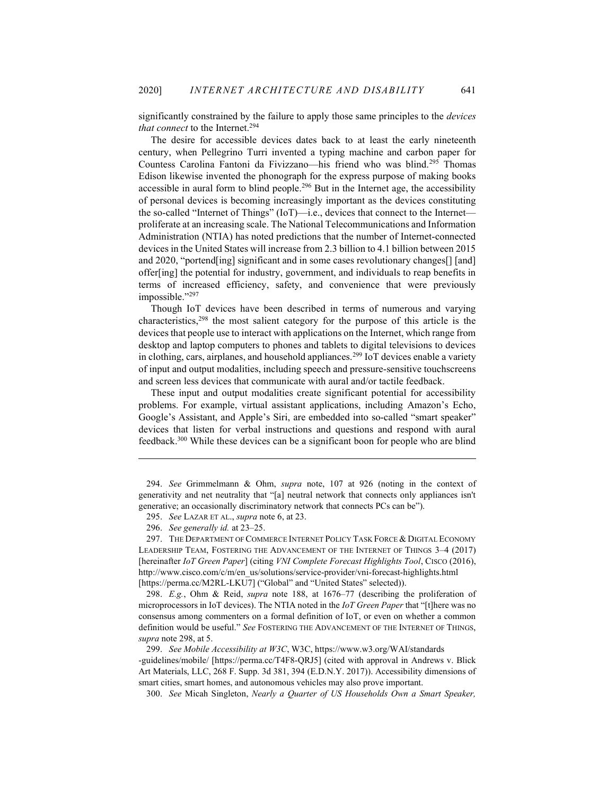significantly constrained by the failure to apply those same principles to the *devices* that connect to the Internet.<sup>294</sup>

The desire for accessible devices dates back to at least the early nineteenth century, when Pellegrino Turri invented a typing machine and carbon paper for Countess Carolina Fantoni da Fivizzano—his friend who was blind.<sup>295</sup> Thomas Edison likewise invented the phonograph for the express purpose of making books accessible in aural form to blind people.<sup>296</sup> But in the Internet age, the accessibility of personal devices is becoming increasingly important as the devices constituting the so-called "Internet of Things" (IoT)—i.e., devices that connect to the Internet proliferate at an increasing scale. The National Telecommunications and Information Administration (NTIA) has noted predictions that the number of Internet-connected devices in the United States will increase from 2.3 billion to 4.1 billion between 2015 and 2020, "portend[ing] significant and in some cases revolutionary changes[] [and] offer[ing] the potential for industry, government, and individuals to reap benefits in terms of increased efficiency, safety, and convenience that were previously impossible."297

Though IoT devices have been described in terms of numerous and varying characteristics,<sup>298</sup> the most salient category for the purpose of this article is the devices that people use to interact with applications on the Internet, which range from desktop and laptop computers to phones and tablets to digital televisions to devices in clothing, cars, airplanes, and household appliances.<sup>299</sup> IoT devices enable a variety of input and output modalities, including speech and pressure-sensitive touchscreens and screen less devices that communicate with aural and/or tactile feedback.

These input and output modalities create significant potential for accessibility problems. For example, virtual assistant applications, including Amazon's Echo, Google's Assistant, and Apple's Siri, are embedded into so-called "smart speaker" devices that listen for verbal instructions and questions and respond with aural feedback.<sup>300</sup> While these devices can be a significant boon for people who are blind

 298. E.g., Ohm & Reid, supra note 188, at 1676–77 (describing the proliferation of microprocessors in IoT devices). The NTIA noted in the IoT Green Paper that "[t]here was no consensus among commenters on a formal definition of IoT, or even on whether a common definition would be useful." See FOSTERING THE ADVANCEMENT OF THE INTERNET OF THINGS, supra note 298, at 5.

 299. See Mobile Accessibility at W3C, W3C, https://www.w3.org/WAI/standards -guidelines/mobile/ [https://perma.cc/T4F8-QRJ5] (cited with approval in Andrews v. Blick Art Materials, LLC, 268 F. Supp. 3d 381, 394 (E.D.N.Y. 2017)). Accessibility dimensions of smart cities, smart homes, and autonomous vehicles may also prove important.

300. See Micah Singleton, Nearly a Quarter of US Households Own a Smart Speaker,

 <sup>294.</sup> See Grimmelmann & Ohm, supra note, 107 at 926 (noting in the context of generativity and net neutrality that "[a] neutral network that connects only appliances isn't generative; an occasionally discriminatory network that connects PCs can be").

 <sup>295.</sup> See LAZAR ET AL., supra note 6, at 23.

 <sup>296.</sup> See generally id. at 23–25.

 <sup>297.</sup> THE DEPARTMENT OF COMMERCE INTERNET POLICY TASK FORCE & DIGITAL ECONOMY LEADERSHIP TEAM, FOSTERING THE ADVANCEMENT OF THE INTERNET OF THINGS 3–4 (2017) [hereinafter IoT Green Paper] (citing VNI Complete Forecast Highlights Tool, CIsco (2016), http://www.cisco.com/c/m/en\_us/solutions/service-provider/vni-forecast-highlights.html [https://perma.cc/M2RL-LKU7] ("Global" and "United States" selected)).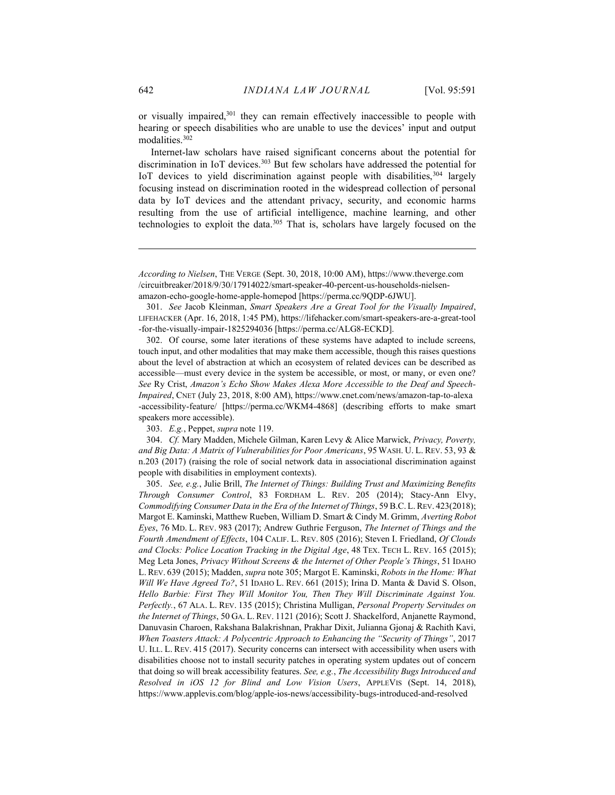or visually impaired,<sup>301</sup> they can remain effectively inaccessible to people with hearing or speech disabilities who are unable to use the devices' input and output modalities.<sup>302</sup>

Internet-law scholars have raised significant concerns about the potential for discrimination in IoT devices.<sup>303</sup> But few scholars have addressed the potential for IoT devices to yield discrimination against people with disabilities,<sup>304</sup> largely focusing instead on discrimination rooted in the widespread collection of personal data by IoT devices and the attendant privacy, security, and economic harms resulting from the use of artificial intelligence, machine learning, and other technologies to exploit the data.<sup>305</sup> That is, scholars have largely focused on the

 301. See Jacob Kleinman, Smart Speakers Are a Great Tool for the Visually Impaired, LIFEHACKER (Apr. 16, 2018, 1:45 PM), https://lifehacker.com/smart-speakers-are-a-great-tool -for-the-visually-impair-1825294036 [https://perma.cc/ALG8-ECKD].

 302. Of course, some later iterations of these systems have adapted to include screens, touch input, and other modalities that may make them accessible, though this raises questions about the level of abstraction at which an ecosystem of related devices can be described as accessible—must every device in the system be accessible, or most, or many, or even one? See Ry Crist, Amazon's Echo Show Makes Alexa More Accessible to the Deaf and Speech-Impaired, CNET (July 23, 2018, 8:00 AM), https://www.cnet.com/news/amazon-tap-to-alexa -accessibility-feature/ [https://perma.cc/WKM4-4868] (describing efforts to make smart speakers more accessible).

303. E.g., Peppet, supra note 119.

 304. Cf. Mary Madden, Michele Gilman, Karen Levy & Alice Marwick, Privacy, Poverty, and Big Data: A Matrix of Vulnerabilities for Poor Americans, 95 WASH. U. L. REV. 53, 93 & n.203 (2017) (raising the role of social network data in associational discrimination against people with disabilities in employment contexts).

 305. See, e.g., Julie Brill, The Internet of Things: Building Trust and Maximizing Benefits Through Consumer Control, 83 FORDHAM L. REV. 205 (2014); Stacy-Ann Elvy, Commodifying Consumer Data in the Era of the Internet of Things, 59B.C. L. REV. 423(2018); Margot E. Kaminski, Matthew Rueben, William D. Smart & Cindy M. Grimm, Averting Robot Eyes, 76 MD. L. REV. 983 (2017); Andrew Guthrie Ferguson, The Internet of Things and the Fourth Amendment of Effects, 104 CALIF. L. REV. 805 (2016); Steven I. Friedland, Of Clouds and Clocks: Police Location Tracking in the Digital Age, 48 TEX. TECH L. REV. 165 (2015); Meg Leta Jones, Privacy Without Screens & the Internet of Other People's Things, 51 IDAHO L. REV. 639 (2015); Madden, supra note 305; Margot E. Kaminski, Robots in the Home: What Will We Have Agreed To?, 51 IDAHO L. REV. 661 (2015); Irina D. Manta & David S. Olson, Hello Barbie: First They Will Monitor You, Then They Will Discriminate Against You. Perfectly., 67 ALA. L. REV. 135 (2015); Christina Mulligan, Personal Property Servitudes on the Internet of Things, 50 GA. L. REV. 1121 (2016); Scott J. Shackelford, Anjanette Raymond, Danuvasin Charoen, Rakshana Balakrishnan, Prakhar Dixit, Julianna Gjonaj & Rachith Kavi, When Toasters Attack: A Polycentric Approach to Enhancing the "Security of Things", 2017 U. ILL. L. REV. 415 (2017). Security concerns can intersect with accessibility when users with disabilities choose not to install security patches in operating system updates out of concern that doing so will break accessibility features. See, e.g., The Accessibility Bugs Introduced and Resolved in iOS 12 for Blind and Low Vision Users, APPLEVIS (Sept. 14, 2018), https://www.applevis.com/blog/apple-ios-news/accessibility-bugs-introduced-and-resolved

According to Nielsen, THE VERGE (Sept. 30, 2018, 10:00 AM), https://www.theverge.com /circuitbreaker/2018/9/30/17914022/smart-speaker-40-percent-us-households-nielsenamazon-echo-google-home-apple-homepod [https://perma.cc/9QDP-6JWU].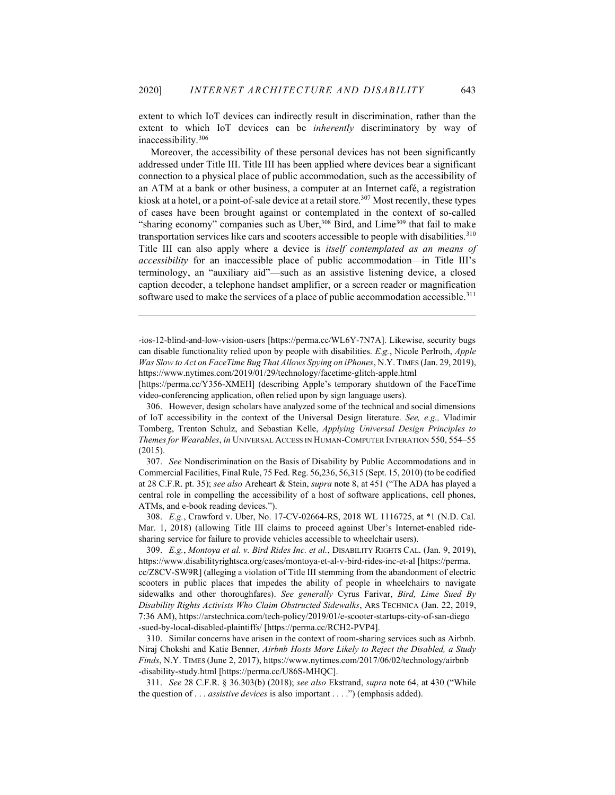extent to which IoT devices can indirectly result in discrimination, rather than the extent to which IoT devices can be inherently discriminatory by way of inaccessibility.<sup>306</sup>

Moreover, the accessibility of these personal devices has not been significantly addressed under Title III. Title III has been applied where devices bear a significant connection to a physical place of public accommodation, such as the accessibility of an ATM at a bank or other business, a computer at an Internet café, a registration kiosk at a hotel, or a point-of-sale device at a retail store.<sup>307</sup> Most recently, these types of cases have been brought against or contemplated in the context of so-called "sharing economy" companies such as Uber,  $308$  Bird, and Lime<sup>309</sup> that fail to make transportation services like cars and scooters accessible to people with disabilities.<sup>310</sup> Title III can also apply where a device is itself contemplated as an means of accessibility for an inaccessible place of public accommodation—in Title III's terminology, an "auxiliary aid"—such as an assistive listening device, a closed caption decoder, a telephone handset amplifier, or a screen reader or magnification software used to make the services of a place of public accommodation accessible.<sup>311</sup>

 306. However, design scholars have analyzed some of the technical and social dimensions of IoT accessibility in the context of the Universal Design literature. See, e.g., Vladimir Tomberg, Trenton Schulz, and Sebastian Kelle, Applying Universal Design Principles to Themes for Wearables, in UNIVERSAL ACCESS IN HUMAN-COMPUTER INTERATION 550, 554–55 (2015).

 307. See Nondiscrimination on the Basis of Disability by Public Accommodations and in Commercial Facilities, Final Rule, 75 Fed. Reg. 56,236, 56,315 (Sept. 15, 2010) (to be codified at 28 C.F.R. pt. 35); see also Areheart & Stein, supra note 8, at 451 ("The ADA has played a central role in compelling the accessibility of a host of software applications, cell phones, ATMs, and e-book reading devices.").

 308. E.g., Crawford v. Uber, No. 17-CV-02664-RS, 2018 WL 1116725, at \*1 (N.D. Cal. Mar. 1, 2018) (allowing Title III claims to proceed against Uber's Internet-enabled ridesharing service for failure to provide vehicles accessible to wheelchair users).

 309. E.g., Montoya et al. v. Bird Rides Inc. et al., DISABILITY RIGHTS CAL. (Jan. 9, 2019), https://www.disabilityrightsca.org/cases/montoya-et-al-v-bird-rides-inc-et-al [https://perma. cc/Z8CV-SW9R] (alleging a violation of Title III stemming from the abandonment of electric scooters in public places that impedes the ability of people in wheelchairs to navigate sidewalks and other thoroughfares). See generally Cyrus Farivar, Bird, Lime Sued By Disability Rights Activists Who Claim Obstructed Sidewalks, ARS TECHNICA (Jan. 22, 2019, 7:36 AM), https://arstechnica.com/tech-policy/2019/01/e-scooter-startups-city-of-san-diego -sued-by-local-disabled-plaintiffs/ [https://perma.cc/RCH2-PVP4].

 310. Similar concerns have arisen in the context of room-sharing services such as Airbnb. Niraj Chokshi and Katie Benner, Airbnb Hosts More Likely to Reject the Disabled, a Study Finds, N.Y. TIMES (June 2, 2017), https://www.nytimes.com/2017/06/02/technology/airbnb -disability-study.html [https://perma.cc/U86S-MHQC].

 311. See 28 C.F.R. § 36.303(b) (2018); see also Ekstrand, supra note 64, at 430 ("While the question of . . . *assistive devices* is also important . . . .") (emphasis added).

<sup>-</sup>ios-12-blind-and-low-vision-users [https://perma.cc/WL6Y-7N7A]. Likewise, security bugs can disable functionality relied upon by people with disabilities. E.g., Nicole Perlroth, Apple Was Slow to Act on FaceTime Bug That Allows Spying on iPhones, N.Y. TIMES (Jan. 29, 2019), https://www.nytimes.com/2019/01/29/technology/facetime-glitch-apple.html

<sup>[</sup>https://perma.cc/Y356-XMEH] (describing Apple's temporary shutdown of the FaceTime video-conferencing application, often relied upon by sign language users).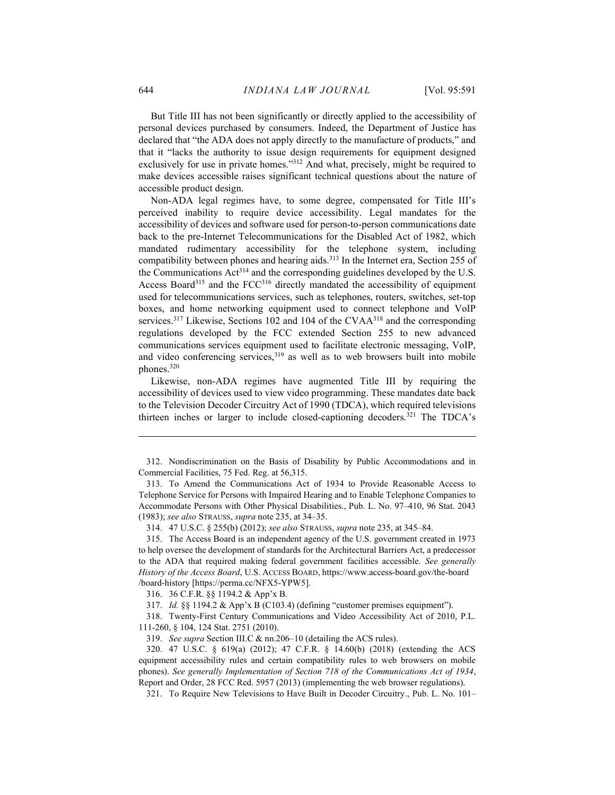But Title III has not been significantly or directly applied to the accessibility of personal devices purchased by consumers. Indeed, the Department of Justice has declared that "the ADA does not apply directly to the manufacture of products," and that it "lacks the authority to issue design requirements for equipment designed exclusively for use in private homes."<sup>312</sup> And what, precisely, might be required to make devices accessible raises significant technical questions about the nature of accessible product design.

Non-ADA legal regimes have, to some degree, compensated for Title III's perceived inability to require device accessibility. Legal mandates for the accessibility of devices and software used for person-to-person communications date back to the pre-Internet Telecommunications for the Disabled Act of 1982, which mandated rudimentary accessibility for the telephone system, including compatibility between phones and hearing aids.<sup>313</sup> In the Internet era, Section 255 of the Communications  $Act^{314}$  and the corresponding guidelines developed by the U.S. Access Board<sup>315</sup> and the FCC $316$  directly mandated the accessibility of equipment used for telecommunications services, such as telephones, routers, switches, set-top boxes, and home networking equipment used to connect telephone and VoIP services.<sup>317</sup> Likewise, Sections 102 and 104 of the CVAA<sup>318</sup> and the corresponding regulations developed by the FCC extended Section 255 to new advanced communications services equipment used to facilitate electronic messaging, VoIP, and video conferencing services, $319$  as well as to web browsers built into mobile phones.<sup>320</sup>

Likewise, non-ADA regimes have augmented Title III by requiring the accessibility of devices used to view video programming. These mandates date back to the Television Decoder Circuitry Act of 1990 (TDCA), which required televisions thirteen inches or larger to include closed-captioning decoders.<sup>321</sup> The TDCA's

319. See supra Section III.C & nn.206–10 (detailing the ACS rules).

321. To Require New Televisions to Have Built in Decoder Circuitry., Pub. L. No. 101–

 <sup>312.</sup> Nondiscrimination on the Basis of Disability by Public Accommodations and in Commercial Facilities, 75 Fed. Reg. at 56,315.

 <sup>313.</sup> To Amend the Communications Act of 1934 to Provide Reasonable Access to Telephone Service for Persons with Impaired Hearing and to Enable Telephone Companies to Accommodate Persons with Other Physical Disabilities., Pub. L. No. 97–410, 96 Stat. 2043 (1983); see also STRAUSS, supra note 235, at 34–35.

 <sup>314. 47</sup> U.S.C. § 255(b) (2012); see also STRAUSS, supra note 235, at 345–84.

 <sup>315.</sup> The Access Board is an independent agency of the U.S. government created in 1973 to help oversee the development of standards for the Architectural Barriers Act, a predecessor to the ADA that required making federal government facilities accessible. See generally History of the Access Board, U.S. ACCESS BOARD, https://www.access-board.gov/the-board /board-history [https://perma.cc/NFX5-YPW5].

 <sup>316. 36</sup> C.F.R. §§ 1194.2 & App'x B.

 <sup>317.</sup> Id. §§ 1194.2 & App'x B (C103.4) (defining "customer premises equipment").

 <sup>318.</sup> Twenty-First Century Communications and Video Accessibility Act of 2010, P.L. 111-260, § 104, 124 Stat. 2751 (2010).

 <sup>320. 47</sup> U.S.C. § 619(a) (2012); 47 C.F.R. § 14.60(b) (2018) (extending the ACS equipment accessibility rules and certain compatibility rules to web browsers on mobile phones). See generally Implementation of Section 718 of the Communications Act of 1934, Report and Order, 28 FCC Rcd. 5957 (2013) (implementing the web browser regulations).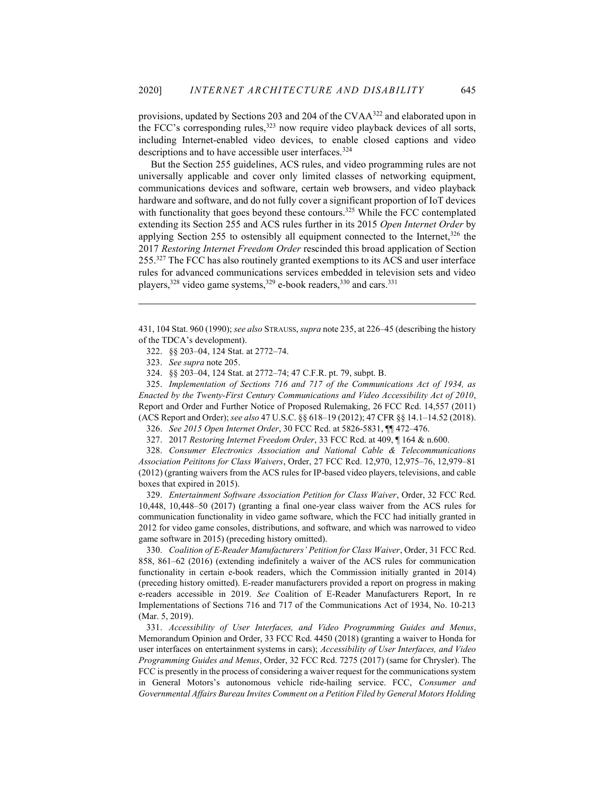provisions, updated by Sections 203 and 204 of the CVAA<sup>322</sup> and elaborated upon in the FCC's corresponding rules,  $323$  now require video playback devices of all sorts, including Internet-enabled video devices, to enable closed captions and video descriptions and to have accessible user interfaces.<sup>324</sup>

But the Section 255 guidelines, ACS rules, and video programming rules are not universally applicable and cover only limited classes of networking equipment, communications devices and software, certain web browsers, and video playback hardware and software, and do not fully cover a significant proportion of IoT devices with functionality that goes beyond these contours.<sup>325</sup> While the FCC contemplated extending its Section 255 and ACS rules further in its 2015 Open Internet Order by applying Section 255 to ostensibly all equipment connected to the Internet, $326$  the 2017 Restoring Internet Freedom Order rescinded this broad application of Section 255.<sup>327</sup> The FCC has also routinely granted exemptions to its ACS and user interface rules for advanced communications services embedded in television sets and video players,<sup>328</sup> video game systems,<sup>329</sup> e-book readers,<sup>330</sup> and cars.<sup>331</sup>

431, 104 Stat. 960 (1990); see also STRAUSS, supra note 235, at 226–45 (describing the history of the TDCA's development).

322. §§ 203–04, 124 Stat. at 2772–74.

323. See supra note 205.

324. §§ 203–04, 124 Stat. at 2772–74; 47 C.F.R. pt. 79, subpt. B.

 325. Implementation of Sections 716 and 717 of the Communications Act of 1934, as Enacted by the Twenty-First Century Communications and Video Accessibility Act of 2010, Report and Order and Further Notice of Proposed Rulemaking, 26 FCC Rcd. 14,557 (2011) (ACS Report and Order); see also 47 U.S.C. §§ 618–19 (2012); 47 CFR §§ 14.1–14.52 (2018).

326. See 2015 Open Internet Order, 30 FCC Rcd. at 5826-5831, ¶¶ 472–476.

327. 2017 Restoring Internet Freedom Order, 33 FCC Rcd. at 409, ¶ 164 & n.600.

 328. Consumer Electronics Association and National Cable & Telecommunications Association Peititons for Class Waivers, Order, 27 FCC Rcd. 12,970, 12,975–76, 12,979–81 (2012) (granting waivers from the ACS rules for IP-based video players, televisions, and cable boxes that expired in 2015).

 329. Entertainment Software Association Petition for Class Waiver, Order, 32 FCC Rcd. 10,448, 10,448–50 (2017) (granting a final one-year class waiver from the ACS rules for communication functionality in video game software, which the FCC had initially granted in 2012 for video game consoles, distributions, and software, and which was narrowed to video game software in 2015) (preceding history omitted).

 330. Coalition of E-Reader Manufacturers' Petition for Class Waiver, Order, 31 FCC Rcd. 858, 861–62 (2016) (extending indefinitely a waiver of the ACS rules for communication functionality in certain e-book readers, which the Commission initially granted in 2014) (preceding history omitted). E-reader manufacturers provided a report on progress in making e-readers accessible in 2019. See Coalition of E-Reader Manufacturers Report, In re Implementations of Sections 716 and 717 of the Communications Act of 1934, No. 10-213 (Mar. 5, 2019).

 331. Accessibility of User Interfaces, and Video Programming Guides and Menus, Memorandum Opinion and Order, 33 FCC Rcd. 4450 (2018) (granting a waiver to Honda for user interfaces on entertainment systems in cars); Accessibility of User Interfaces, and Video Programming Guides and Menus, Order, 32 FCC Rcd. 7275 (2017) (same for Chrysler). The FCC is presently in the process of considering a waiver request for the communications system in General Motors's autonomous vehicle ride-hailing service. FCC, Consumer and Governmental Affairs Bureau Invites Comment on a Petition Filed by General Motors Holding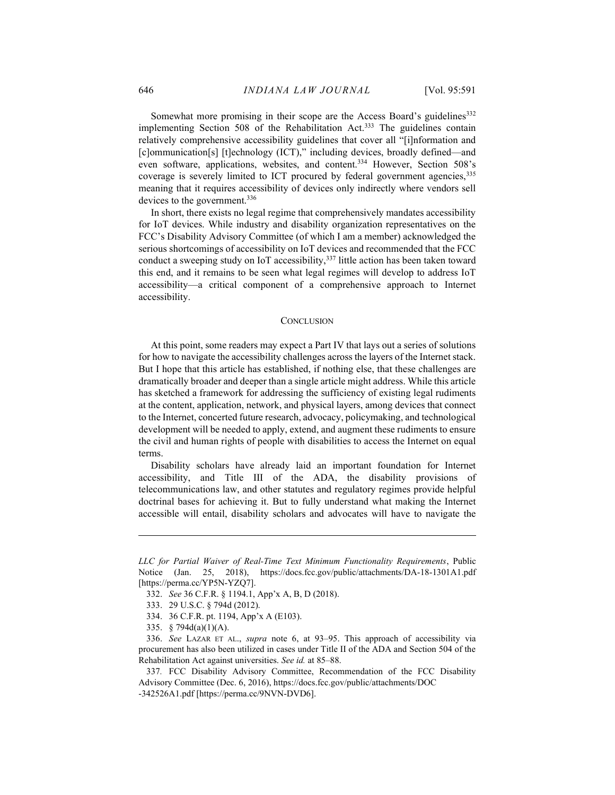Somewhat more promising in their scope are the Access Board's guidelines<sup>332</sup> implementing Section 508 of the Rehabilitation Act.<sup>333</sup> The guidelines contain relatively comprehensive accessibility guidelines that cover all "[i]nformation and [c]ommunication[s] [t]echnology (ICT)," including devices, broadly defined—and even software, applications, websites, and content.<sup>334</sup> However, Section 508's coverage is severely limited to ICT procured by federal government agencies, 335 meaning that it requires accessibility of devices only indirectly where vendors sell devices to the government.<sup>336</sup>

In short, there exists no legal regime that comprehensively mandates accessibility for IoT devices. While industry and disability organization representatives on the FCC's Disability Advisory Committee (of which I am a member) acknowledged the serious shortcomings of accessibility on IoT devices and recommended that the FCC conduct a sweeping study on IoT accessibility,<sup>337</sup> little action has been taken toward this end, and it remains to be seen what legal regimes will develop to address IoT accessibility—a critical component of a comprehensive approach to Internet accessibility.

#### **CONCLUSION**

At this point, some readers may expect a Part IV that lays out a series of solutions for how to navigate the accessibility challenges across the layers of the Internet stack. But I hope that this article has established, if nothing else, that these challenges are dramatically broader and deeper than a single article might address. While this article has sketched a framework for addressing the sufficiency of existing legal rudiments at the content, application, network, and physical layers, among devices that connect to the Internet, concerted future research, advocacy, policymaking, and technological development will be needed to apply, extend, and augment these rudiments to ensure the civil and human rights of people with disabilities to access the Internet on equal terms.

Disability scholars have already laid an important foundation for Internet accessibility, and Title III of the ADA, the disability provisions of telecommunications law, and other statutes and regulatory regimes provide helpful doctrinal bases for achieving it. But to fully understand what making the Internet accessible will entail, disability scholars and advocates will have to navigate the

LLC for Partial Waiver of Real-Time Text Minimum Functionality Requirements, Public Notice (Jan. 25, 2018), https://docs.fcc.gov/public/attachments/DA-18-1301A1.pdf [https://perma.cc/YP5N-YZQ7].

 <sup>332.</sup> See 36 C.F.R. § 1194.1, App'x A, B, D (2018).

 <sup>333. 29</sup> U.S.C. § 794d (2012).

 <sup>334. 36</sup> C.F.R. pt. 1194, App'x A (E103).

 <sup>335. § 794</sup>d(a)(1)(A).

 <sup>336.</sup> See LAZAR ET AL., supra note 6, at 93–95. This approach of accessibility via procurement has also been utilized in cases under Title II of the ADA and Section 504 of the Rehabilitation Act against universities. See id. at 85–88.

<sup>337</sup>. FCC Disability Advisory Committee, Recommendation of the FCC Disability Advisory Committee (Dec. 6, 2016), https://docs.fcc.gov/public/attachments/DOC -342526A1.pdf [https://perma.cc/9NVN-DVD6].